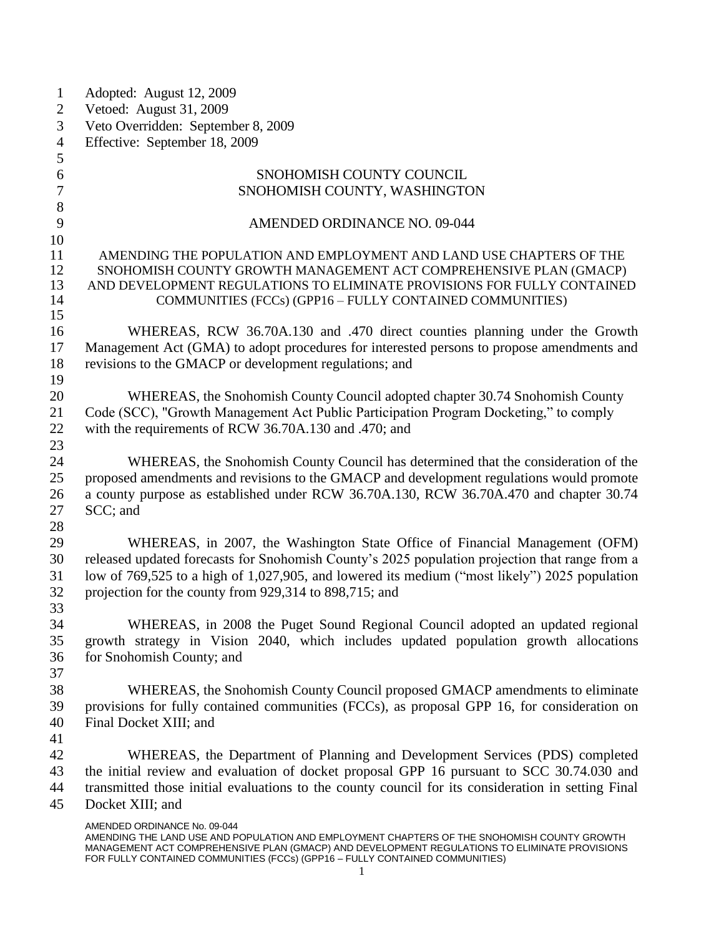| $\mathbf{1}$   | Adopted: August 12, 2009                                                                           |
|----------------|----------------------------------------------------------------------------------------------------|
| $\overline{2}$ | Vetoed: August 31, 2009                                                                            |
| 3              | Veto Overridden: September 8, 2009                                                                 |
| $\overline{4}$ | Effective: September 18, 2009                                                                      |
| 5              |                                                                                                    |
| 6              | SNOHOMISH COUNTY COUNCIL                                                                           |
| $\overline{7}$ | SNOHOMISH COUNTY, WASHINGTON                                                                       |
| 8              |                                                                                                    |
| 9              | AMENDED ORDINANCE NO. 09-044                                                                       |
| 10             |                                                                                                    |
| 11             | AMENDING THE POPULATION AND EMPLOYMENT AND LAND USE CHAPTERS OF THE                                |
| 12             | SNOHOMISH COUNTY GROWTH MANAGEMENT ACT COMPREHENSIVE PLAN (GMACP)                                  |
| 13             | AND DEVELOPMENT REGULATIONS TO ELIMINATE PROVISIONS FOR FULLY CONTAINED                            |
| 14             | COMMUNITIES (FCCs) (GPP16 - FULLY CONTAINED COMMUNITIES)                                           |
| 15             |                                                                                                    |
| 16             | WHEREAS, RCW 36.70A.130 and .470 direct counties planning under the Growth                         |
| 17             | Management Act (GMA) to adopt procedures for interested persons to propose amendments and          |
| 18             | revisions to the GMACP or development regulations; and                                             |
| 19             |                                                                                                    |
| 20             | WHEREAS, the Snohomish County Council adopted chapter 30.74 Snohomish County                       |
| 21             | Code (SCC), "Growth Management Act Public Participation Program Docketing," to comply              |
| 22             | with the requirements of RCW 36.70A.130 and .470; and                                              |
| 23             |                                                                                                    |
| 24             | WHEREAS, the Snohomish County Council has determined that the consideration of the                 |
| 25             | proposed amendments and revisions to the GMACP and development regulations would promote           |
| 26             | a county purpose as established under RCW 36.70A.130, RCW 36.70A.470 and chapter 30.74             |
| 27             | SCC; and                                                                                           |
|                |                                                                                                    |
| 28             |                                                                                                    |
| 29             | WHEREAS, in 2007, the Washington State Office of Financial Management (OFM)                        |
| 30             | released updated forecasts for Snohomish County's 2025 population projection that range from a     |
| 31             | low of 769,525 to a high of 1,027,905, and lowered its medium ("most likely") 2025 population      |
| 32             | projection for the county from 929,314 to 898,715; and                                             |
| 33             |                                                                                                    |
| 34             | WHEREAS, in 2008 the Puget Sound Regional Council adopted an updated regional                      |
| 35             | growth strategy in Vision 2040, which includes updated population growth allocations               |
| 36             | for Snohomish County; and                                                                          |
| 37             |                                                                                                    |
| 38             | WHEREAS, the Snohomish County Council proposed GMACP amendments to eliminate                       |
| 39             | provisions for fully contained communities (FCCs), as proposal GPP 16, for consideration on        |
| 40             | Final Docket XIII; and                                                                             |
| 41             |                                                                                                    |
| 42             | WHEREAS, the Department of Planning and Development Services (PDS) completed                       |
| 43             | the initial review and evaluation of docket proposal GPP 16 pursuant to SCC 30.74.030 and          |
| 44             | transmitted those initial evaluations to the county council for its consideration in setting Final |
| 45             | Docket XIII; and                                                                                   |
|                | AMENDED ORDINANCE No. 09-044                                                                       |
|                | AMENDING THE LAND USE AND POPULATION AND EMPLOYMENT CHAPTERS OF THE SNOHOMISH COUNTY GROWTH        |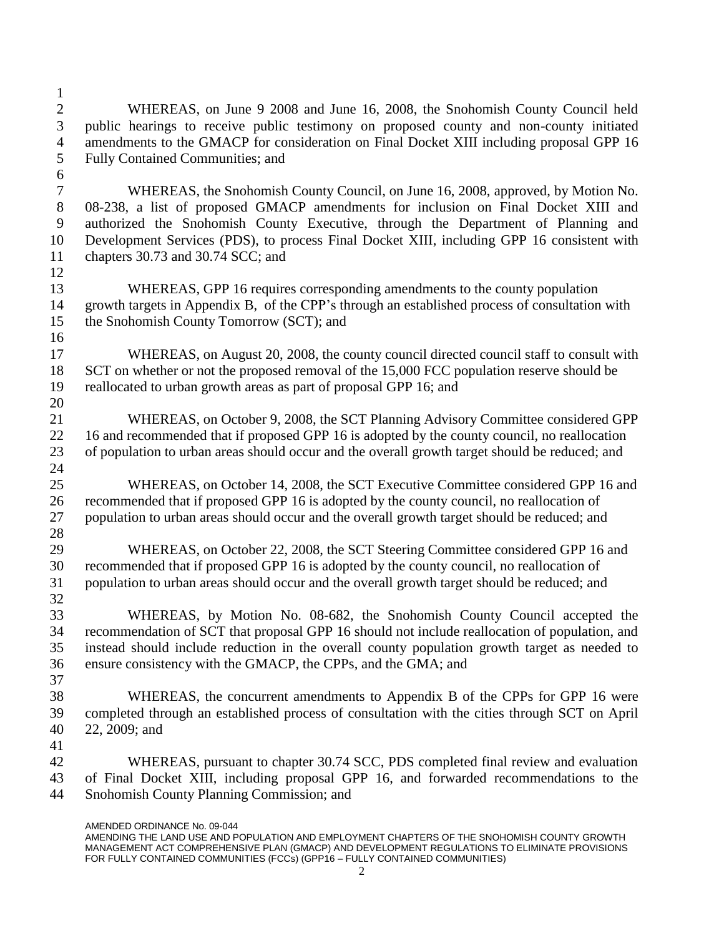- WHEREAS, on June 9 2008 and June 16, 2008, the Snohomish County Council held public hearings to receive public testimony on proposed county and non-county initiated amendments to the GMACP for consideration on Final Docket XIII including proposal GPP 16 Fully Contained Communities; and WHEREAS, the Snohomish County Council, on June 16, 2008, approved, by Motion No. 08-238, a list of proposed GMACP amendments for inclusion on Final Docket XIII and authorized the Snohomish County Executive, through the Department of Planning and Development Services (PDS), to process Final Docket XIII, including GPP 16 consistent with chapters 30.73 and 30.74 SCC; and WHEREAS, GPP 16 requires corresponding amendments to the county population growth targets in Appendix B, of the CPP's through an established process of consultation with the Snohomish County Tomorrow (SCT); and WHEREAS, on August 20, 2008, the county council directed council staff to consult with SCT on whether or not the proposed removal of the 15,000 FCC population reserve should be reallocated to urban growth areas as part of proposal GPP 16; and WHEREAS, on October 9, 2008, the SCT Planning Advisory Committee considered GPP 22 16 and recommended that if proposed GPP 16 is adopted by the county council, no reallocation of population to urban areas should occur and the overall growth target should be reduced; and WHEREAS, on October 14, 2008, the SCT Executive Committee considered GPP 16 and recommended that if proposed GPP 16 is adopted by the county council, no reallocation of population to urban areas should occur and the overall growth target should be reduced; and WHEREAS, on October 22, 2008, the SCT Steering Committee considered GPP 16 and recommended that if proposed GPP 16 is adopted by the county council, no reallocation of population to urban areas should occur and the overall growth target should be reduced; and WHEREAS, by Motion No. 08-682, the Snohomish County Council accepted the recommendation of SCT that proposal GPP 16 should not include reallocation of population, and instead should include reduction in the overall county population growth target as needed to ensure consistency with the GMACP, the CPPs, and the GMA; and WHEREAS, the concurrent amendments to Appendix B of the CPPs for GPP 16 were completed through an established process of consultation with the cities through SCT on April 22, 2009; and WHEREAS, pursuant to chapter 30.74 SCC, PDS completed final review and evaluation of Final Docket XIII, including proposal GPP 16, and forwarded recommendations to the Snohomish County Planning Commission; and
	- AMENDED ORDINANCE No. 09-044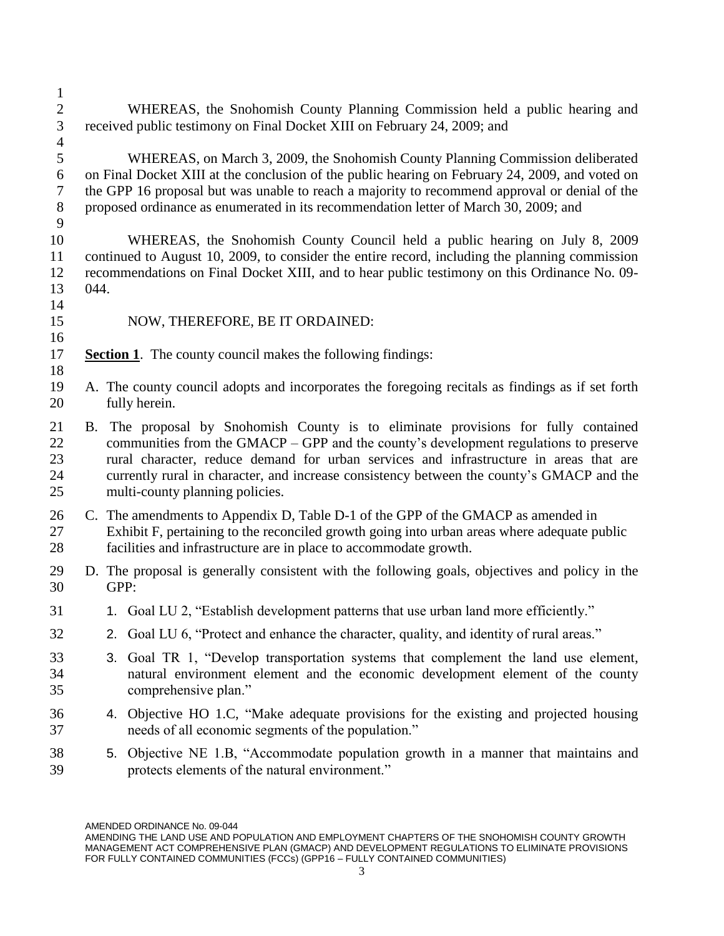WHEREAS, the Snohomish County Planning Commission held a public hearing and received public testimony on Final Docket XIII on February 24, 2009; and WHEREAS, on March 3, 2009, the Snohomish County Planning Commission deliberated on Final Docket XIII at the conclusion of the public hearing on February 24, 2009, and voted on the GPP 16 proposal but was unable to reach a majority to recommend approval or denial of the proposed ordinance as enumerated in its recommendation letter of March 30, 2009; and WHEREAS, the Snohomish County Council held a public hearing on July 8, 2009 continued to August 10, 2009, to consider the entire record, including the planning commission recommendations on Final Docket XIII, and to hear public testimony on this Ordinance No. 09- 044. NOW, THEREFORE, BE IT ORDAINED: **Section 1**.The county council makes the following findings: A. The county council adopts and incorporates the foregoing recitals as findings as if set forth fully herein. B. The proposal by Snohomish County is to eliminate provisions for fully contained communities from the GMACP – GPP and the county's development regulations to preserve rural character, reduce demand for urban services and infrastructure in areas that are currently rural in character, and increase consistency between the county's GMACP and the multi-county planning policies. C. The amendments to Appendix D, Table D-1 of the GPP of the GMACP as amended in Exhibit F, pertaining to the reconciled growth going into urban areas where adequate public facilities and infrastructure are in place to accommodate growth. D. The proposal is generally consistent with the following goals, objectives and policy in the GPP: 31 1. Goal LU 2, "Establish development patterns that use urban land more efficiently." 2. Goal LU 6, "Protect and enhance the character, quality, and identity of rural areas." 3. Goal TR 1, "Develop transportation systems that complement the land use element, natural environment element and the economic development element of the county comprehensive plan." 4. Objective HO 1.C, "Make adequate provisions for the existing and projected housing needs of all economic segments of the population." 5. Objective NE 1.B, "Accommodate population growth in a manner that maintains and protects elements of the natural environment."

AMENDING THE LAND USE AND POPULATION AND EMPLOYMENT CHAPTERS OF THE SNOHOMISH COUNTY GROWTH MANAGEMENT ACT COMPREHENSIVE PLAN (GMACP) AND DEVELOPMENT REGULATIONS TO ELIMINATE PROVISIONS FOR FULLY CONTAINED COMMUNITIES (FCCs) (GPP16 - FULLY CONTAINED COMMUNITIES)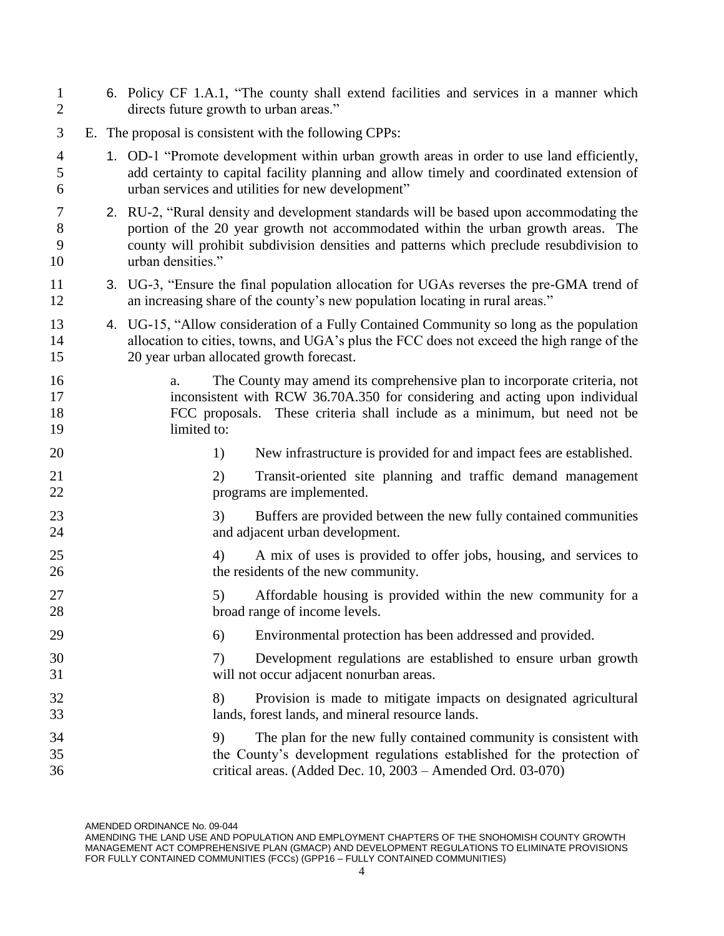|  |    |    | 6. Policy CF 1.A.1, "The county shall extend facilities and services in a manner which                                                                                                                                                                                 |
|--|----|----|------------------------------------------------------------------------------------------------------------------------------------------------------------------------------------------------------------------------------------------------------------------------|
|  |    |    |                                                                                                                                                                                                                                                                        |
|  |    |    | 1. OD-1 "Promote development within urban growth areas in order to use land efficiently,<br>add certainty to capital facility planning and allow timely and coordinated extension of<br>urban services and utilities for new development"                              |
|  |    |    | 2. RU-2, "Rural density and development standards will be based upon accommodating the<br>portion of the 20 year growth not accommodated within the urban growth areas. The<br>county will prohibit subdivision densities and patterns which preclude resubdivision to |
|  |    |    | 3. UG-3, "Ensure the final population allocation for UGAs reverses the pre-GMA trend of<br>an increasing share of the county's new population locating in rural areas."                                                                                                |
|  |    |    | 4. UG-15, "Allow consideration of a Fully Contained Community so long as the population<br>allocation to cities, towns, and UGA's plus the FCC does not exceed the high range of the                                                                                   |
|  | a. |    | The County may amend its comprehensive plan to incorporate criteria, not<br>inconsistent with RCW 36.70A.350 for considering and acting upon individual<br>FCC proposals. These criteria shall include as a minimum, but need not be                                   |
|  |    | 1) | New infrastructure is provided for and impact fees are established.                                                                                                                                                                                                    |
|  |    | 2) | Transit-oriented site planning and traffic demand management<br>programs are implemented.                                                                                                                                                                              |
|  |    | 3) | Buffers are provided between the new fully contained communities<br>and adjacent urban development.                                                                                                                                                                    |
|  |    | 4) | A mix of uses is provided to offer jobs, housing, and services to<br>the residents of the new community.                                                                                                                                                               |
|  |    | 5) | Affordable housing is provided within the new community for a<br>broad range of income levels.                                                                                                                                                                         |
|  |    | 6) | Environmental protection has been addressed and provided.                                                                                                                                                                                                              |
|  |    | 7) | Development regulations are established to ensure urban growth<br>will not occur adjacent nonurban areas.                                                                                                                                                              |
|  |    | 8) | Provision is made to mitigate impacts on designated agricultural<br>lands, forest lands, and mineral resource lands.                                                                                                                                                   |
|  |    | 9) | The plan for the new fully contained community is consistent with<br>the County's development regulations established for the protection of<br>critical areas. (Added Dec. 10, 2003 - Amended Ord. 03-070)                                                             |
|  |    |    | directs future growth to urban areas."<br>E. The proposal is consistent with the following CPPs:<br>urban densities."<br>20 year urban allocated growth forecast.<br>limited to:                                                                                       |

AMENDING THE LAND USE AND POPULATION AND EMPLOYMENT CHAPTERS OF THE SNOHOMISH COUNTY GROWTH MANAGEMENT ACT COMPREHENSIVE PLAN (GMACP) AND DEVELOPMENT REGULATIONS TO ELIMINATE PROVISIONS FOR FULLY CONTAINED COMMUNITIES (FCCs) (GPP16 – FULLY CONTAINED COMMUNITIES)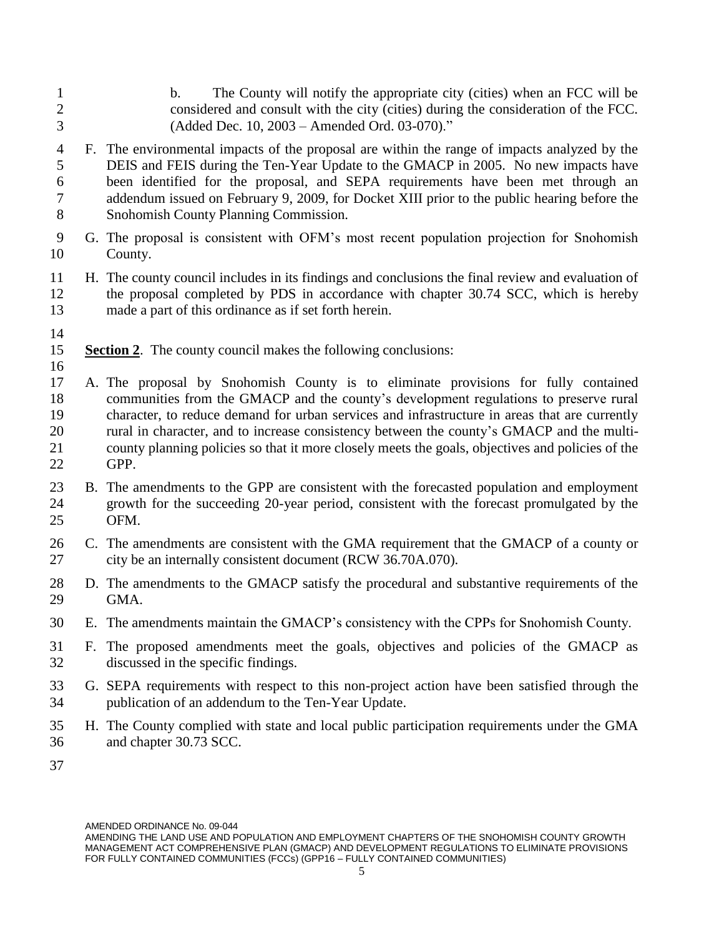- b. The County will notify the appropriate city (cities) when an FCC will be considered and consult with the city (cities) during the consideration of the FCC. (Added Dec. 10, 2003 – Amended Ord. 03-070)."
- F. The environmental impacts of the proposal are within the range of impacts analyzed by the DEIS and FEIS during the Ten-Year Update to the GMACP in 2005. No new impacts have been identified for the proposal, and SEPA requirements have been met through an addendum issued on February 9, 2009, for Docket XIII prior to the public hearing before the Snohomish County Planning Commission.
- G. The proposal is consistent with OFM's most recent population projection for Snohomish County.
- H. The county council includes in its findings and conclusions the final review and evaluation of the proposal completed by PDS in accordance with chapter 30.74 SCC, which is hereby made a part of this ordinance as if set forth herein.
- 

- **Section 2**.The county council makes the following conclusions:
- A. The proposal by Snohomish County is to eliminate provisions for fully contained communities from the GMACP and the county's development regulations to preserve rural character, to reduce demand for urban services and infrastructure in areas that are currently rural in character, and to increase consistency between the county's GMACP and the multi- county planning policies so that it more closely meets the goals, objectives and policies of the GPP.
- B. The amendments to the GPP are consistent with the forecasted population and employment growth for the succeeding 20-year period, consistent with the forecast promulgated by the OFM.
- C. The amendments are consistent with the GMA requirement that the GMACP of a county or city be an internally consistent document (RCW 36.70A.070).
- D. The amendments to the GMACP satisfy the procedural and substantive requirements of the GMA.
- E. The amendments maintain the GMACP's consistency with the CPPs for Snohomish County.
- F. The proposed amendments meet the goals, objectives and policies of the GMACP as discussed in the specific findings.
- G. SEPA requirements with respect to this non-project action have been satisfied through the publication of an addendum to the Ten-Year Update.
- H. The County complied with state and local public participation requirements under the GMA and chapter 30.73 SCC.
- 

AMENDING THE LAND USE AND POPULATION AND EMPLOYMENT CHAPTERS OF THE SNOHOMISH COUNTY GROWTH MANAGEMENT ACT COMPREHENSIVE PLAN (GMACP) AND DEVELOPMENT REGULATIONS TO ELIMINATE PROVISIONS FOR FULLY CONTAINED COMMUNITIES (FCCs) (GPP16 - FULLY CONTAINED COMMUNITIES)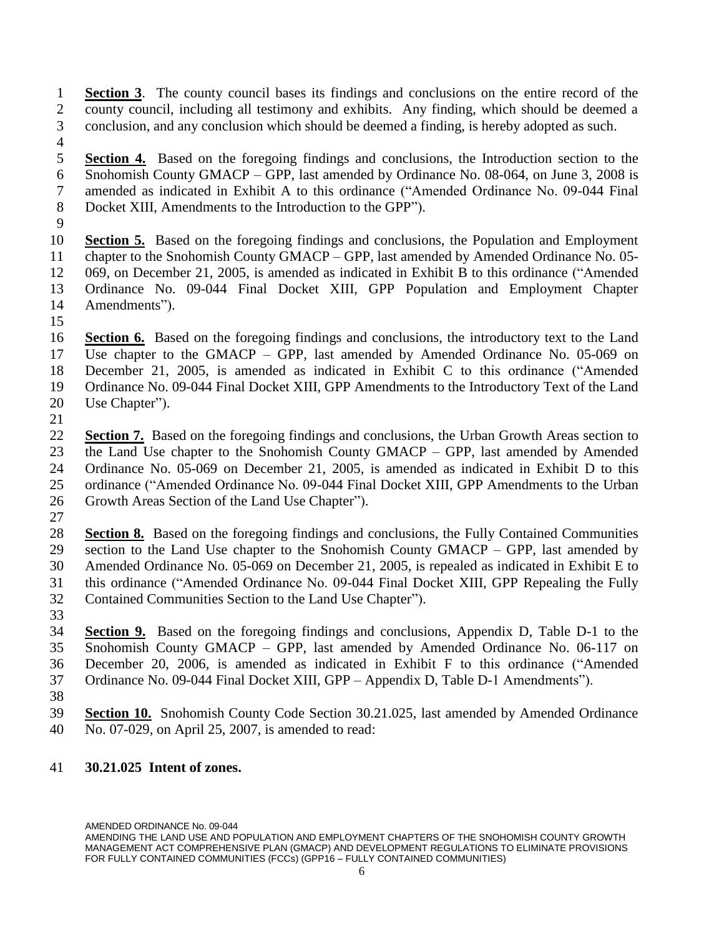**Section 3**. The county council bases its findings and conclusions on the entire record of the county council, including all testimony and exhibits. Any finding, which should be deemed a conclusion, and any conclusion which should be deemed a finding, is hereby adopted as such.

 **Section 4.** Based on the foregoing findings and conclusions, the Introduction section to the Snohomish County GMACP – GPP, last amended by Ordinance No. 08-064, on June 3, 2008 is amended as indicated in Exhibit A to this ordinance ("Amended Ordinance No. 09-044 Final Docket XIII, Amendments to the Introduction to the GPP").

 **Section 5.** Based on the foregoing findings and conclusions, the Population and Employment chapter to the Snohomish County GMACP – GPP, last amended by Amended Ordinance No. 05- 069, on December 21, 2005, is amended as indicated in Exhibit B to this ordinance ("Amended Ordinance No. 09-044 Final Docket XIII, GPP Population and Employment Chapter Amendments").

 **Section 6.** Based on the foregoing findings and conclusions, the introductory text to the Land Use chapter to the GMACP – GPP, last amended by Amended Ordinance No. 05-069 on December 21, 2005, is amended as indicated in Exhibit C to this ordinance ("Amended Ordinance No. 09-044 Final Docket XIII, GPP Amendments to the Introductory Text of the Land Use Chapter").

 **Section 7.** Based on the foregoing findings and conclusions, the Urban Growth Areas section to the Land Use chapter to the Snohomish County GMACP – GPP, last amended by Amended Ordinance No. 05-069 on December 21, 2005, is amended as indicated in Exhibit D to this ordinance ("Amended Ordinance No. 09-044 Final Docket XIII, GPP Amendments to the Urban Growth Areas Section of the Land Use Chapter").

 **Section 8.** Based on the foregoing findings and conclusions, the Fully Contained Communities section to the Land Use chapter to the Snohomish County GMACP – GPP, last amended by Amended Ordinance No. 05-069 on December 21, 2005, is repealed as indicated in Exhibit E to this ordinance ("Amended Ordinance No. 09-044 Final Docket XIII, GPP Repealing the Fully Contained Communities Section to the Land Use Chapter").

 **Section 9.** Based on the foregoing findings and conclusions, Appendix D, Table D-1 to the Snohomish County GMACP – GPP, last amended by Amended Ordinance No. 06-117 on December 20, 2006, is amended as indicated in Exhibit F to this ordinance ("Amended Ordinance No. 09-044 Final Docket XIII, GPP – Appendix D, Table D-1 Amendments").

 **Section 10.** Snohomish County Code Section 30.21.025, last amended by Amended Ordinance No. 07-029, on April 25, 2007, is amended to read:

## **30.21.025 Intent of zones.**

AMENDING THE LAND USE AND POPULATION AND EMPLOYMENT CHAPTERS OF THE SNOHOMISH COUNTY GROWTH MANAGEMENT ACT COMPREHENSIVE PLAN (GMACP) AND DEVELOPMENT REGULATIONS TO ELIMINATE PROVISIONS FOR FULLY CONTAINED COMMUNITIES (FCCs) (GPP16 – FULLY CONTAINED COMMUNITIES)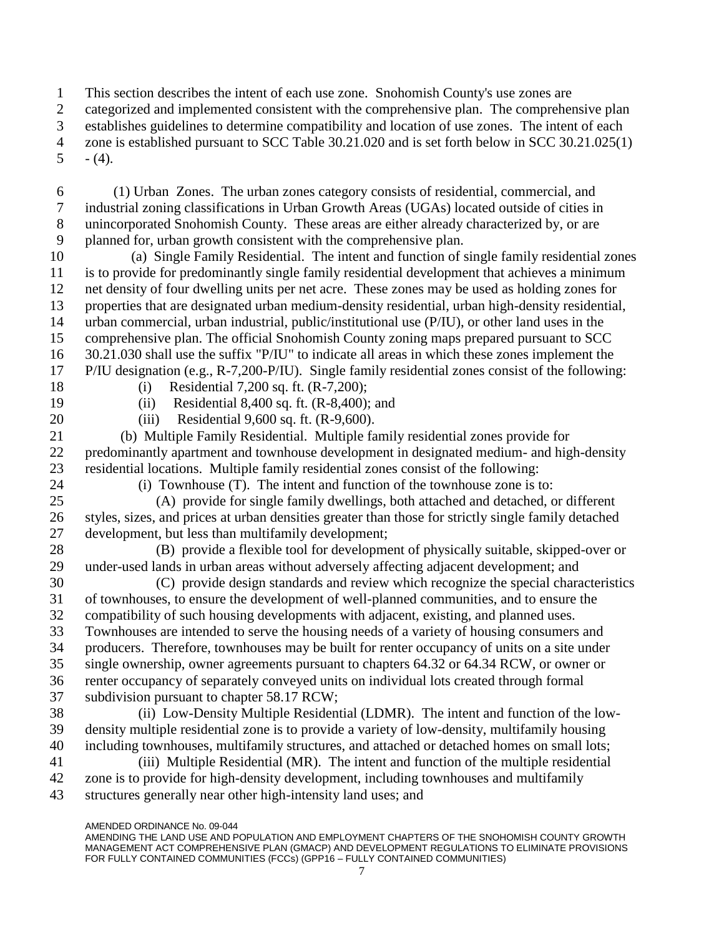This section describes the intent of each use zone. Snohomish County's use zones are

categorized and implemented consistent with the comprehensive plan. The comprehensive plan

establishes guidelines to determine compatibility and location of use zones. The intent of each

 zone is established pursuant to SCC Table 30.21.020 and is set forth below in SCC 30.21.025(1)  $5 - (4)$ .

6 (1) Urban Zones. The urban zones category consists of residential, commercial, and industrial zoning classifications in Urban Growth Areas (UGAs) located outside of cities in unincorporated Snohomish County. These areas are either already characterized by, or are planned for, urban growth consistent with the comprehensive plan.

10 (a) Single Family Residential. The intent and function of single family residential zones is to provide for predominantly single family residential development that achieves a minimum net density of four dwelling units per net acre. These zones may be used as holding zones for properties that are designated urban medium-density residential, urban high-density residential, urban commercial, urban industrial, public/institutional use (P/IU), or other land uses in the comprehensive plan. The official Snohomish County zoning maps prepared pursuant to SCC 30.21.030 shall use the suffix "P/IU" to indicate all areas in which these zones implement the P/IU designation (e.g., R-7,200-P/IU). Single family residential zones consist of the following:

18 (i) Residential 7,200 sq. ft. (R-7,200); 19 (ii) Residential 8,400 sq. ft. (R-8,400); and

20 (iii) Residential 9,600 sq. ft. (R-9,600).

21 (b) Multiple Family Residential. Multiple family residential zones provide for predominantly apartment and townhouse development in designated medium- and high-density residential locations. Multiple family residential zones consist of the following:

24 (i) Townhouse (T). The intent and function of the townhouse zone is to:

25 (A) provide for single family dwellings, both attached and detached, or different styles, sizes, and prices at urban densities greater than those for strictly single family detached development, but less than multifamily development;

28 (B) provide a flexible tool for development of physically suitable, skipped-over or under-used lands in urban areas without adversely affecting adjacent development; and

30 (C) provide design standards and review which recognize the special characteristics of townhouses, to ensure the development of well-planned communities, and to ensure the compatibility of such housing developments with adjacent, existing, and planned uses. Townhouses are intended to serve the housing needs of a variety of housing consumers and producers. Therefore, townhouses may be built for renter occupancy of units on a site under single ownership, owner agreements pursuant to chapters 64.32 or 64.34 RCW, or owner or

 renter occupancy of separately conveyed units on individual lots created through formal subdivision pursuant to chapter 58.17 RCW;

38 (ii) Low-Density Multiple Residential (LDMR). The intent and function of the low- density multiple residential zone is to provide a variety of low-density, multifamily housing including townhouses, multifamily structures, and attached or detached homes on small lots;

41 (iii) Multiple Residential (MR). The intent and function of the multiple residential zone is to provide for high-density development, including townhouses and multifamily structures generally near other high-intensity land uses; and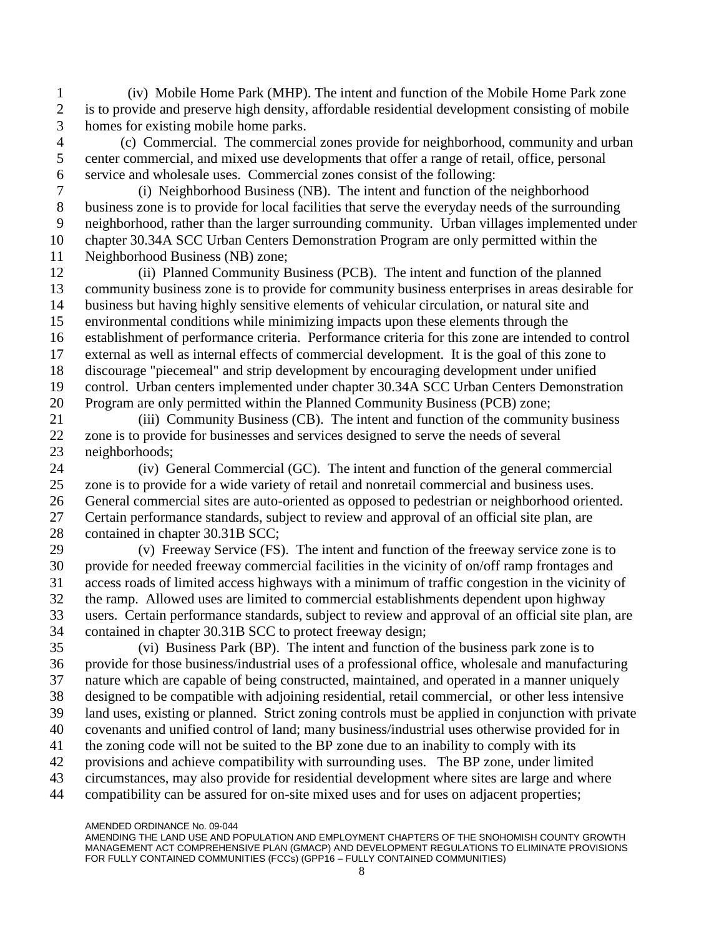(iv) Mobile Home Park (MHP). The intent and function of the Mobile Home Park zone is to provide and preserve high density, affordable residential development consisting of mobile homes for existing mobile home parks.

4 (c) Commercial. The commercial zones provide for neighborhood, community and urban center commercial, and mixed use developments that offer a range of retail, office, personal service and wholesale uses. Commercial zones consist of the following:

7 (i) Neighborhood Business (NB). The intent and function of the neighborhood business zone is to provide for local facilities that serve the everyday needs of the surrounding neighborhood, rather than the larger surrounding community. Urban villages implemented under chapter 30.34A SCC Urban Centers Demonstration Program are only permitted within the Neighborhood Business (NB) zone;

12 (ii) Planned Community Business (PCB). The intent and function of the planned community business zone is to provide for community business enterprises in areas desirable for business but having highly sensitive elements of vehicular circulation, or natural site and environmental conditions while minimizing impacts upon these elements through the establishment of performance criteria. Performance criteria for this zone are intended to control external as well as internal effects of commercial development. It is the goal of this zone to discourage "piecemeal" and strip development by encouraging development under unified control. Urban centers implemented under chapter 30.34A SCC Urban Centers Demonstration Program are only permitted within the Planned Community Business (PCB) zone;

21 (iii) Community Business (CB). The intent and function of the community business zone is to provide for businesses and services designed to serve the needs of several neighborhoods;

24 (iv) General Commercial (GC). The intent and function of the general commercial zone is to provide for a wide variety of retail and nonretail commercial and business uses. General commercial sites are auto-oriented as opposed to pedestrian or neighborhood oriented. Certain performance standards, subject to review and approval of an official site plan, are 28 contained in chapter 30.31B SCC;

29 (v) Freeway Service (FS). The intent and function of the freeway service zone is to provide for needed freeway commercial facilities in the vicinity of on/off ramp frontages and access roads of limited access highways with a minimum of traffic congestion in the vicinity of the ramp. Allowed uses are limited to commercial establishments dependent upon highway users. Certain performance standards, subject to review and approval of an official site plan, are contained in chapter 30.31B SCC to protect freeway design;

35 (vi) Business Park (BP). The intent and function of the business park zone is to provide for those business/industrial uses of a professional office, wholesale and manufacturing nature which are capable of being constructed, maintained, and operated in a manner uniquely designed to be compatible with adjoining residential, retail commercial, or other less intensive land uses, existing or planned. Strict zoning controls must be applied in conjunction with private covenants and unified control of land; many business/industrial uses otherwise provided for in the zoning code will not be suited to the BP zone due to an inability to comply with its provisions and achieve compatibility with surrounding uses. The BP zone, under limited circumstances, may also provide for residential development where sites are large and where

compatibility can be assured for on-site mixed uses and for uses on adjacent properties;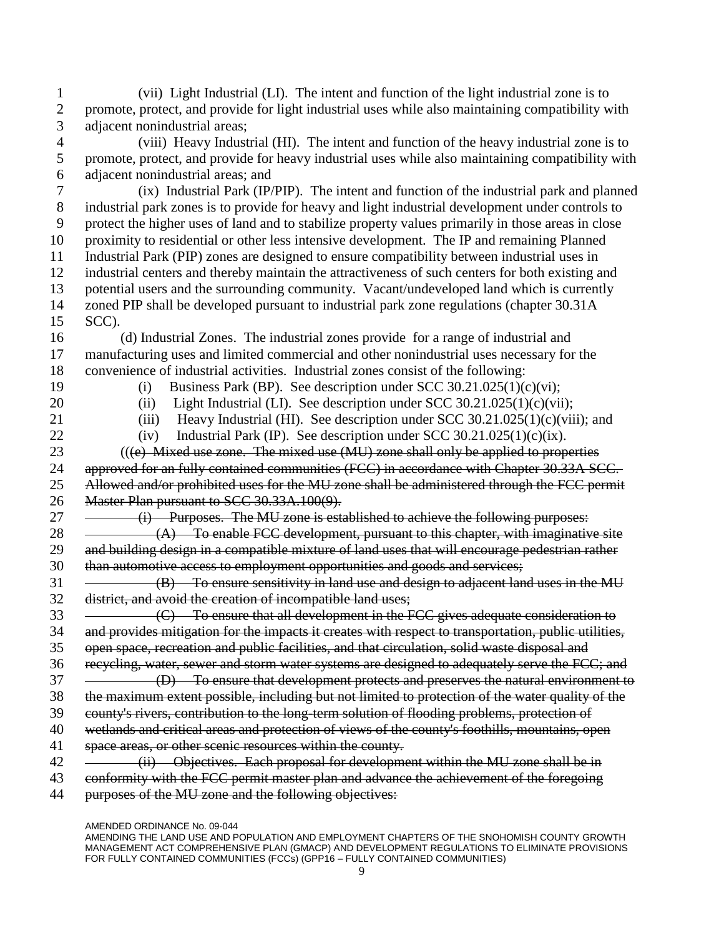1 (vii) Light Industrial (LI). The intent and function of the light industrial zone is to 2 promote, protect, and provide for light industrial uses while also maintaining compatibility with 3 adjacent nonindustrial areas;

4 (viii) Heavy Industrial (HI). The intent and function of the heavy industrial zone is to 5 promote, protect, and provide for heavy industrial uses while also maintaining compatibility with 6 adjacent nonindustrial areas; and

7 (ix) Industrial Park (IP/PIP). The intent and function of the industrial park and planned industrial park zones is to provide for heavy and light industrial development under controls to protect the higher uses of land and to stabilize property values primarily in those areas in close proximity to residential or other less intensive development. The IP and remaining Planned Industrial Park (PIP) zones are designed to ensure compatibility between industrial uses in industrial centers and thereby maintain the attractiveness of such centers for both existing and potential users and the surrounding community. Vacant/undeveloped land which is currently zoned PIP shall be developed pursuant to industrial park zone regulations (chapter 30.31A 15 SCC).

16 (d) Industrial Zones. The industrial zones provide for a range of industrial and 17 manufacturing uses and limited commercial and other nonindustrial uses necessary for the 18 convenience of industrial activities. Industrial zones consist of the following:

19 (i) Business Park (BP). See description under SCC 30.21.025(1)(c)(vi);

20 (ii) Light Industrial (LI). See description under SCC 30.21.025(1)(c)(vii);

21 (iii) Heavy Industrial (HI). See description under SCC 30.21.025(1)(c)(viii); and

22 (iv) Industrial Park (IP). See description under SCC 30.21.025(1)(c)(ix).

23 (((e) Mixed use zone. The mixed use (MU) zone shall only be applied to properties 24 approved for an fully contained communities (FCC) in accordance with Chapter 30.33A SCC. 25 Allowed and/or prohibited uses for the MU zone shall be administered through the FCC permit 26 Master Plan pursuant to SCC 30.33A.100(9).

27 (i) Purposes. The MU zone is established to achieve the following purposes:

 $28 \quad - \quad (A) \quad$  To enable FCC development, pursuant to this chapter, with imaginative site 29 and building design in a compatible mixture of land uses that will encourage pedestrian rather 30 than automotive access to employment opportunities and goods and services;

 $31 \quad \longrightarrow \quad (B) \quad$  To ensure sensitivity in land use and design to adjacent land uses in the MU 32 district, and avoid the creation of incompatible land uses;

33 (C) To ensure that all development in the FCC gives adequate consideration to 34 and provides mitigation for the impacts it creates with respect to transportation, public utilities,

35 open space, recreation and public facilities, and that circulation, solid waste disposal and 36 recycling, water, sewer and storm water systems are designed to adequately serve the FCC; and

37 (D) To ensure that development protects and preserves the natural environment to 38 the maximum extent possible, including but not limited to protection of the water quality of the

39 county's rivers, contribution to the long-term solution of flooding problems, protection of

40 wetlands and critical areas and protection of views of the county's foothills, mountains, open

41 space areas, or other scenic resources within the county.

42 (ii) Objectives. Each proposal for development within the MU zone shall be in

43 conformity with the FCC permit master plan and advance the achievement of the foregoing

44 purposes of the MU zone and the following objectives:

AMENDED ORDINANCE No. 09-044

AMENDING THE LAND USE AND POPULATION AND EMPLOYMENT CHAPTERS OF THE SNOHOMISH COUNTY GROWTH MANAGEMENT ACT COMPREHENSIVE PLAN (GMACP) AND DEVELOPMENT REGULATIONS TO ELIMINATE PROVISIONS FOR FULLY CONTAINED COMMUNITIES (FCCs) (GPP16 - FULLY CONTAINED COMMUNITIES)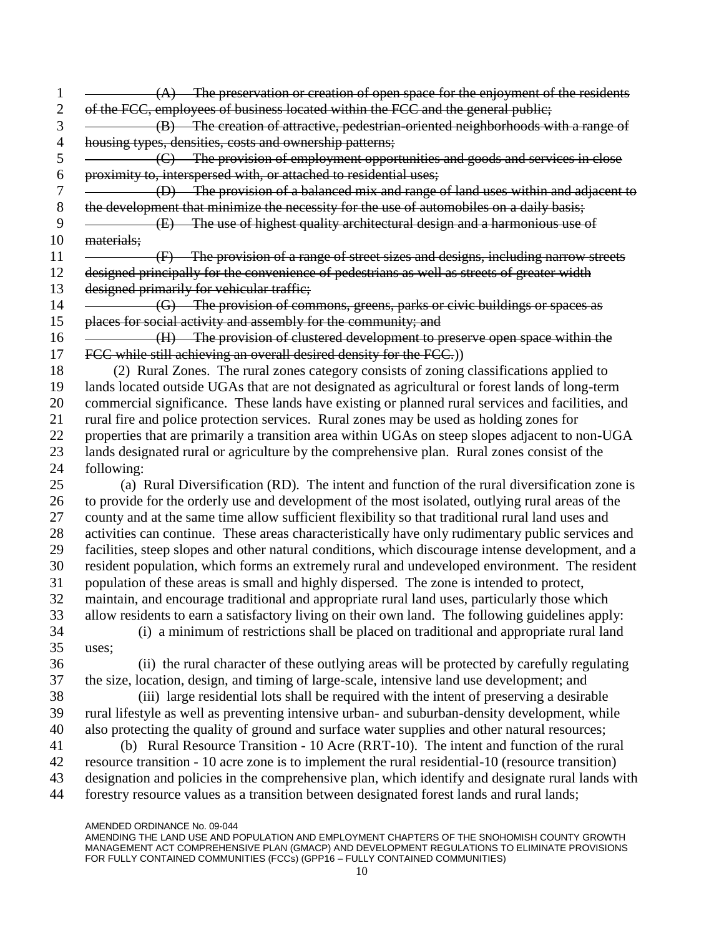AMENDED ORDINANCE No. 09-044  $1 \quad \longrightarrow \quad (A)$  The preservation or creation of open space for the enjoyment of the residents 2 of the FCC, employees of business located within the FCC and the general public; 3 (B) The creation of attractive, pedestrian-oriented neighborhoods with a range of 4 housing types, densities, costs and ownership patterns; 5 (C) The provision of employment opportunities and goods and services in close 6 proximity to, interspersed with, or attached to residential uses; 7 (D) The provision of a balanced mix and range of land uses within and adjacent to 8 the development that minimize the necessity for the use of automobiles on a daily basis; 9 (E) The use of highest quality architectural design and a harmonious use of 10 materials; 11 (F) The provision of a range of street sizes and designs, including narrow streets 12 designed principally for the convenience of pedestrians as well as streets of greater width 13 designed primarily for vehicular traffic; 14 (G) The provision of commons, greens, parks or civic buildings or spaces as 15 places for social activity and assembly for the community; and 16 (H) The provision of clustered development to preserve open space within the 17 FCC while still achieving an overall desired density for the FCC.)) 18 (2) Rural Zones. The rural zones category consists of zoning classifications applied to 19 lands located outside UGAs that are not designated as agricultural or forest lands of long-term 20 commercial significance. These lands have existing or planned rural services and facilities, and 21 rural fire and police protection services. Rural zones may be used as holding zones for 22 properties that are primarily a transition area within UGAs on steep slopes adjacent to non-UGA 23 lands designated rural or agriculture by the comprehensive plan. Rural zones consist of the 24 following: 25 (a) Rural Diversification (RD). The intent and function of the rural diversification zone is 26 to provide for the orderly use and development of the most isolated, outlying rural areas of the 27 county and at the same time allow sufficient flexibility so that traditional rural land uses and 28 activities can continue. These areas characteristically have only rudimentary public services and 29 facilities, steep slopes and other natural conditions, which discourage intense development, and a 30 resident population, which forms an extremely rural and undeveloped environment. The resident 31 population of these areas is small and highly dispersed. The zone is intended to protect, 32 maintain, and encourage traditional and appropriate rural land uses, particularly those which 33 allow residents to earn a satisfactory living on their own land. The following guidelines apply: 34 (i) a minimum of restrictions shall be placed on traditional and appropriate rural land 35 uses; 36 (ii) the rural character of these outlying areas will be protected by carefully regulating 37 the size, location, design, and timing of large-scale, intensive land use development; and 38 (iii) large residential lots shall be required with the intent of preserving a desirable 39 rural lifestyle as well as preventing intensive urban- and suburban-density development, while 40 also protecting the quality of ground and surface water supplies and other natural resources; 41 (b) Rural Resource Transition - 10 Acre (RRT-10). The intent and function of the rural 42 resource transition - 10 acre zone is to implement the rural residential-10 (resource transition) 43 designation and policies in the comprehensive plan, which identify and designate rural lands with 44 forestry resource values as a transition between designated forest lands and rural lands;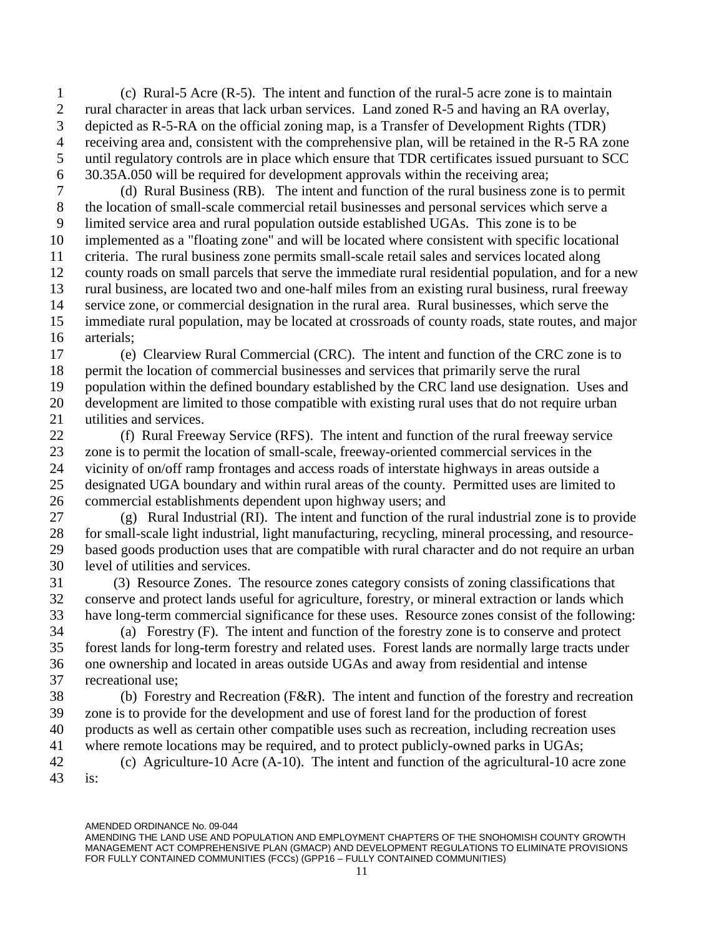1 (c) Rural-5 Acre (R-5). The intent and function of the rural-5 acre zone is to maintain rural character in areas that lack urban services. Land zoned R-5 and having an RA overlay, depicted as R-5-RA on the official zoning map, is a Transfer of Development Rights (TDR) receiving area and, consistent with the comprehensive plan, will be retained in the R-5 RA zone until regulatory controls are in place which ensure that TDR certificates issued pursuant to SCC 30.35A.050 will be required for development approvals within the receiving area;

7 (d) Rural Business (RB). The intent and function of the rural business zone is to permit the location of small-scale commercial retail businesses and personal services which serve a limited service area and rural population outside established UGAs. This zone is to be implemented as a "floating zone" and will be located where consistent with specific locational criteria. The rural business zone permits small-scale retail sales and services located along county roads on small parcels that serve the immediate rural residential population, and for a new rural business, are located two and one-half miles from an existing rural business, rural freeway service zone, or commercial designation in the rural area. Rural businesses, which serve the immediate rural population, may be located at crossroads of county roads, state routes, and major arterials;

17 (e) Clearview Rural Commercial (CRC). The intent and function of the CRC zone is to permit the location of commercial businesses and services that primarily serve the rural population within the defined boundary established by the CRC land use designation. Uses and development are limited to those compatible with existing rural uses that do not require urban utilities and services.

22 (f) Rural Freeway Service (RFS). The intent and function of the rural freeway service zone is to permit the location of small-scale, freeway-oriented commercial services in the vicinity of on/off ramp frontages and access roads of interstate highways in areas outside a designated UGA boundary and within rural areas of the county. Permitted uses are limited to commercial establishments dependent upon highway users; and

27 (g) Rural Industrial (RI). The intent and function of the rural industrial zone is to provide for small-scale light industrial, light manufacturing, recycling, mineral processing, and resource- based goods production uses that are compatible with rural character and do not require an urban level of utilities and services.

31 (3) Resource Zones. The resource zones category consists of zoning classifications that conserve and protect lands useful for agriculture, forestry, or mineral extraction or lands which have long-term commercial significance for these uses. Resource zones consist of the following:

34 (a) Forestry (F). The intent and function of the forestry zone is to conserve and protect forest lands for long-term forestry and related uses. Forest lands are normally large tracts under one ownership and located in areas outside UGAs and away from residential and intense recreational use;

38 (b) Forestry and Recreation (F&R). The intent and function of the forestry and recreation zone is to provide for the development and use of forest land for the production of forest products as well as certain other compatible uses such as recreation, including recreation uses where remote locations may be required, and to protect publicly-owned parks in UGAs; 42 (c) Agriculture-10 Acre (A-10). The intent and function of the agricultural-10 acre zone is:

AMENDING THE LAND USE AND POPULATION AND EMPLOYMENT CHAPTERS OF THE SNOHOMISH COUNTY GROWTH MANAGEMENT ACT COMPREHENSIVE PLAN (GMACP) AND DEVELOPMENT REGULATIONS TO ELIMINATE PROVISIONS FOR FULLY CONTAINED COMMUNITIES (FCCs) (GPP16 - FULLY CONTAINED COMMUNITIES)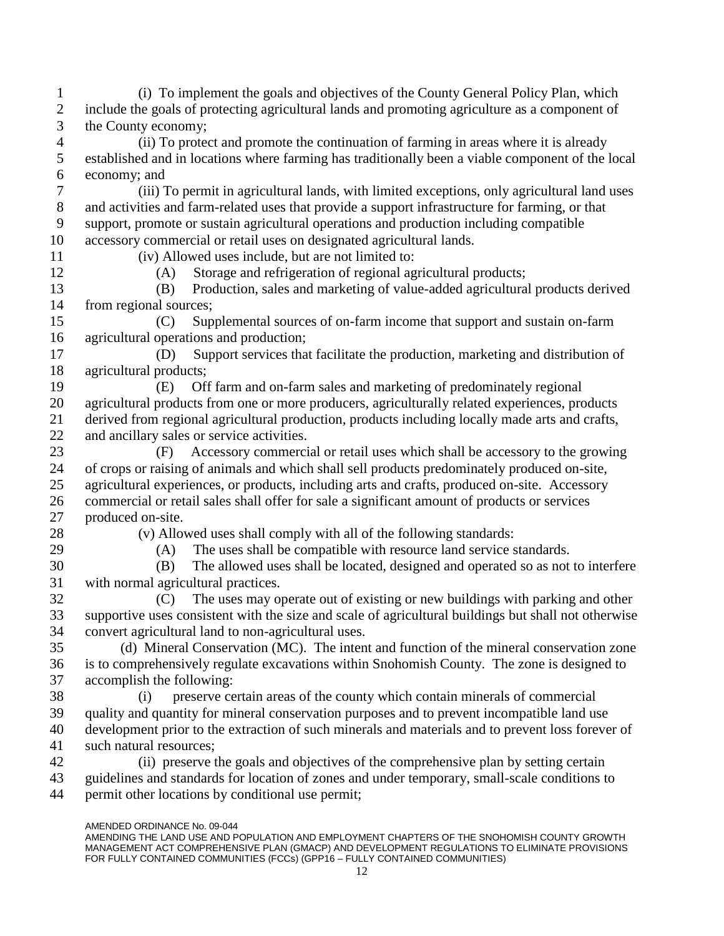AMENDED ORDINANCE No. 09-044 1 (i) To implement the goals and objectives of the County General Policy Plan, which 2 include the goals of protecting agricultural lands and promoting agriculture as a component of 3 the County economy; 4 (ii) To protect and promote the continuation of farming in areas where it is already 5 established and in locations where farming has traditionally been a viable component of the local 6 economy; and 7 (iii) To permit in agricultural lands, with limited exceptions, only agricultural land uses 8 and activities and farm-related uses that provide a support infrastructure for farming, or that 9 support, promote or sustain agricultural operations and production including compatible 10 accessory commercial or retail uses on designated agricultural lands. 11 (iv) Allowed uses include, but are not limited to: 12 (A) Storage and refrigeration of regional agricultural products; 13 (B) Production, sales and marketing of value-added agricultural products derived 14 from regional sources; 15 (C) Supplemental sources of on-farm income that support and sustain on-farm 16 agricultural operations and production; 17 (D) Support services that facilitate the production, marketing and distribution of 18 agricultural products; 19 (E) Off farm and on-farm sales and marketing of predominately regional 20 agricultural products from one or more producers, agriculturally related experiences, products 21 derived from regional agricultural production, products including locally made arts and crafts, 22 and ancillary sales or service activities. 23 (F) Accessory commercial or retail uses which shall be accessory to the growing 24 of crops or raising of animals and which shall sell products predominately produced on-site, 25 agricultural experiences, or products, including arts and crafts, produced on-site. Accessory 26 commercial or retail sales shall offer for sale a significant amount of products or services 27 produced on-site. 28 (v) Allowed uses shall comply with all of the following standards: 29 (A) The uses shall be compatible with resource land service standards. 30 (B) The allowed uses shall be located, designed and operated so as not to interfere 31 with normal agricultural practices. 32 (C) The uses may operate out of existing or new buildings with parking and other 33 supportive uses consistent with the size and scale of agricultural buildings but shall not otherwise 34 convert agricultural land to non-agricultural uses. 35 (d) Mineral Conservation (MC). The intent and function of the mineral conservation zone 36 is to comprehensively regulate excavations within Snohomish County. The zone is designed to 37 accomplish the following: 38 (i) preserve certain areas of the county which contain minerals of commercial 39 quality and quantity for mineral conservation purposes and to prevent incompatible land use 40 development prior to the extraction of such minerals and materials and to prevent loss forever of 41 such natural resources; 42 (ii) preserve the goals and objectives of the comprehensive plan by setting certain 43 guidelines and standards for location of zones and under temporary, small-scale conditions to 44 permit other locations by conditional use permit;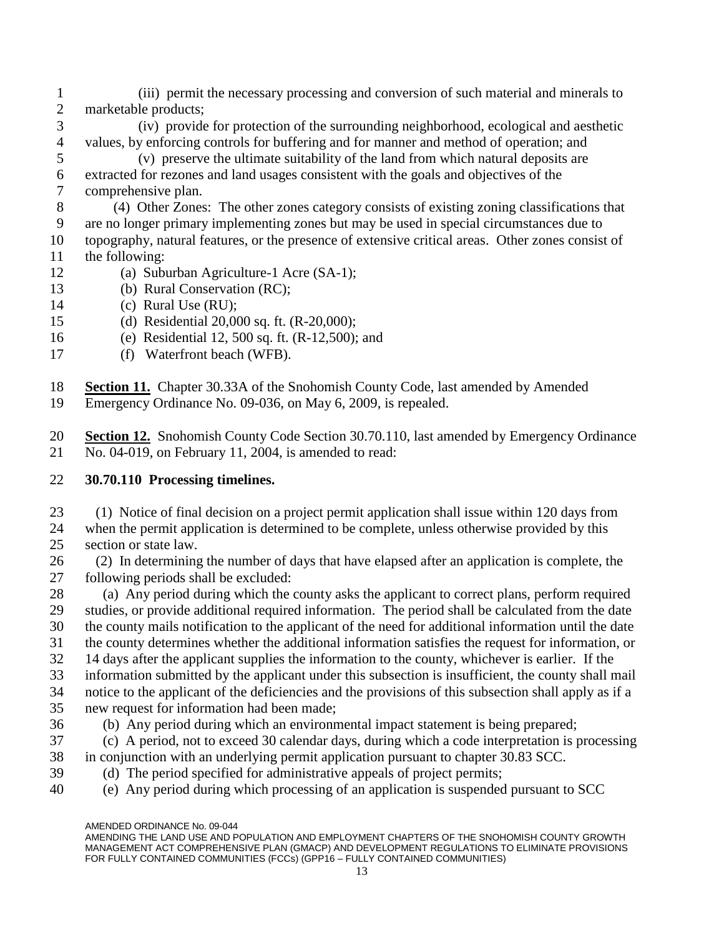- 1 (iii) permit the necessary processing and conversion of such material and minerals to marketable products;
- 3 (iv) provide for protection of the surrounding neighborhood, ecological and aesthetic values, by enforcing controls for buffering and for manner and method of operation; and
- 5 (v) preserve the ultimate suitability of the land from which natural deposits are extracted for rezones and land usages consistent with the goals and objectives of the comprehensive plan.
- 8 (4) Other Zones: The other zones category consists of existing zoning classifications that are no longer primary implementing zones but may be used in special circumstances due to topography, natural features, or the presence of extensive critical areas. Other zones consist of the following:
- 12 (a) Suburban Agriculture-1 Acre (SA-1);
- 13 (b) Rural Conservation (RC);
- 14 (c) Rural Use (RU);
- 15 (d) Residential 20,000 sq. ft. (R-20,000);
- 16 (e) Residential 12, 500 sq. ft. (R-12,500); and
- 17 (f) Waterfront beach (WFB).
- **Section 11.** Chapter 30.33A of the Snohomish County Code, last amended by Amended
- Emergency Ordinance No. 09-036, on May 6, 2009, is repealed.
- **Section 12.** Snohomish County Code Section 30.70.110, last amended by Emergency Ordinance No. 04-019, on February 11, 2004, is amended to read:

## **30.70.110 Processing timelines.**

- 23 (1) Notice of final decision on a project permit application shall issue within 120 days from when the permit application is determined to be complete, unless otherwise provided by this section or state law.
- 26 (2) In determining the number of days that have elapsed after an application is complete, the following periods shall be excluded:
- (a) Any period during which the county asks the applicant to correct plans, perform required studies, or provide additional required information. The period shall be calculated from the date the county mails notification to the applicant of the need for additional information until the date the county determines whether the additional information satisfies the request for information, or 14 days after the applicant supplies the information to the county, whichever is earlier. If the
- information submitted by the applicant under this subsection is insufficient, the county shall mail notice to the applicant of the deficiencies and the provisions of this subsection shall apply as if a
- new request for information had been made;
- (b) Any period during which an environmental impact statement is being prepared;
- 37 (c) A period, not to exceed 30 calendar days, during which a code interpretation is processing in conjunction with an underlying permit application pursuant to chapter 30.83 SCC.
- (d) The period specified for administrative appeals of project permits;
- (e) Any period during which processing of an application is suspended pursuant to SCC

AMENDED ORDINANCE No. 09-044

AMENDING THE LAND USE AND POPULATION AND EMPLOYMENT CHAPTERS OF THE SNOHOMISH COUNTY GROWTH MANAGEMENT ACT COMPREHENSIVE PLAN (GMACP) AND DEVELOPMENT REGULATIONS TO ELIMINATE PROVISIONS FOR FULLY CONTAINED COMMUNITIES (FCCs) (GPP16 - FULLY CONTAINED COMMUNITIES)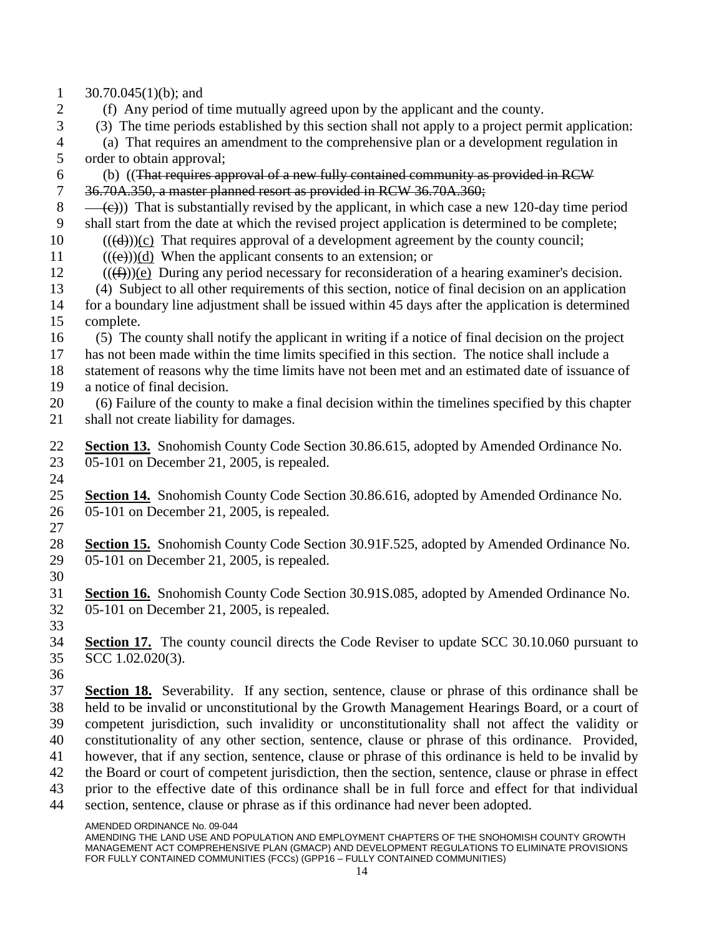- 1  $30.70.045(1)(b)$ ; and
- (f) Any period of time mutually agreed upon by the applicant and the county.
- 3 (3) The time periods established by this section shall not apply to a project permit application:

 (a) That requires an amendment to the comprehensive plan or a development regulation in order to obtain approval;

- (b) ((That requires approval of a new fully contained community as provided in RCW
- 36.70A.350, a master planned resort as provided in RCW 36.70A.360;
- $(8 \quad -\left(\frac{c}{c}\right))$  That is substantially revised by the applicant, in which case a new 120-day time period shall start from the date at which the revised project application is determined to be complete;
- ((( $(d)$ ))(c) That requires approval of a development agreement by the county council;
- 11  $((\epsilon))$ (d) When the applicant consents to an extension; or
- (((f)))(e) During any period necessary for reconsideration of a hearing examiner's decision.
- 13 (4) Subject to all other requirements of this section, notice of final decision on an application for a boundary line adjustment shall be issued within 45 days after the application is determined complete.
- 16 (5) The county shall notify the applicant in writing if a notice of final decision on the project has not been made within the time limits specified in this section. The notice shall include a
- statement of reasons why the time limits have not been met and an estimated date of issuance of a notice of final decision.
- 20 (6) Failure of the county to make a final decision within the timelines specified by this chapter shall not create liability for damages.
- **Section 13.** Snohomish County Code Section 30.86.615, adopted by Amended Ordinance No. 05-101 on December 21, 2005, is repealed.
- 
- **Section 14.** Snohomish County Code Section 30.86.616, adopted by Amended Ordinance No. 05-101 on December 21, 2005, is repealed.
- 
- **Section 15.** Snohomish County Code Section 30.91F.525, adopted by Amended Ordinance No. 05-101 on December 21, 2005, is repealed.
- 
- **Section 16.** Snohomish County Code Section 30.91S.085, adopted by Amended Ordinance No. 05-101 on December 21, 2005, is repealed.
- 
- **Section 17.** The county council directs the Code Reviser to update SCC 30.10.060 pursuant to SCC 1.02.020(3).
- 
- **Section 18.** Severability. If any section, sentence, clause or phrase of this ordinance shall be held to be invalid or unconstitutional by the Growth Management Hearings Board, or a court of competent jurisdiction, such invalidity or unconstitutionality shall not affect the validity or constitutionality of any other section, sentence, clause or phrase of this ordinance. Provided, however, that if any section, sentence, clause or phrase of this ordinance is held to be invalid by the Board or court of competent jurisdiction, then the section, sentence, clause or phrase in effect prior to the effective date of this ordinance shall be in full force and effect for that individual section, sentence, clause or phrase as if this ordinance had never been adopted.

AMENDED ORDINANCE No. 09-044

AMENDING THE LAND USE AND POPULATION AND EMPLOYMENT CHAPTERS OF THE SNOHOMISH COUNTY GROWTH MANAGEMENT ACT COMPREHENSIVE PLAN (GMACP) AND DEVELOPMENT REGULATIONS TO ELIMINATE PROVISIONS FOR FULLY CONTAINED COMMUNITIES (FCCs) (GPP16 - FULLY CONTAINED COMMUNITIES)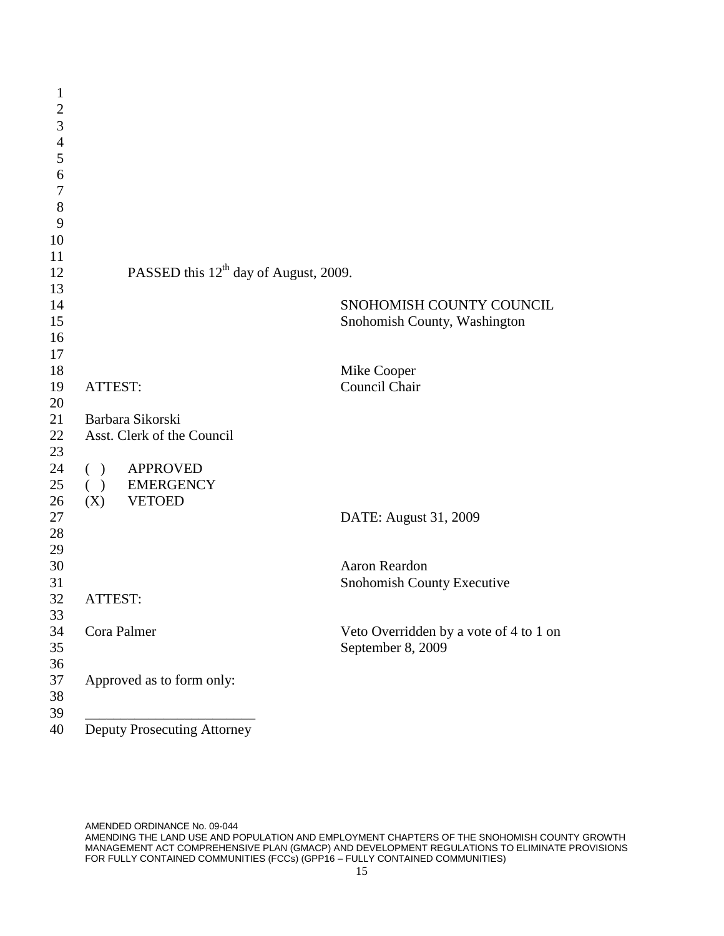| $\mathbf{1}$     |                                                   |                                        |
|------------------|---------------------------------------------------|----------------------------------------|
| $\boldsymbol{2}$ |                                                   |                                        |
| 3                |                                                   |                                        |
| $\overline{4}$   |                                                   |                                        |
| 5                |                                                   |                                        |
| 6                |                                                   |                                        |
| $\tau$           |                                                   |                                        |
| 8                |                                                   |                                        |
| 9                |                                                   |                                        |
| 10               |                                                   |                                        |
| 11               |                                                   |                                        |
| 12               | PASSED this 12 <sup>th</sup> day of August, 2009. |                                        |
| 13               |                                                   |                                        |
| 14               |                                                   | SNOHOMISH COUNTY COUNCIL               |
| 15               |                                                   | Snohomish County, Washington           |
| 16               |                                                   |                                        |
| 17               |                                                   |                                        |
| 18               |                                                   | Mike Cooper                            |
| 19               | ATTEST:                                           | Council Chair                          |
| 20               |                                                   |                                        |
| 21               | Barbara Sikorski                                  |                                        |
| 22               | Asst. Clerk of the Council                        |                                        |
| 23               |                                                   |                                        |
| 24               | <b>APPROVED</b><br>$\left($<br>$\lambda$          |                                        |
| 25               | ( ) EMERGENCY                                     |                                        |
| 26               | $(X)$ VETOED                                      |                                        |
| 27               |                                                   | DATE: August 31, 2009                  |
| 28               |                                                   |                                        |
| 29               |                                                   |                                        |
| 30               |                                                   | Aaron Reardon                          |
| 31               |                                                   | Snohomish County Executive             |
| 32               | ATTEST:                                           |                                        |
| 33               |                                                   |                                        |
| 34               | Cora Palmer                                       | Veto Overridden by a vote of 4 to 1 on |
| 35               |                                                   | September 8, 2009                      |
| 36               |                                                   |                                        |
| 37               | Approved as to form only:                         |                                        |
| 38               |                                                   |                                        |
| 39               |                                                   |                                        |
| 40               | <b>Deputy Prosecuting Attorney</b>                |                                        |

AMENDED ORDINANCE No. 09-044 AMENDING THE LAND USE AND POPULATION AND EMPLOYMENT CHAPTERS OF THE SNOHOMISH COUNTY GROWTH MANAGEMENT ACT COMPREHENSIVE PLAN (GMACP) AND DEVELOPMENT REGULATIONS TO ELIMINATE PROVISIONS FOR FULLY CONTAINED COMMUNITIES (FCCs) (GPP16 – FULLY CONTAINED COMMUNITIES)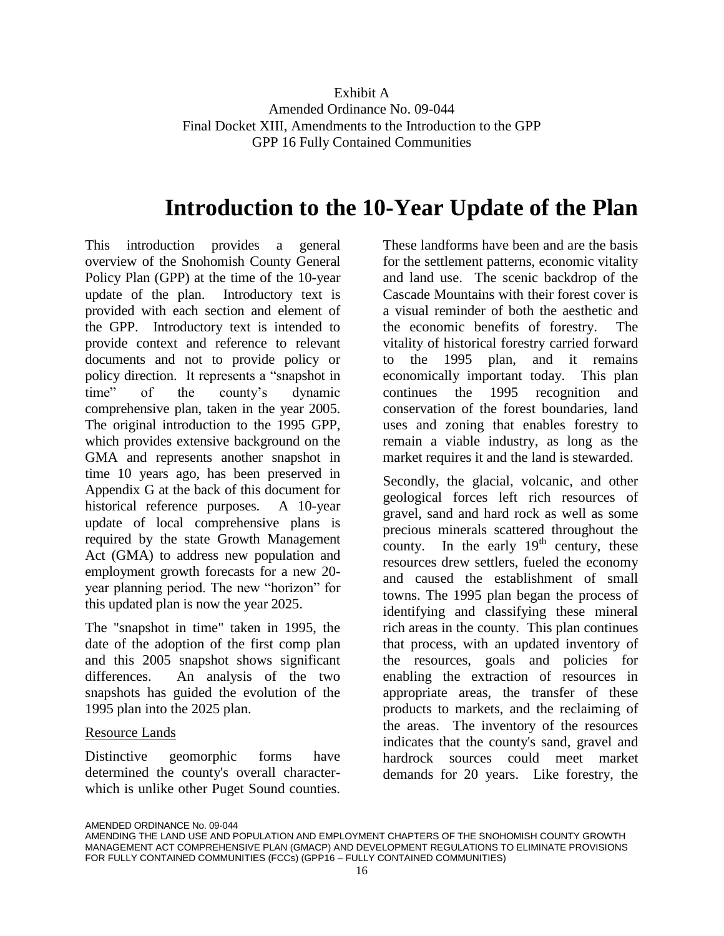# **Introduction to the 10-Year Update of the Plan**

This introduction provides a general overview of the Snohomish County General Policy Plan (GPP) at the time of the 10-year update of the plan. Introductory text is provided with each section and element of the GPP. Introductory text is intended to provide context and reference to relevant documents and not to provide policy or policy direction. It represents a "snapshot in time" of the county's dynamic comprehensive plan, taken in the year 2005. The original introduction to the 1995 GPP, which provides extensive background on the GMA and represents another snapshot in time 10 years ago, has been preserved in Appendix G at the back of this document for historical reference purposes. A 10-year update of local comprehensive plans is required by the state Growth Management Act (GMA) to address new population and employment growth forecasts for a new 20 year planning period. The new "horizon" for this updated plan is now the year 2025.

The "snapshot in time" taken in 1995, the date of the adoption of the first comp plan and this 2005 snapshot shows significant differences. An analysis of the two snapshots has guided the evolution of the 1995 plan into the 2025 plan.

#### Resource Lands

Distinctive geomorphic forms have determined the county's overall characterwhich is unlike other Puget Sound counties. These landforms have been and are the basis for the settlement patterns, economic vitality and land use. The scenic backdrop of the Cascade Mountains with their forest cover is a visual reminder of both the aesthetic and the economic benefits of forestry. The vitality of historical forestry carried forward to the 1995 plan, and it remains economically important today. This plan continues the 1995 recognition and conservation of the forest boundaries, land uses and zoning that enables forestry to remain a viable industry, as long as the market requires it and the land is stewarded.

Secondly, the glacial, volcanic, and other geological forces left rich resources of gravel, sand and hard rock as well as some precious minerals scattered throughout the county. In the early  $19<sup>th</sup>$  century, these resources drew settlers, fueled the economy and caused the establishment of small towns. The 1995 plan began the process of identifying and classifying these mineral rich areas in the county. This plan continues that process, with an updated inventory of the resources, goals and policies for enabling the extraction of resources in appropriate areas, the transfer of these products to markets, and the reclaiming of the areas. The inventory of the resources indicates that the county's sand, gravel and hardrock sources could meet market demands for 20 years. Like forestry, the

AMENDING THE LAND USE AND POPULATION AND EMPLOYMENT CHAPTERS OF THE SNOHOMISH COUNTY GROWTH MANAGEMENT ACT COMPREHENSIVE PLAN (GMACP) AND DEVELOPMENT REGULATIONS TO ELIMINATE PROVISIONS FOR FULLY CONTAINED COMMUNITIES (FCCs) (GPP16 – FULLY CONTAINED COMMUNITIES)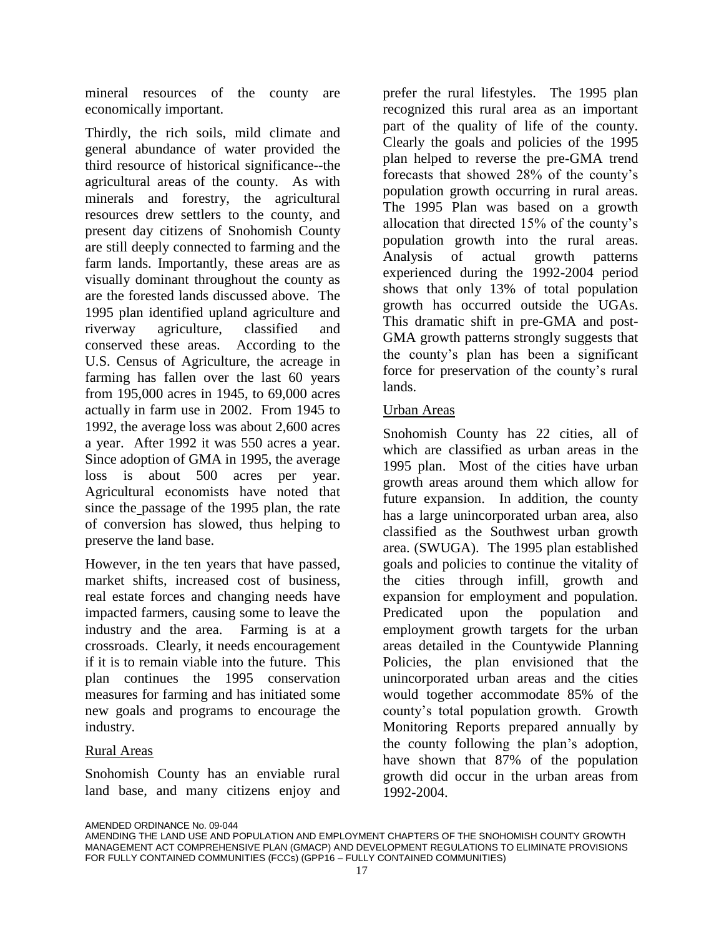mineral resources of the county are economically important.

Thirdly, the rich soils, mild climate and general abundance of water provided the third resource of historical significance--the agricultural areas of the county. As with minerals and forestry, the agricultural resources drew settlers to the county, and present day citizens of Snohomish County are still deeply connected to farming and the farm lands. Importantly, these areas are as visually dominant throughout the county as are the forested lands discussed above. The 1995 plan identified upland agriculture and riverway agriculture, classified and conserved these areas. According to the U.S. Census of Agriculture, the acreage in farming has fallen over the last 60 years from 195,000 acres in 1945, to 69,000 acres actually in farm use in 2002. From 1945 to 1992, the average loss was about 2,600 acres a year. After 1992 it was 550 acres a year. Since adoption of GMA in 1995, the average loss is about 500 acres per year. Agricultural economists have noted that since the passage of the 1995 plan, the rate of conversion has slowed, thus helping to preserve the land base.

However, in the ten years that have passed, market shifts, increased cost of business, real estate forces and changing needs have impacted farmers, causing some to leave the industry and the area. Farming is at a crossroads. Clearly, it needs encouragement if it is to remain viable into the future. This plan continues the 1995 conservation measures for farming and has initiated some new goals and programs to encourage the industry.

#### Rural Areas

Snohomish County has an enviable rural land base, and many citizens enjoy and

prefer the rural lifestyles. The 1995 plan recognized this rural area as an important part of the quality of life of the county. Clearly the goals and policies of the 1995 plan helped to reverse the pre-GMA trend forecasts that showed 28% of the county's population growth occurring in rural areas. The 1995 Plan was based on a growth allocation that directed 15% of the county's population growth into the rural areas. Analysis of actual growth patterns experienced during the 1992-2004 period shows that only 13% of total population growth has occurred outside the UGAs. This dramatic shift in pre-GMA and post-GMA growth patterns strongly suggests that the county's plan has been a significant force for preservation of the county's rural lands.

#### Urban Areas

Snohomish County has 22 cities, all of which are classified as urban areas in the 1995 plan. Most of the cities have urban growth areas around them which allow for future expansion. In addition, the county has a large unincorporated urban area, also classified as the Southwest urban growth area. (SWUGA). The 1995 plan established goals and policies to continue the vitality of the cities through infill, growth and expansion for employment and population. Predicated upon the population and employment growth targets for the urban areas detailed in the Countywide Planning Policies, the plan envisioned that the unincorporated urban areas and the cities would together accommodate 85% of the county's total population growth. Growth Monitoring Reports prepared annually by the county following the plan's adoption, have shown that 87% of the population growth did occur in the urban areas from 1992-2004.

AMENDING THE LAND USE AND POPULATION AND EMPLOYMENT CHAPTERS OF THE SNOHOMISH COUNTY GROWTH MANAGEMENT ACT COMPREHENSIVE PLAN (GMACP) AND DEVELOPMENT REGULATIONS TO ELIMINATE PROVISIONS FOR FULLY CONTAINED COMMUNITIES (FCCs) (GPP16 – FULLY CONTAINED COMMUNITIES)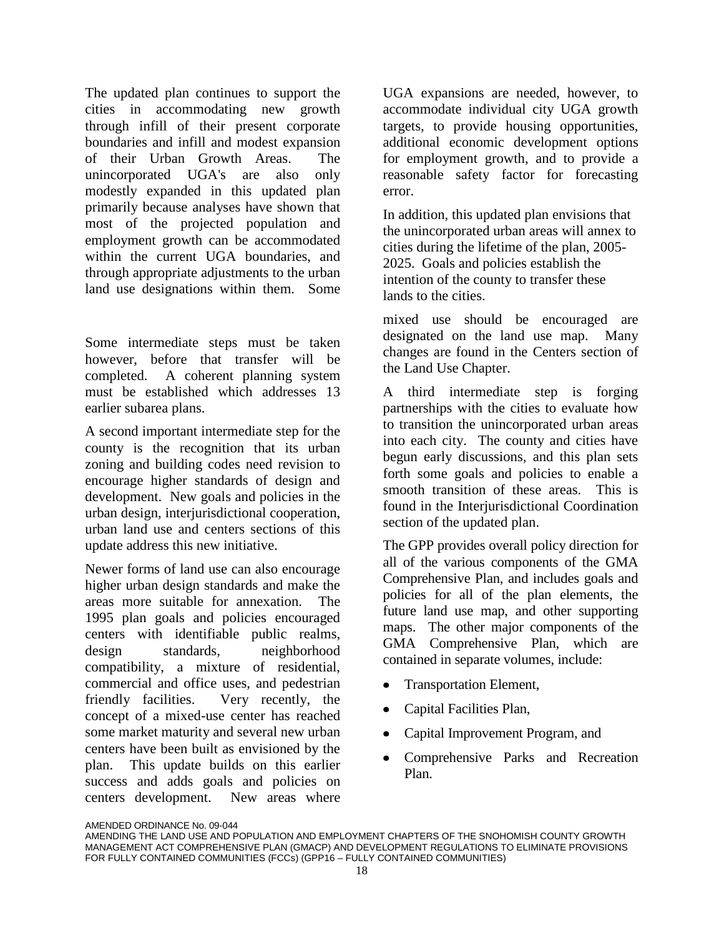The updated plan continues to support the cities in accommodating new growth through infill of their present corporate boundaries and infill and modest expansion of their Urban Growth Areas. The unincorporated UGA's are also only modestly expanded in this updated plan primarily because analyses have shown that most of the projected population and employment growth can be accommodated within the current UGA boundaries, and through appropriate adjustments to the urban land use designations within them. Some

Some intermediate steps must be taken however, before that transfer will be completed. A coherent planning system must be established which addresses 13 earlier subarea plans.

A second important intermediate step for the county is the recognition that its urban zoning and building codes need revision to encourage higher standards of design and development. New goals and policies in the urban design, interjurisdictional cooperation, urban land use and centers sections of this update address this new initiative.

Newer forms of land use can also encourage higher urban design standards and make the areas more suitable for annexation. The 1995 plan goals and policies encouraged centers with identifiable public realms, design standards, neighborhood compatibility, a mixture of residential, commercial and office uses, and pedestrian friendly facilities. Very recently, the concept of a mixed-use center has reached some market maturity and several new urban centers have been built as envisioned by the plan. This update builds on this earlier success and adds goals and policies on centers development. New areas where

UGA expansions are needed, however, to accommodate individual city UGA growth targets, to provide housing opportunities, additional economic development options for employment growth, and to provide a reasonable safety factor for forecasting error.

In addition, this updated plan envisions that the unincorporated urban areas will annex to cities during the lifetime of the plan, 2005- 2025. Goals and policies establish the intention of the county to transfer these lands to the cities.

mixed use should be encouraged are designated on the land use map. Many changes are found in the Centers section of the Land Use Chapter.

A third intermediate step is forging partnerships with the cities to evaluate how to transition the unincorporated urban areas into each city. The county and cities have begun early discussions, and this plan sets forth some goals and policies to enable a smooth transition of these areas. This is found in the Interiurisdictional Coordination section of the updated plan.

The GPP provides overall policy direction for all of the various components of the GMA Comprehensive Plan, and includes goals and policies for all of the plan elements, the future land use map, and other supporting maps. The other major components of the GMA Comprehensive Plan, which are contained in separate volumes, include:

- Transportation Element,  $\bullet$
- Capital Facilities Plan,
- Capital Improvement Program, and
- Comprehensive Parks and Recreation Plan.

AMENDING THE LAND USE AND POPULATION AND EMPLOYMENT CHAPTERS OF THE SNOHOMISH COUNTY GROWTH MANAGEMENT ACT COMPREHENSIVE PLAN (GMACP) AND DEVELOPMENT REGULATIONS TO ELIMINATE PROVISIONS FOR FULLY CONTAINED COMMUNITIES (FCCs) (GPP16 – FULLY CONTAINED COMMUNITIES)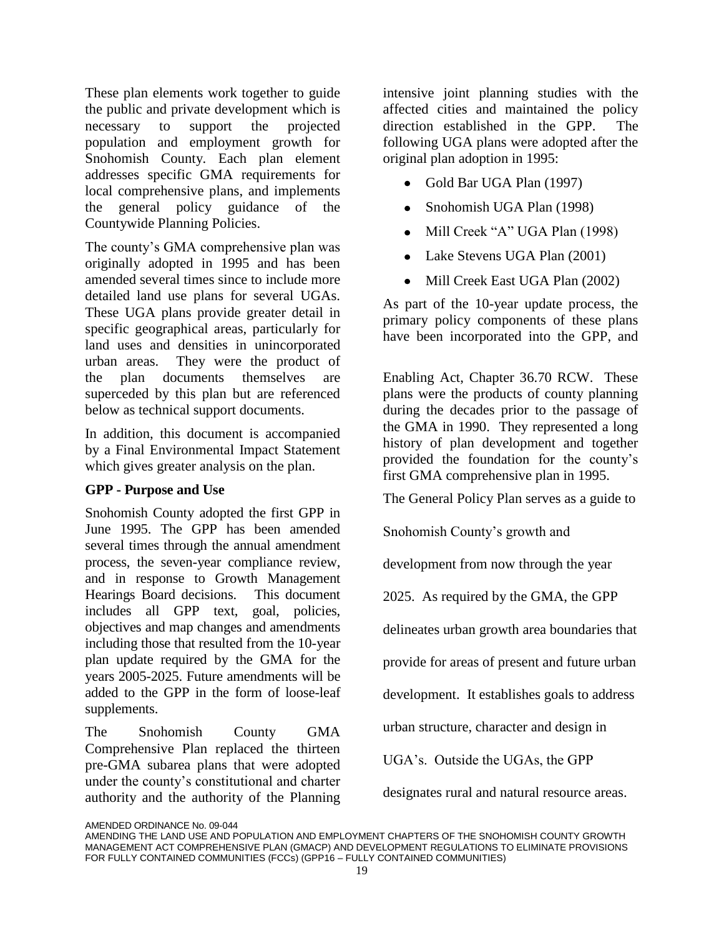These plan elements work together to guide the public and private development which is necessary to support the projected population and employment growth for Snohomish County. Each plan element addresses specific GMA requirements for local comprehensive plans, and implements the general policy guidance of the Countywide Planning Policies.

The county's GMA comprehensive plan was originally adopted in 1995 and has been amended several times since to include more detailed land use plans for several UGAs. These UGA plans provide greater detail in specific geographical areas, particularly for land uses and densities in unincorporated urban areas. They were the product of the plan documents themselves are superceded by this plan but are referenced below as technical support documents.

In addition, this document is accompanied by a Final Environmental Impact Statement which gives greater analysis on the plan.

#### **GPP - Purpose and Use**

Snohomish County adopted the first GPP in June 1995. The GPP has been amended several times through the annual amendment process, the seven-year compliance review, and in response to Growth Management Hearings Board decisions. This document includes all GPP text, goal, policies, objectives and map changes and amendments including those that resulted from the 10-year plan update required by the GMA for the years 2005-2025. Future amendments will be added to the GPP in the form of loose-leaf supplements.

The Snohomish County GMA Comprehensive Plan replaced the thirteen pre-GMA subarea plans that were adopted under the county's constitutional and charter authority and the authority of the Planning

intensive joint planning studies with the affected cities and maintained the policy direction established in the GPP. The following UGA plans were adopted after the original plan adoption in 1995:

- Gold Bar UGA Plan (1997)  $\bullet$
- $\bullet$ Snohomish UGA Plan (1998)
- Mill Creek "A" UGA Plan (1998)  $\bullet$
- Lake Stevens UGA Plan (2001)  $\bullet$
- Mill Creek East UGA Plan (2002)  $\bullet$

As part of the 10-year update process, the primary policy components of these plans have been incorporated into the GPP, and

Enabling Act, Chapter 36.70 RCW. These plans were the products of county planning during the decades prior to the passage of the GMA in 1990. They represented a long history of plan development and together provided the foundation for the county's first GMA comprehensive plan in 1995.

The General Policy Plan serves as a guide to

Snohomish County's growth and

development from now through the year

2025. As required by the GMA, the GPP

delineates urban growth area boundaries that

provide for areas of present and future urban

development. It establishes goals to address

urban structure, character and design in

UGA's. Outside the UGAs, the GPP

designates rural and natural resource areas.

AMENDING THE LAND USE AND POPULATION AND EMPLOYMENT CHAPTERS OF THE SNOHOMISH COUNTY GROWTH MANAGEMENT ACT COMPREHENSIVE PLAN (GMACP) AND DEVELOPMENT REGULATIONS TO ELIMINATE PROVISIONS FOR FULLY CONTAINED COMMUNITIES (FCCs) (GPP16 – FULLY CONTAINED COMMUNITIES)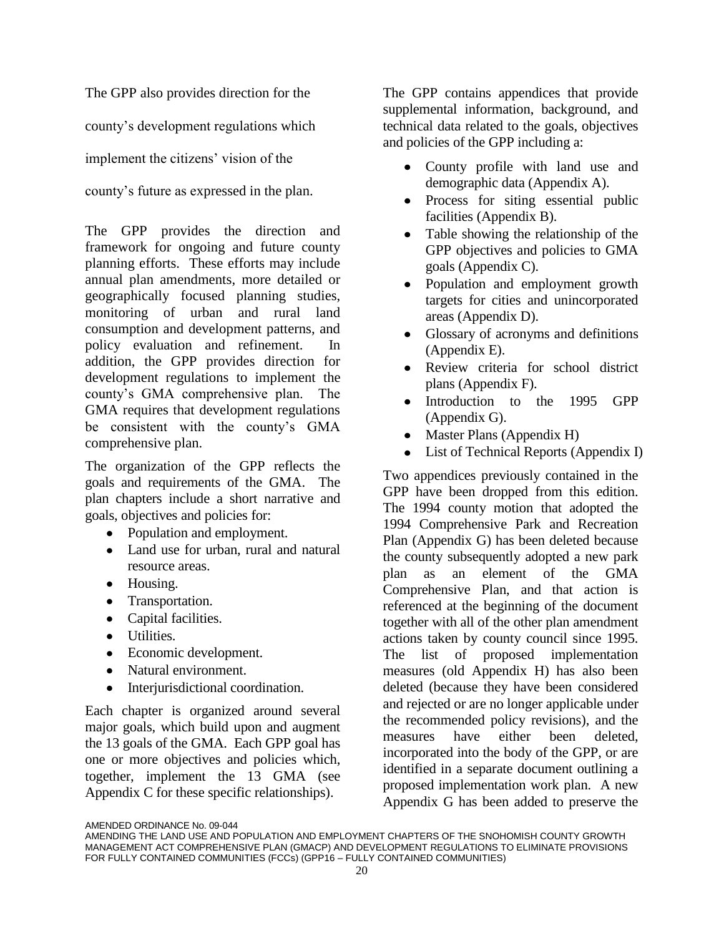The GPP also provides direction for the

county's development regulations which

implement the citizens' vision of the

county's future as expressed in the plan.

The GPP provides the direction and framework for ongoing and future county planning efforts. These efforts may include annual plan amendments, more detailed or geographically focused planning studies, monitoring of urban and rural land consumption and development patterns, and policy evaluation and refinement. In addition, the GPP provides direction for development regulations to implement the county's GMA comprehensive plan. The GMA requires that development regulations be consistent with the county's GMA comprehensive plan.

The organization of the GPP reflects the goals and requirements of the GMA. The plan chapters include a short narrative and goals, objectives and policies for:

- Population and employment.
- Land use for urban, rural and natural resource areas.
- Housing.
- Transportation.
- Capital facilities.
- Utilities.
- Economic development.
- Natural environment.
- Interjurisdictional coordination.

Each chapter is organized around several major goals, which build upon and augment the 13 goals of the GMA. Each GPP goal has one or more objectives and policies which, together, implement the 13 GMA (see Appendix C for these specific relationships).

The GPP contains appendices that provide supplemental information, background, and technical data related to the goals, objectives and policies of the GPP including a:

- County profile with land use and demographic data (Appendix A).
- Process for siting essential public facilities (Appendix B).
- Table showing the relationship of the GPP objectives and policies to GMA goals (Appendix C).
- Population and employment growth targets for cities and unincorporated areas (Appendix D).
- Glossary of acronyms and definitions (Appendix E).
- Review criteria for school district  $\bullet$ plans (Appendix F).
- Introduction to the 1995 GPP (Appendix G).
- Master Plans (Appendix H)
- List of Technical Reports (Appendix I)

Two appendices previously contained in the GPP have been dropped from this edition. The 1994 county motion that adopted the 1994 Comprehensive Park and Recreation Plan (Appendix G) has been deleted because the county subsequently adopted a new park plan as an element of the GMA Comprehensive Plan, and that action is referenced at the beginning of the document together with all of the other plan amendment actions taken by county council since 1995. The list of proposed implementation measures (old Appendix H) has also been deleted (because they have been considered and rejected or are no longer applicable under the recommended policy revisions), and the measures have either been deleted, incorporated into the body of the GPP, or are identified in a separate document outlining a proposed implementation work plan. A new Appendix G has been added to preserve the

AMENDING THE LAND USE AND POPULATION AND EMPLOYMENT CHAPTERS OF THE SNOHOMISH COUNTY GROWTH MANAGEMENT ACT COMPREHENSIVE PLAN (GMACP) AND DEVELOPMENT REGULATIONS TO ELIMINATE PROVISIONS FOR FULLY CONTAINED COMMUNITIES (FCCs) (GPP16 – FULLY CONTAINED COMMUNITIES)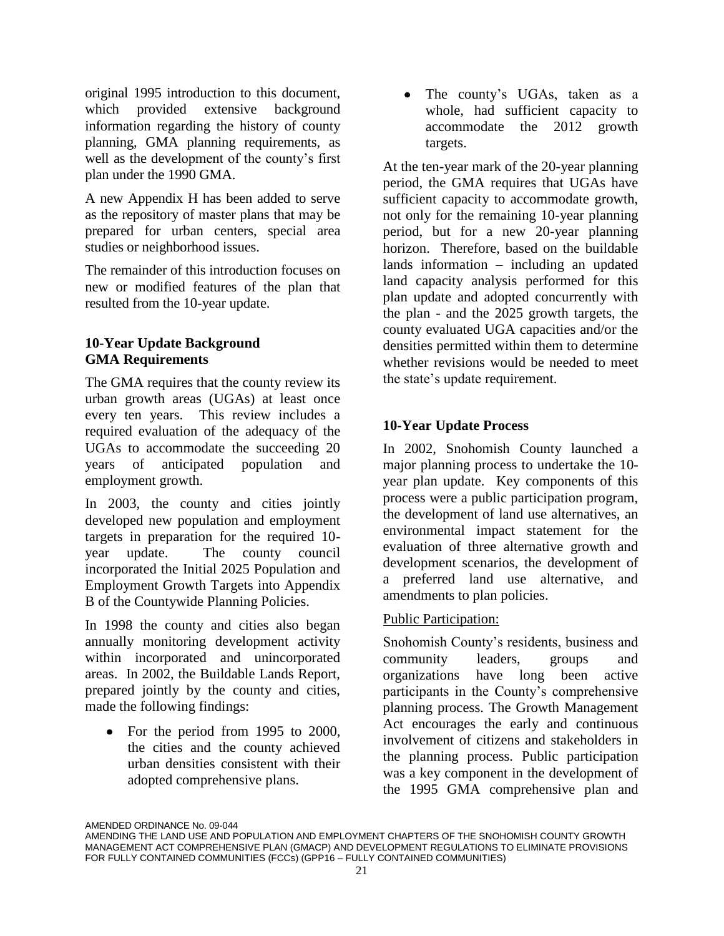original 1995 introduction to this document, which provided extensive background information regarding the history of county planning, GMA planning requirements, as well as the development of the county's first plan under the 1990 GMA.

A new Appendix H has been added to serve as the repository of master plans that may be prepared for urban centers, special area studies or neighborhood issues.

The remainder of this introduction focuses on new or modified features of the plan that resulted from the 10-year update.

#### **10-Year Update Background GMA Requirements**

The GMA requires that the county review its urban growth areas (UGAs) at least once every ten years. This review includes a required evaluation of the adequacy of the UGAs to accommodate the succeeding 20 years of anticipated population and employment growth.

In 2003, the county and cities jointly developed new population and employment targets in preparation for the required 10 year update. The county council incorporated the Initial 2025 Population and Employment Growth Targets into Appendix B of the Countywide Planning Policies.

In 1998 the county and cities also began annually monitoring development activity within incorporated and unincorporated areas. In 2002, the Buildable Lands Report, prepared jointly by the county and cities, made the following findings:

• For the period from 1995 to 2000, the cities and the county achieved urban densities consistent with their adopted comprehensive plans.

The county's UGAs, taken as a  $\bullet$ whole, had sufficient capacity to accommodate the 2012 growth targets.

At the ten-year mark of the 20-year planning period, the GMA requires that UGAs have sufficient capacity to accommodate growth, not only for the remaining 10-year planning period, but for a new 20-year planning horizon. Therefore, based on the buildable lands information – including an updated land capacity analysis performed for this plan update and adopted concurrently with the plan - and the 2025 growth targets, the county evaluated UGA capacities and/or the densities permitted within them to determine whether revisions would be needed to meet the state's update requirement.

### **10-Year Update Process**

In 2002, Snohomish County launched a major planning process to undertake the 10 year plan update. Key components of this process were a public participation program, the development of land use alternatives, an environmental impact statement for the evaluation of three alternative growth and development scenarios, the development of a preferred land use alternative, and amendments to plan policies.

#### Public Participation:

Snohomish County's residents, business and community leaders, groups and organizations have long been active participants in the County's comprehensive planning process. The Growth Management Act encourages the early and continuous involvement of citizens and stakeholders in the planning process. Public participation was a key component in the development of the 1995 GMA comprehensive plan and

AMENDING THE LAND USE AND POPULATION AND EMPLOYMENT CHAPTERS OF THE SNOHOMISH COUNTY GROWTH MANAGEMENT ACT COMPREHENSIVE PLAN (GMACP) AND DEVELOPMENT REGULATIONS TO ELIMINATE PROVISIONS FOR FULLY CONTAINED COMMUNITIES (FCCs) (GPP16 – FULLY CONTAINED COMMUNITIES)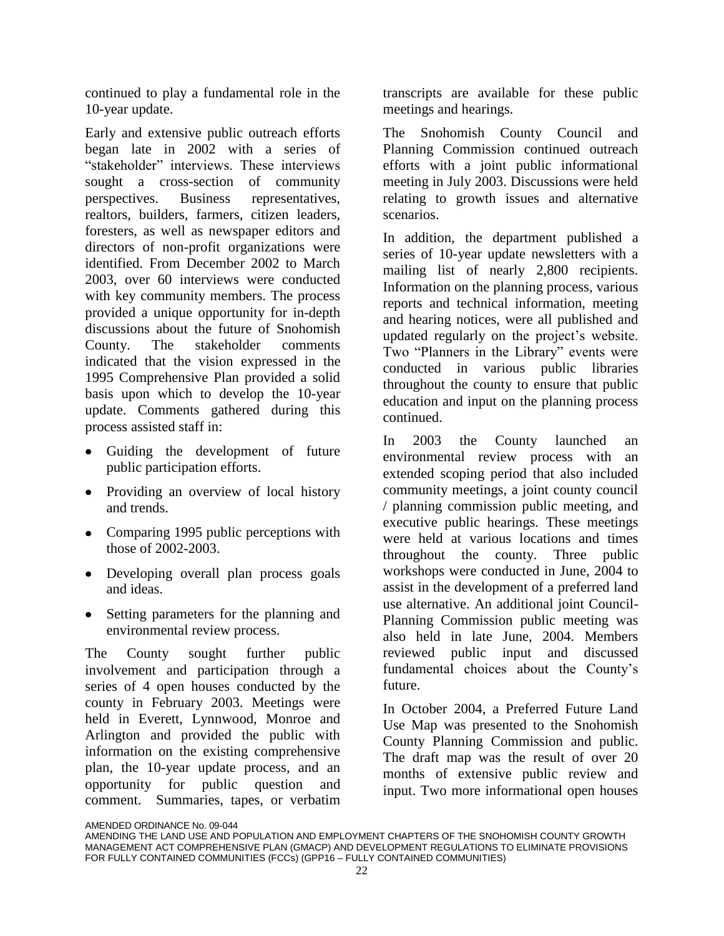continued to play a fundamental role in the 10-year update.

Early and extensive public outreach efforts began late in 2002 with a series of "stakeholder" interviews. These interviews sought a cross-section of community perspectives. Business representatives, realtors, builders, farmers, citizen leaders, foresters, as well as newspaper editors and directors of non-profit organizations were identified. From December 2002 to March 2003, over 60 interviews were conducted with key community members. The process provided a unique opportunity for in-depth discussions about the future of Snohomish County. The stakeholder comments indicated that the vision expressed in the 1995 Comprehensive Plan provided a solid basis upon which to develop the 10-year update. Comments gathered during this process assisted staff in:

- Guiding the development of future public participation efforts.
- Providing an overview of local history and trends.
- Comparing 1995 public perceptions with those of 2002-2003.
- Developing overall plan process goals and ideas.
- Setting parameters for the planning and environmental review process.

The County sought further public involvement and participation through a series of 4 open houses conducted by the county in February 2003. Meetings were held in Everett, Lynnwood, Monroe and Arlington and provided the public with information on the existing comprehensive plan, the 10-year update process, and an opportunity for public question and comment. Summaries, tapes, or verbatim

transcripts are available for these public meetings and hearings.

The Snohomish County Council and Planning Commission continued outreach efforts with a joint public informational meeting in July 2003. Discussions were held relating to growth issues and alternative scenarios.

In addition, the department published a series of 10-year update newsletters with a mailing list of nearly 2,800 recipients. Information on the planning process, various reports and technical information, meeting and hearing notices, were all published and updated regularly on the project's website. Two "Planners in the Library" events were conducted in various public libraries throughout the county to ensure that public education and input on the planning process continued.

In 2003 the County launched an environmental review process with an extended scoping period that also included community meetings, a joint county council / planning commission public meeting, and executive public hearings. These meetings were held at various locations and times throughout the county. Three public workshops were conducted in June, 2004 to assist in the development of a preferred land use alternative. An additional joint Council-Planning Commission public meeting was also held in late June, 2004. Members reviewed public input and discussed fundamental choices about the County's future.

In October 2004, a Preferred Future Land Use Map was presented to the Snohomish County Planning Commission and public. The draft map was the result of over 20 months of extensive public review and input. Two more informational open houses

AMENDING THE LAND USE AND POPULATION AND EMPLOYMENT CHAPTERS OF THE SNOHOMISH COUNTY GROWTH MANAGEMENT ACT COMPREHENSIVE PLAN (GMACP) AND DEVELOPMENT REGULATIONS TO ELIMINATE PROVISIONS FOR FULLY CONTAINED COMMUNITIES (FCCs) (GPP16 – FULLY CONTAINED COMMUNITIES)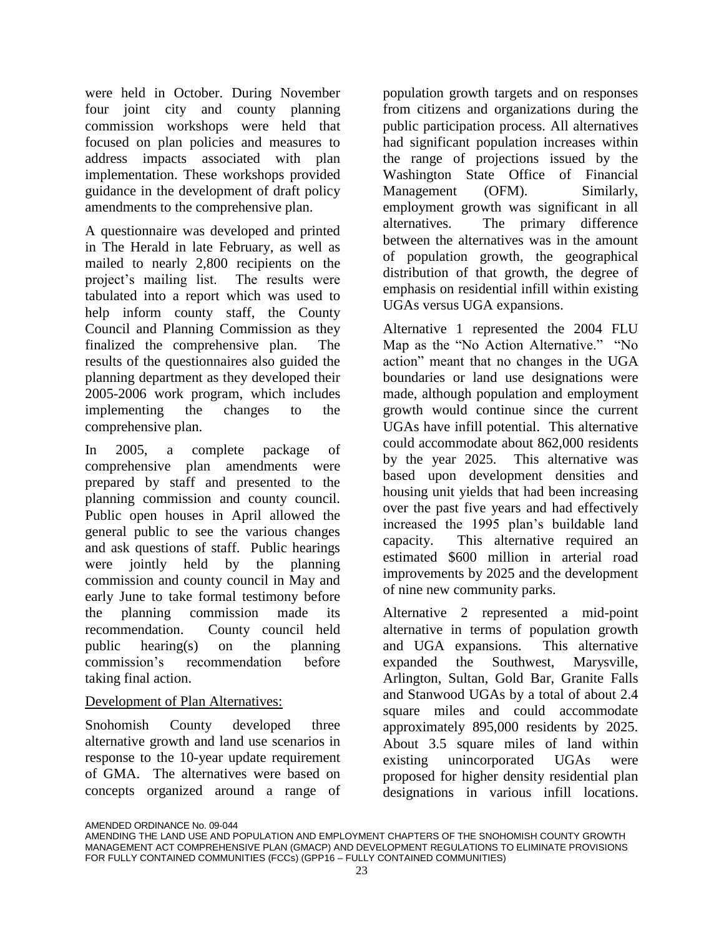were held in October. During November four joint city and county planning commission workshops were held that focused on plan policies and measures to address impacts associated with plan implementation. These workshops provided guidance in the development of draft policy amendments to the comprehensive plan.

A questionnaire was developed and printed in The Herald in late February, as well as mailed to nearly 2,800 recipients on the project's mailing list. The results were tabulated into a report which was used to help inform county staff, the County Council and Planning Commission as they finalized the comprehensive plan. The results of the questionnaires also guided the planning department as they developed their 2005-2006 work program, which includes implementing the changes to the comprehensive plan.

In 2005, a complete package of comprehensive plan amendments were prepared by staff and presented to the planning commission and county council. Public open houses in April allowed the general public to see the various changes and ask questions of staff. Public hearings were jointly held by the planning commission and county council in May and early June to take formal testimony before the planning commission made its recommendation. County council held public hearing(s) on the planning commission's recommendation before taking final action.

#### Development of Plan Alternatives:

Snohomish County developed three alternative growth and land use scenarios in response to the 10-year update requirement of GMA. The alternatives were based on concepts organized around a range of population growth targets and on responses from citizens and organizations during the public participation process. All alternatives had significant population increases within the range of projections issued by the Washington State Office of Financial Management (OFM). Similarly, employment growth was significant in all alternatives. The primary difference between the alternatives was in the amount of population growth, the geographical distribution of that growth, the degree of emphasis on residential infill within existing UGAs versus UGA expansions.

Alternative 1 represented the 2004 FLU Map as the "No Action Alternative." "No action" meant that no changes in the UGA boundaries or land use designations were made, although population and employment growth would continue since the current UGAs have infill potential. This alternative could accommodate about 862,000 residents by the year 2025. This alternative was based upon development densities and housing unit yields that had been increasing over the past five years and had effectively increased the 1995 plan's buildable land capacity. This alternative required an estimated \$600 million in arterial road improvements by 2025 and the development of nine new community parks.

Alternative 2 represented a mid-point alternative in terms of population growth and UGA expansions. This alternative expanded the Southwest, Marysville, Arlington, Sultan, Gold Bar, Granite Falls and Stanwood UGAs by a total of about 2.4 square miles and could accommodate approximately 895,000 residents by 2025. About 3.5 square miles of land within existing unincorporated UGAs were proposed for higher density residential plan designations in various infill locations.

AMENDING THE LAND USE AND POPULATION AND EMPLOYMENT CHAPTERS OF THE SNOHOMISH COUNTY GROWTH MANAGEMENT ACT COMPREHENSIVE PLAN (GMACP) AND DEVELOPMENT REGULATIONS TO ELIMINATE PROVISIONS FOR FULLY CONTAINED COMMUNITIES (FCCs) (GPP16 – FULLY CONTAINED COMMUNITIES)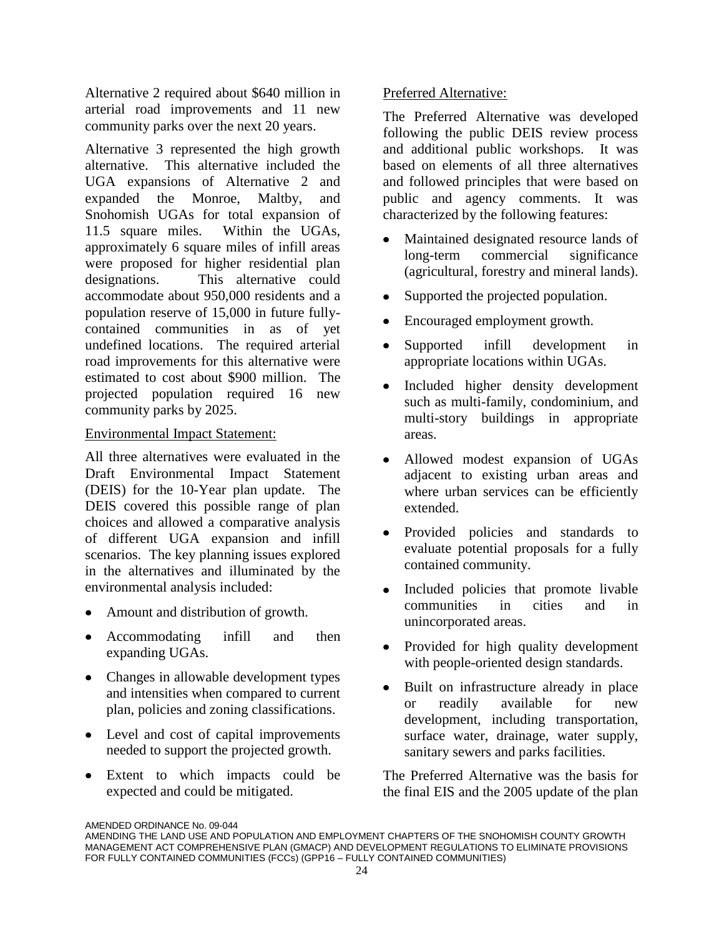Alternative 2 required about \$640 million in arterial road improvements and 11 new community parks over the next 20 years.

Alternative 3 represented the high growth alternative. This alternative included the UGA expansions of Alternative 2 and expanded the Monroe, Maltby, and Snohomish UGAs for total expansion of 11.5 square miles. Within the UGAs, approximately 6 square miles of infill areas were proposed for higher residential plan designations. This alternative could accommodate about 950,000 residents and a population reserve of 15,000 in future fullycontained communities in as of yet undefined locations. The required arterial road improvements for this alternative were estimated to cost about \$900 million. The projected population required 16 new community parks by 2025.

#### Environmental Impact Statement:

All three alternatives were evaluated in the Draft Environmental Impact Statement (DEIS) for the 10-Year plan update. The DEIS covered this possible range of plan choices and allowed a comparative analysis of different UGA expansion and infill scenarios. The key planning issues explored in the alternatives and illuminated by the environmental analysis included:

- Amount and distribution of growth.
- Accommodating infill and then expanding UGAs.
- Changes in allowable development types and intensities when compared to current plan, policies and zoning classifications.
- Level and cost of capital improvements needed to support the projected growth.
- Extent to which impacts could be expected and could be mitigated.

#### Preferred Alternative:

The Preferred Alternative was developed following the public DEIS review process and additional public workshops. It was based on elements of all three alternatives and followed principles that were based on public and agency comments. It was characterized by the following features:

- Maintained designated resource lands of  $\bullet$ long-term commercial significance (agricultural, forestry and mineral lands).
- Supported the projected population.  $\bullet$
- Encouraged employment growth.
- $\bullet$ Supported infill development in appropriate locations within UGAs.
- Included higher density development  $\bullet$ such as multi-family, condominium, and multi-story buildings in appropriate areas.
- Allowed modest expansion of UGAs  $\bullet$ adjacent to existing urban areas and where urban services can be efficiently extended.
- Provided policies and standards to  $\bullet$ evaluate potential proposals for a fully contained community.
- Included policies that promote livable  $\bullet$ communities in cities and in unincorporated areas.
- Provided for high quality development  $\bullet$ with people-oriented design standards.
- Built on infrastructure already in place or readily available for new development, including transportation, surface water, drainage, water supply, sanitary sewers and parks facilities.

The Preferred Alternative was the basis for the final EIS and the 2005 update of the plan

AMENDED ORDINANCE No. 09-044

AMENDING THE LAND USE AND POPULATION AND EMPLOYMENT CHAPTERS OF THE SNOHOMISH COUNTY GROWTH MANAGEMENT ACT COMPREHENSIVE PLAN (GMACP) AND DEVELOPMENT REGULATIONS TO ELIMINATE PROVISIONS FOR FULLY CONTAINED COMMUNITIES (FCCs) (GPP16 – FULLY CONTAINED COMMUNITIES)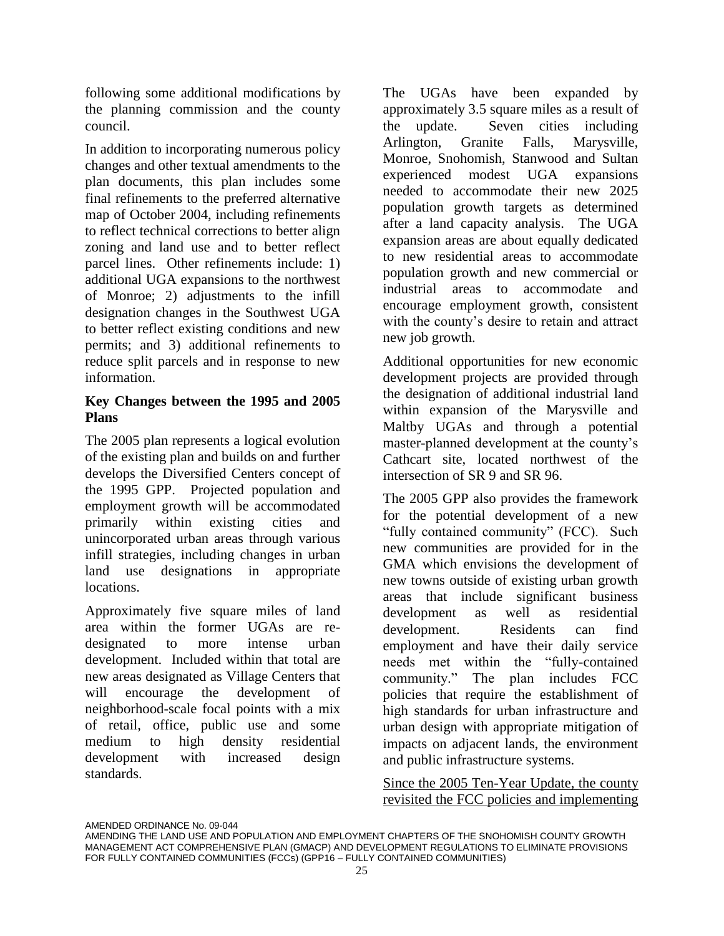following some additional modifications by the planning commission and the county council.

In addition to incorporating numerous policy changes and other textual amendments to the plan documents, this plan includes some final refinements to the preferred alternative map of October 2004, including refinements to reflect technical corrections to better align zoning and land use and to better reflect parcel lines. Other refinements include: 1) additional UGA expansions to the northwest of Monroe; 2) adjustments to the infill designation changes in the Southwest UGA to better reflect existing conditions and new permits; and 3) additional refinements to reduce split parcels and in response to new information.

#### **Key Changes between the 1995 and 2005 Plans**

The 2005 plan represents a logical evolution of the existing plan and builds on and further develops the Diversified Centers concept of the 1995 GPP. Projected population and employment growth will be accommodated primarily within existing cities and unincorporated urban areas through various infill strategies, including changes in urban land use designations in appropriate locations.

Approximately five square miles of land area within the former UGAs are redesignated to more intense urban development. Included within that total are new areas designated as Village Centers that will encourage the development of neighborhood-scale focal points with a mix of retail, office, public use and some medium to high density residential development with increased design standards.

The UGAs have been expanded by approximately 3.5 square miles as a result of the update. Seven cities including Arlington, Granite Falls, Marysville, Monroe, Snohomish, Stanwood and Sultan experienced modest UGA expansions needed to accommodate their new 2025 population growth targets as determined after a land capacity analysis. The UGA expansion areas are about equally dedicated to new residential areas to accommodate population growth and new commercial or industrial areas to accommodate and encourage employment growth, consistent with the county's desire to retain and attract new job growth.

Additional opportunities for new economic development projects are provided through the designation of additional industrial land within expansion of the Marysville and Maltby UGAs and through a potential master-planned development at the county's Cathcart site, located northwest of the intersection of SR 9 and SR 96.

The 2005 GPP also provides the framework for the potential development of a new "fully contained community" (FCC). Such new communities are provided for in the GMA which envisions the development of new towns outside of existing urban growth areas that include significant business development as well as residential development. Residents can find employment and have their daily service needs met within the "fully-contained community." The plan includes FCC policies that require the establishment of high standards for urban infrastructure and urban design with appropriate mitigation of impacts on adjacent lands, the environment and public infrastructure systems.

Since the 2005 Ten-Year Update, the county revisited the FCC policies and implementing

AMENDING THE LAND USE AND POPULATION AND EMPLOYMENT CHAPTERS OF THE SNOHOMISH COUNTY GROWTH MANAGEMENT ACT COMPREHENSIVE PLAN (GMACP) AND DEVELOPMENT REGULATIONS TO ELIMINATE PROVISIONS FOR FULLY CONTAINED COMMUNITIES (FCCs) (GPP16 – FULLY CONTAINED COMMUNITIES)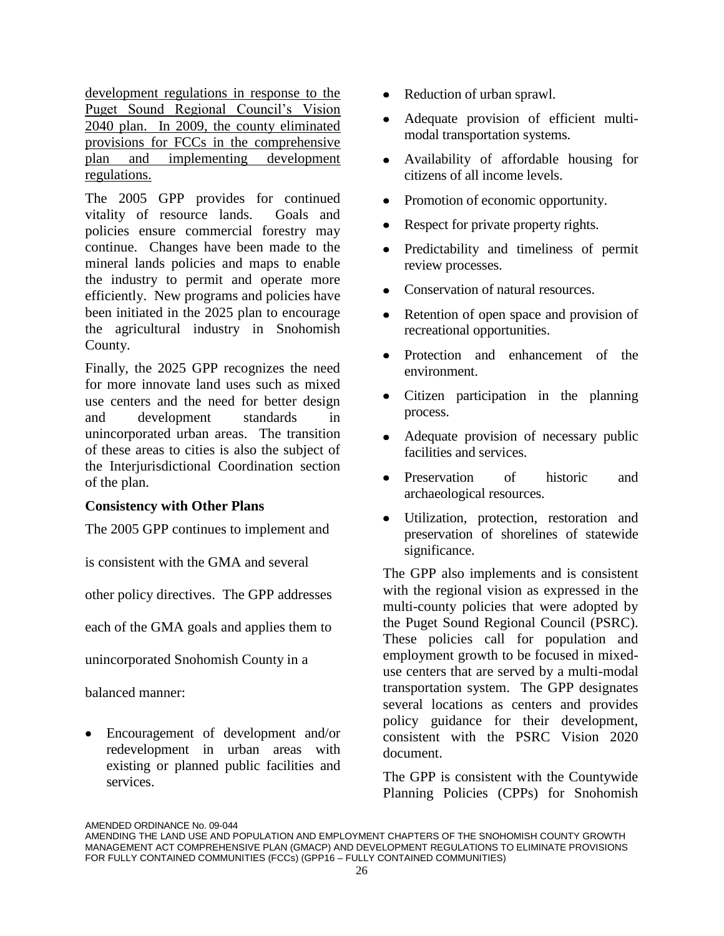development regulations in response to the Puget Sound Regional Council's Vision 2040 plan. In 2009, the county eliminated provisions for FCCs in the comprehensive plan and implementing development regulations.

The 2005 GPP provides for continued vitality of resource lands. Goals and policies ensure commercial forestry may continue. Changes have been made to the mineral lands policies and maps to enable the industry to permit and operate more efficiently. New programs and policies have been initiated in the 2025 plan to encourage the agricultural industry in Snohomish County.

Finally, the 2025 GPP recognizes the need for more innovate land uses such as mixed use centers and the need for better design and development standards in unincorporated urban areas. The transition of these areas to cities is also the subject of the Interjurisdictional Coordination section of the plan.

#### **Consistency with Other Plans**

The 2005 GPP continues to implement and

is consistent with the GMA and several

other policy directives. The GPP addresses

each of the GMA goals and applies them to

unincorporated Snohomish County in a

balanced manner:

Encouragement of development and/or redevelopment in urban areas with existing or planned public facilities and services.

- Reduction of urban sprawl.  $\bullet$
- Adequate provision of efficient multimodal transportation systems.
- Availability of affordable housing for  $\bullet$ citizens of all income levels.
- Promotion of economic opportunity.
- Respect for private property rights.
- Predictability and timeliness of permit  $\bullet$ review processes.
- Conservation of natural resources.
- Retention of open space and provision of  $\bullet$ recreational opportunities.
- Protection and enhancement of the  $\bullet$ environment.
- Citizen participation in the planning  $\bullet$ process.
- Adequate provision of necessary public  $\bullet$ facilities and services.
- Preservation of historic and archaeological resources.
- Utilization, protection, restoration and  $\bullet$ preservation of shorelines of statewide significance.

The GPP also implements and is consistent with the regional vision as expressed in the multi-county policies that were adopted by the Puget Sound Regional Council (PSRC). These policies call for population and employment growth to be focused in mixeduse centers that are served by a multi-modal transportation system. The GPP designates several locations as centers and provides policy guidance for their development, consistent with the PSRC Vision 2020 document.

The GPP is consistent with the Countywide Planning Policies (CPPs) for Snohomish

AMENDING THE LAND USE AND POPULATION AND EMPLOYMENT CHAPTERS OF THE SNOHOMISH COUNTY GROWTH MANAGEMENT ACT COMPREHENSIVE PLAN (GMACP) AND DEVELOPMENT REGULATIONS TO ELIMINATE PROVISIONS FOR FULLY CONTAINED COMMUNITIES (FCCs) (GPP16 – FULLY CONTAINED COMMUNITIES)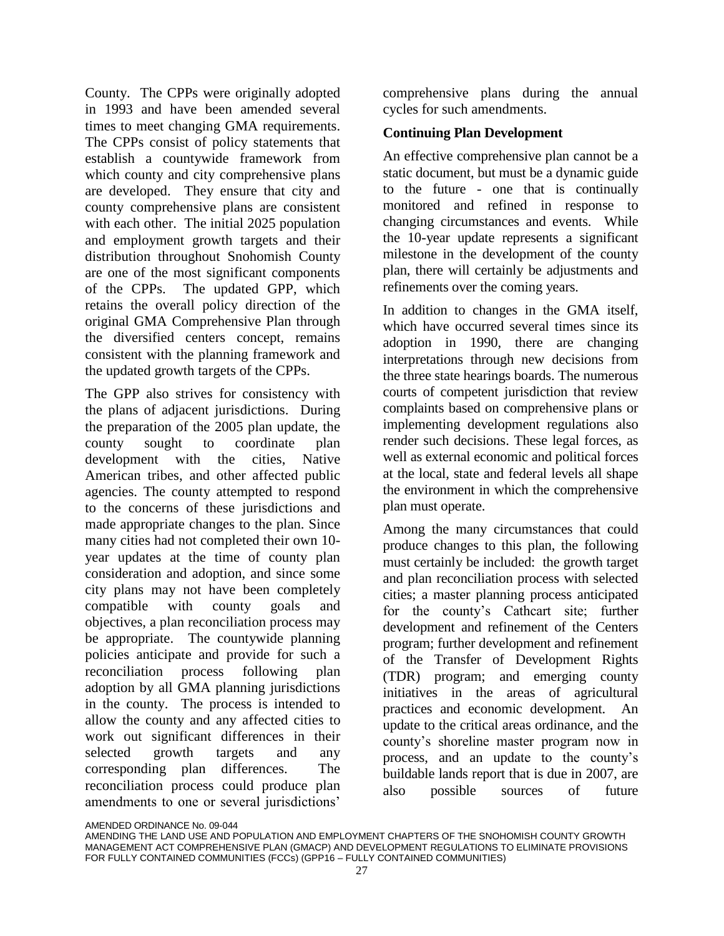County. The CPPs were originally adopted in 1993 and have been amended several times to meet changing GMA requirements. The CPPs consist of policy statements that establish a countywide framework from which county and city comprehensive plans are developed. They ensure that city and county comprehensive plans are consistent with each other. The initial 2025 population and employment growth targets and their distribution throughout Snohomish County are one of the most significant components of the CPPs. The updated GPP, which retains the overall policy direction of the original GMA Comprehensive Plan through the diversified centers concept, remains consistent with the planning framework and the updated growth targets of the CPPs.

The GPP also strives for consistency with the plans of adjacent jurisdictions. During the preparation of the 2005 plan update, the county sought to coordinate plan development with the cities, Native American tribes, and other affected public agencies. The county attempted to respond to the concerns of these jurisdictions and made appropriate changes to the plan. Since many cities had not completed their own 10 year updates at the time of county plan consideration and adoption, and since some city plans may not have been completely compatible with county goals and objectives, a plan reconciliation process may be appropriate. The countywide planning policies anticipate and provide for such a reconciliation process following plan adoption by all GMA planning jurisdictions in the county. The process is intended to allow the county and any affected cities to work out significant differences in their selected growth targets and any corresponding plan differences. The reconciliation process could produce plan amendments to one or several jurisdictions'

comprehensive plans during the annual cycles for such amendments.

#### **Continuing Plan Development**

An effective comprehensive plan cannot be a static document, but must be a dynamic guide to the future - one that is continually monitored and refined in response to changing circumstances and events. While the 10-year update represents a significant milestone in the development of the county plan, there will certainly be adjustments and refinements over the coming years.

In addition to changes in the GMA itself, which have occurred several times since its adoption in 1990, there are changing interpretations through new decisions from the three state hearings boards. The numerous courts of competent jurisdiction that review complaints based on comprehensive plans or implementing development regulations also render such decisions. These legal forces, as well as external economic and political forces at the local, state and federal levels all shape the environment in which the comprehensive plan must operate.

Among the many circumstances that could produce changes to this plan, the following must certainly be included: the growth target and plan reconciliation process with selected cities; a master planning process anticipated for the county's Cathcart site; further development and refinement of the Centers program; further development and refinement of the Transfer of Development Rights (TDR) program; and emerging county initiatives in the areas of agricultural practices and economic development. An update to the critical areas ordinance, and the county's shoreline master program now in process, and an update to the county's buildable lands report that is due in 2007, are also possible sources of future

AMENDING THE LAND USE AND POPULATION AND EMPLOYMENT CHAPTERS OF THE SNOHOMISH COUNTY GROWTH MANAGEMENT ACT COMPREHENSIVE PLAN (GMACP) AND DEVELOPMENT REGULATIONS TO ELIMINATE PROVISIONS FOR FULLY CONTAINED COMMUNITIES (FCCs) (GPP16 – FULLY CONTAINED COMMUNITIES)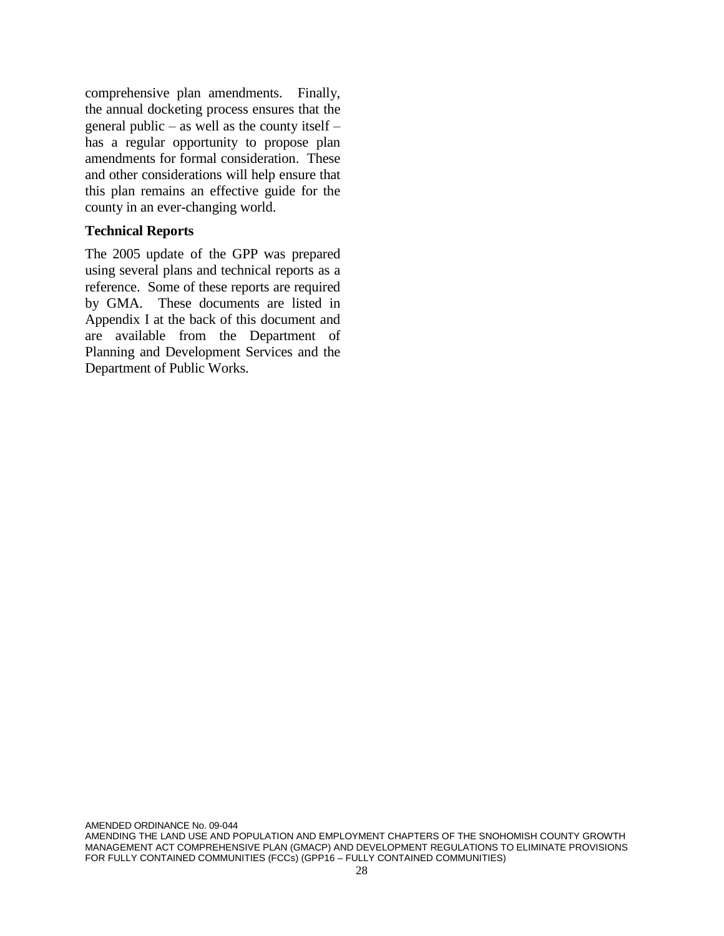comprehensive plan amendments. Finally, the annual docketing process ensures that the general public – as well as the county itself – has a regular opportunity to propose plan amendments for formal consideration. These and other considerations will help ensure that this plan remains an effective guide for the county in an ever-changing world.

#### **Technical Reports**

The 2005 update of the GPP was prepared using several plans and technical reports as a reference. Some of these reports are required by GMA. These documents are listed in Appendix I at the back of this document and are available from the Department of Planning and Development Services and the Department of Public Works.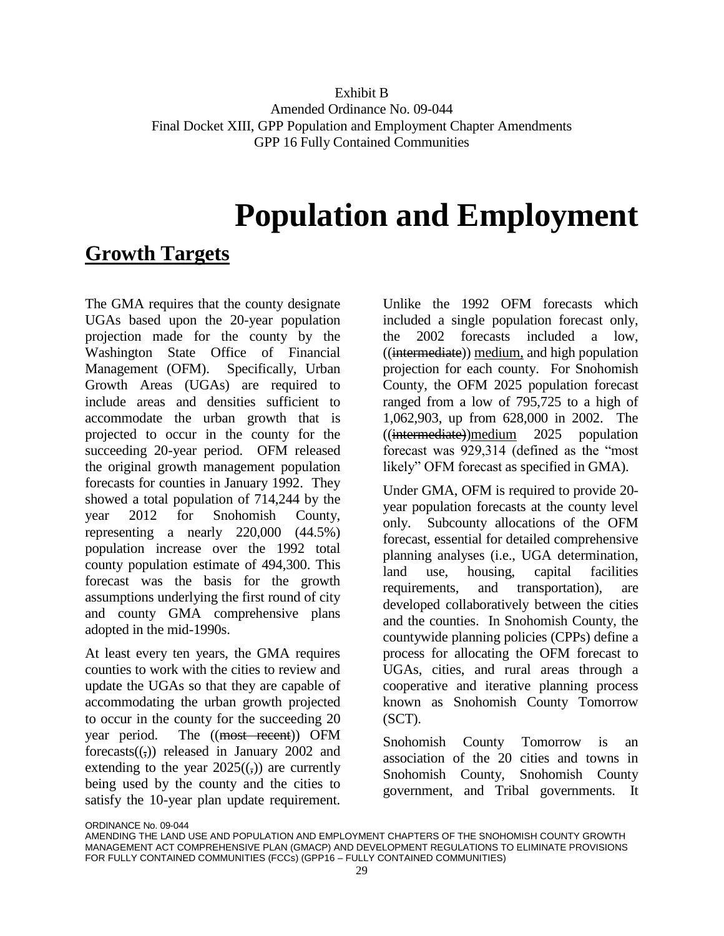#### Exhibit B Amended Ordinance No. 09-044 Final Docket XIII, GPP Population and Employment Chapter Amendments GPP 16 Fully Contained Communities

# **Population and Employment**

# **Growth Targets**

The GMA requires that the county designate UGAs based upon the 20-year population projection made for the county by the Washington State Office of Financial Management (OFM). Specifically, Urban Growth Areas (UGAs) are required to include areas and densities sufficient to accommodate the urban growth that is projected to occur in the county for the succeeding 20-year period. OFM released the original growth management population forecasts for counties in January 1992. They showed a total population of 714,244 by the year 2012 for Snohomish County, representing a nearly 220,000 (44.5%) population increase over the 1992 total county population estimate of 494,300. This forecast was the basis for the growth assumptions underlying the first round of city and county GMA comprehensive plans adopted in the mid-1990s.

At least every ten years, the GMA requires counties to work with the cities to review and update the UGAs so that they are capable of accommodating the urban growth projected to occur in the county for the succeeding 20 year period. The ((most recent)) OFM forecasts $((,))$  released in January 2002 and extending to the year  $2025(()$  are currently being used by the county and the cities to satisfy the 10-year plan update requirement.

Unlike the 1992 OFM forecasts which included a single population forecast only, the 2002 forecasts included a low, ((intermediate)) medium, and high population projection for each county. For Snohomish County, the OFM 2025 population forecast ranged from a low of 795,725 to a high of 1,062,903, up from 628,000 in 2002. The ((intermediate))medium 2025 population forecast was 929,314 (defined as the "most likely" OFM forecast as specified in GMA).

Under GMA, OFM is required to provide 20 year population forecasts at the county level only. Subcounty allocations of the OFM forecast, essential for detailed comprehensive planning analyses (i.e., UGA determination, land use, housing, capital facilities requirements, and transportation), are developed collaboratively between the cities and the counties. In Snohomish County, the countywide planning policies (CPPs) define a process for allocating the OFM forecast to UGAs, cities, and rural areas through a cooperative and iterative planning process known as Snohomish County Tomorrow (SCT).

Snohomish County Tomorrow is an association of the 20 cities and towns in Snohomish County, Snohomish County government, and Tribal governments. It

AMENDING THE LAND USE AND POPULATION AND EMPLOYMENT CHAPTERS OF THE SNOHOMISH COUNTY GROWTH MANAGEMENT ACT COMPREHENSIVE PLAN (GMACP) AND DEVELOPMENT REGULATIONS TO ELIMINATE PROVISIONS FOR FULLY CONTAINED COMMUNITIES (FCCs) (GPP16 – FULLY CONTAINED COMMUNITIES)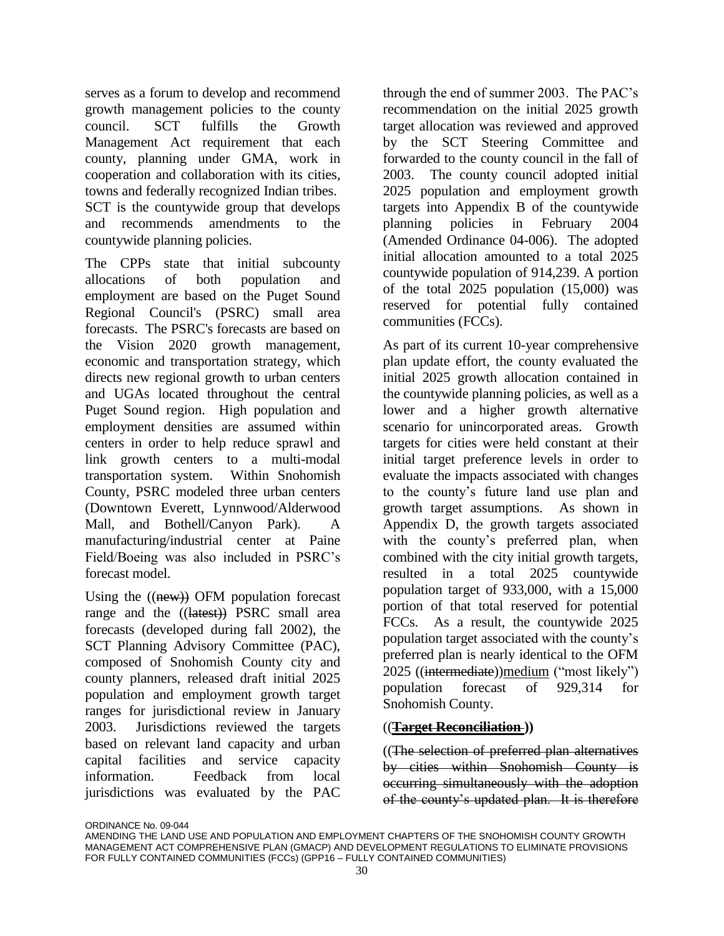serves as a forum to develop and recommend growth management policies to the county council. SCT fulfills the Growth Management Act requirement that each county, planning under GMA, work in cooperation and collaboration with its cities, towns and federally recognized Indian tribes. SCT is the countywide group that develops and recommends amendments to the countywide planning policies.

The CPPs state that initial subcounty allocations of both population and employment are based on the Puget Sound Regional Council's (PSRC) small area forecasts. The PSRC's forecasts are based on the Vision 2020 growth management, economic and transportation strategy, which directs new regional growth to urban centers and UGAs located throughout the central Puget Sound region. High population and employment densities are assumed within centers in order to help reduce sprawl and link growth centers to a multi-modal transportation system. Within Snohomish County, PSRC modeled three urban centers (Downtown Everett, Lynnwood/Alderwood Mall, and Bothell/Canyon Park). A manufacturing/industrial center at Paine Field/Boeing was also included in PSRC's forecast model.

Using the  $((new))$  OFM population forecast range and the ((latest)) PSRC small area forecasts (developed during fall 2002), the SCT Planning Advisory Committee (PAC), composed of Snohomish County city and county planners, released draft initial 2025 population and employment growth target ranges for jurisdictional review in January 2003. Jurisdictions reviewed the targets based on relevant land capacity and urban capital facilities and service capacity information. Feedback from local jurisdictions was evaluated by the PAC

through the end of summer 2003. The PAC's recommendation on the initial 2025 growth target allocation was reviewed and approved by the SCT Steering Committee and forwarded to the county council in the fall of 2003. The county council adopted initial 2025 population and employment growth targets into Appendix B of the countywide planning policies in February 2004 (Amended Ordinance 04-006). The adopted initial allocation amounted to a total 2025 countywide population of 914,239. A portion of the total 2025 population (15,000) was reserved for potential fully contained communities (FCCs).

As part of its current 10-year comprehensive plan update effort, the county evaluated the initial 2025 growth allocation contained in the countywide planning policies, as well as a lower and a higher growth alternative scenario for unincorporated areas. Growth targets for cities were held constant at their initial target preference levels in order to evaluate the impacts associated with changes to the county's future land use plan and growth target assumptions. As shown in Appendix D, the growth targets associated with the county's preferred plan, when combined with the city initial growth targets, resulted in a total 2025 countywide population target of 933,000, with a 15,000 portion of that total reserved for potential FCCs. As a result, the countywide 2025 population target associated with the county's preferred plan is nearly identical to the OFM 2025 ((intermediate))medium ("most likely") population forecast of 929,314 for Snohomish County.

#### ((**Target Reconciliation ))**

((The selection of preferred plan alternatives by cities within Snohomish County is occurring simultaneously with the adoption of the county's updated plan. It is therefore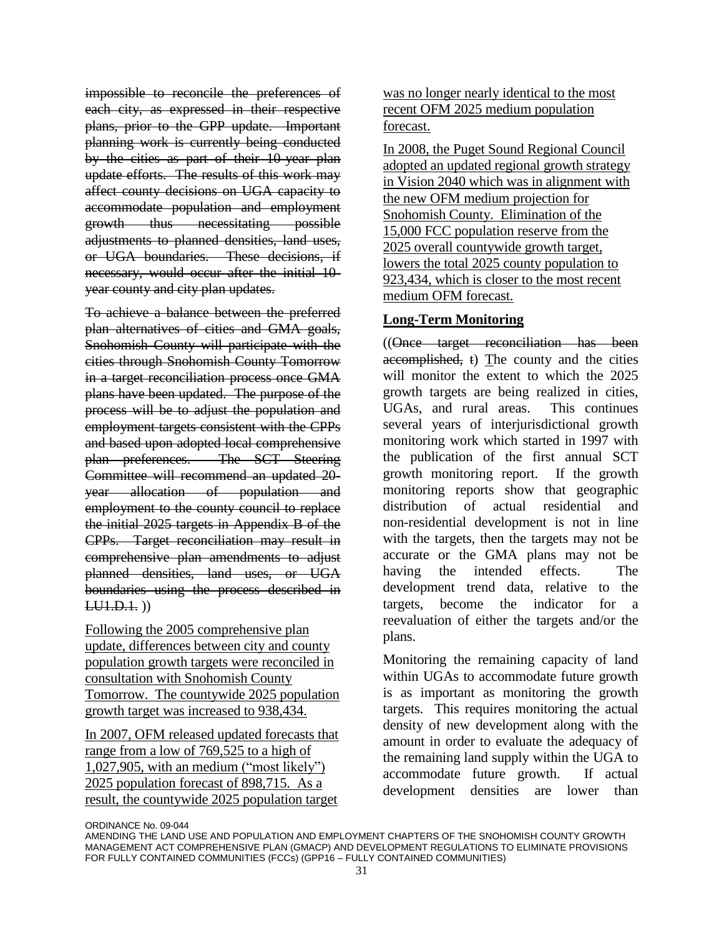impossible to reconcile the preferences of each city, as expressed in their respective plans, prior to the GPP update. Important planning work is currently being conducted by the cities as part of their 10-year plan update efforts. The results of this work may affect county decisions on UGA capacity to accommodate population and employment growth thus necessitating possible adjustments to planned densities, land uses, or UGA boundaries. These decisions, if necessary, would occur after the initial 10 year county and city plan updates.

To achieve a balance between the preferred plan alternatives of cities and GMA goals, Snohomish County will participate with the cities through Snohomish County Tomorrow in a target reconciliation process once GMA plans have been updated. The purpose of the process will be to adjust the population and employment targets consistent with the CPPs and based upon adopted local comprehensive plan preferences. The SCT Steering Committee will recommend an updated 20 year allocation of population and employment to the county council to replace the initial 2025 targets in Appendix B of the CPPs. Target reconciliation may result in comprehensive plan amendments to adjust planned densities, land uses, or UGA boundaries using the process described in  $LU1.D.1.$ )

Following the 2005 comprehensive plan update, differences between city and county population growth targets were reconciled in consultation with Snohomish County Tomorrow. The countywide 2025 population growth target was increased to 938,434.

In 2007, OFM released updated forecasts that range from a low of 769,525 to a high of 1,027,905, with an medium ("most likely") 2025 population forecast of 898,715. As a result, the countywide 2025 population target

was no longer nearly identical to the most recent OFM 2025 medium population forecast.

In 2008, the Puget Sound Regional Council adopted an updated regional growth strategy in Vision 2040 which was in alignment with the new OFM medium projection for Snohomish County. Elimination of the 15,000 FCC population reserve from the 2025 overall countywide growth target, lowers the total 2025 county population to 923,434, which is closer to the most recent medium OFM forecast.

#### **Long-Term Monitoring**

((Once target reconciliation has been accomplished, t) The county and the cities will monitor the extent to which the 2025 growth targets are being realized in cities, UGAs, and rural areas. This continues several years of interjurisdictional growth monitoring work which started in 1997 with the publication of the first annual SCT growth monitoring report. If the growth monitoring reports show that geographic distribution of actual residential and non-residential development is not in line with the targets, then the targets may not be accurate or the GMA plans may not be having the intended effects. The development trend data, relative to the targets, become the indicator for a reevaluation of either the targets and/or the plans.

Monitoring the remaining capacity of land within UGAs to accommodate future growth is as important as monitoring the growth targets. This requires monitoring the actual density of new development along with the amount in order to evaluate the adequacy of the remaining land supply within the UGA to accommodate future growth. If actual development densities are lower than

AMENDING THE LAND USE AND POPULATION AND EMPLOYMENT CHAPTERS OF THE SNOHOMISH COUNTY GROWTH MANAGEMENT ACT COMPREHENSIVE PLAN (GMACP) AND DEVELOPMENT REGULATIONS TO ELIMINATE PROVISIONS FOR FULLY CONTAINED COMMUNITIES (FCCs) (GPP16 – FULLY CONTAINED COMMUNITIES)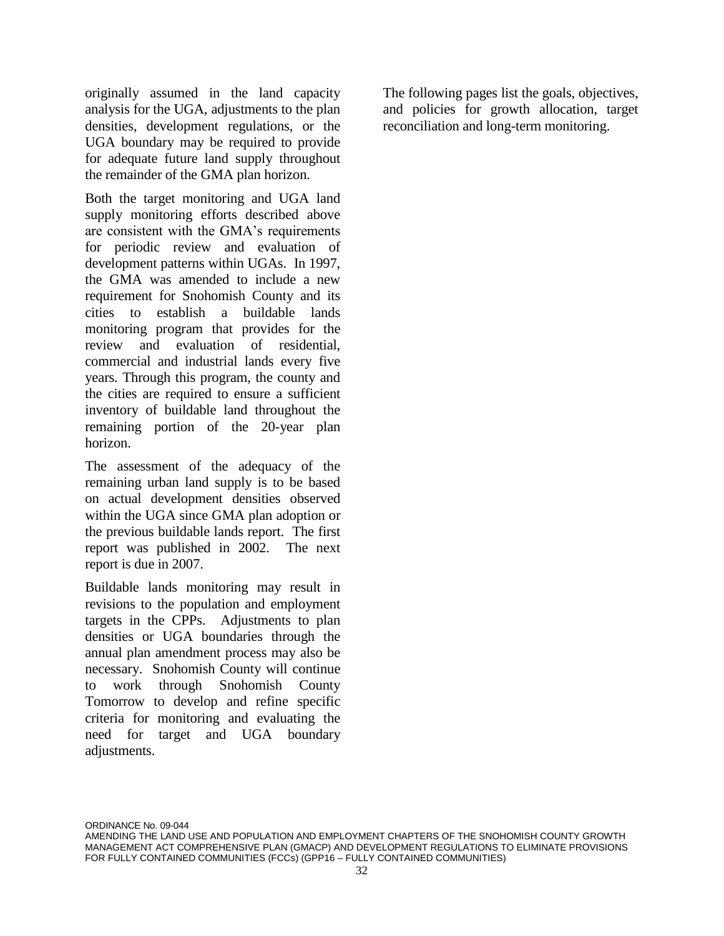originally assumed in the land capacity analysis for the UGA, adjustments to the plan densities, development regulations, or the UGA boundary may be required to provide for adequate future land supply throughout the remainder of the GMA plan horizon.

Both the target monitoring and UGA land supply monitoring efforts described above are consistent with the GMA's requirements for periodic review and evaluation of development patterns within UGAs. In 1997, the GMA was amended to include a new requirement for Snohomish County and its cities to establish a buildable lands monitoring program that provides for the review and evaluation of residential, commercial and industrial lands every five years. Through this program, the county and the cities are required to ensure a sufficient inventory of buildable land throughout the remaining portion of the 20-year plan horizon.

The assessment of the adequacy of the remaining urban land supply is to be based on actual development densities observed within the UGA since GMA plan adoption or the previous buildable lands report. The first report was published in 2002. The next report is due in 2007.

Buildable lands monitoring may result in revisions to the population and employment targets in the CPPs. Adjustments to plan densities or UGA boundaries through the annual plan amendment process may also be necessary. Snohomish County will continue to work through Snohomish County Tomorrow to develop and refine specific criteria for monitoring and evaluating the need for target and UGA boundary adjustments.

The following pages list the goals, objectives, and policies for growth allocation, target reconciliation and long-term monitoring.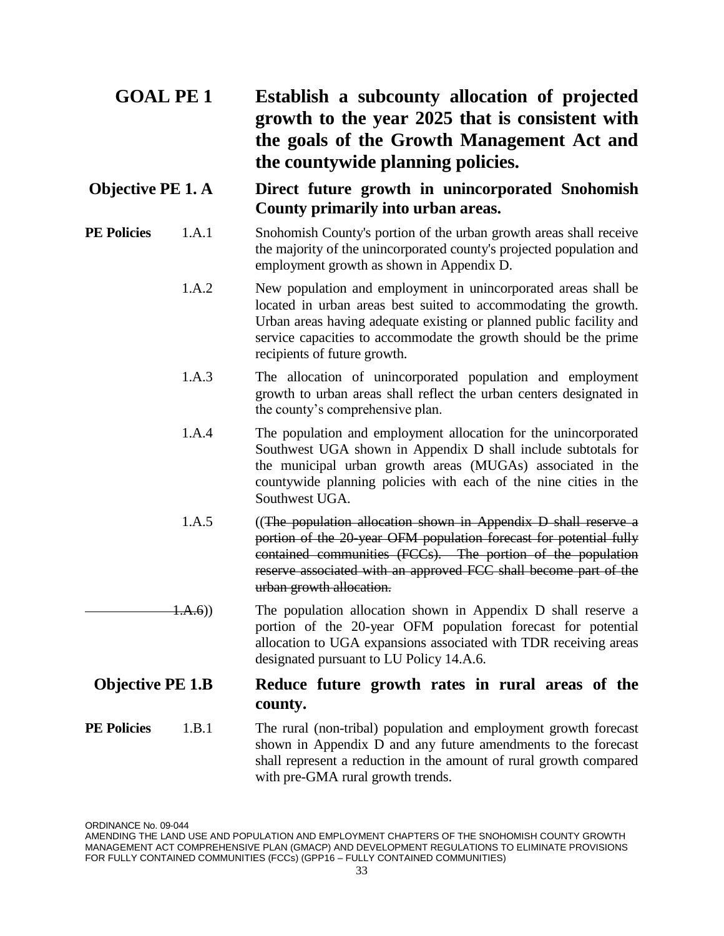## **GOAL PE 1 Establish a subcounty allocation of projected growth to the year 2025 that is consistent with the goals of the Growth Management Act and the countywide planning policies.**

## **Objective PE 1. A Direct future growth in unincorporated Snohomish County primarily into urban areas.**

- **PE Policies** 1.A.1 Snohomish County's portion of the urban growth areas shall receive the majority of the unincorporated county's projected population and employment growth as shown in Appendix D.
	- 1.A.2 New population and employment in unincorporated areas shall be located in urban areas best suited to accommodating the growth. Urban areas having adequate existing or planned public facility and service capacities to accommodate the growth should be the prime recipients of future growth.
	- 1.A.3 The allocation of unincorporated population and employment growth to urban areas shall reflect the urban centers designated in the county's comprehensive plan.
	- 1.A.4 The population and employment allocation for the unincorporated Southwest UGA shown in Appendix D shall include subtotals for the municipal urban growth areas (MUGAs) associated in the countywide planning policies with each of the nine cities in the Southwest UGA.
	- 1.A.5 ((The population allocation shown in Appendix D shall reserve a portion of the 20-year OFM population forecast for potential fully contained communities (FCCs). The portion of the population reserve associated with an approved FCC shall become part of the urban growth allocation.
- 1.A.6)) The population allocation shown in Appendix D shall reserve a portion of the 20-year OFM population forecast for potential allocation to UGA expansions associated with TDR receiving areas designated pursuant to LU Policy 14.A.6.

## **Objective PE 1.B Reduce future growth rates in rural areas of the county.**

**PE Policies** 1.B.1 The rural (non-tribal) population and employment growth forecast shown in Appendix D and any future amendments to the forecast shall represent a reduction in the amount of rural growth compared with pre-GMA rural growth trends.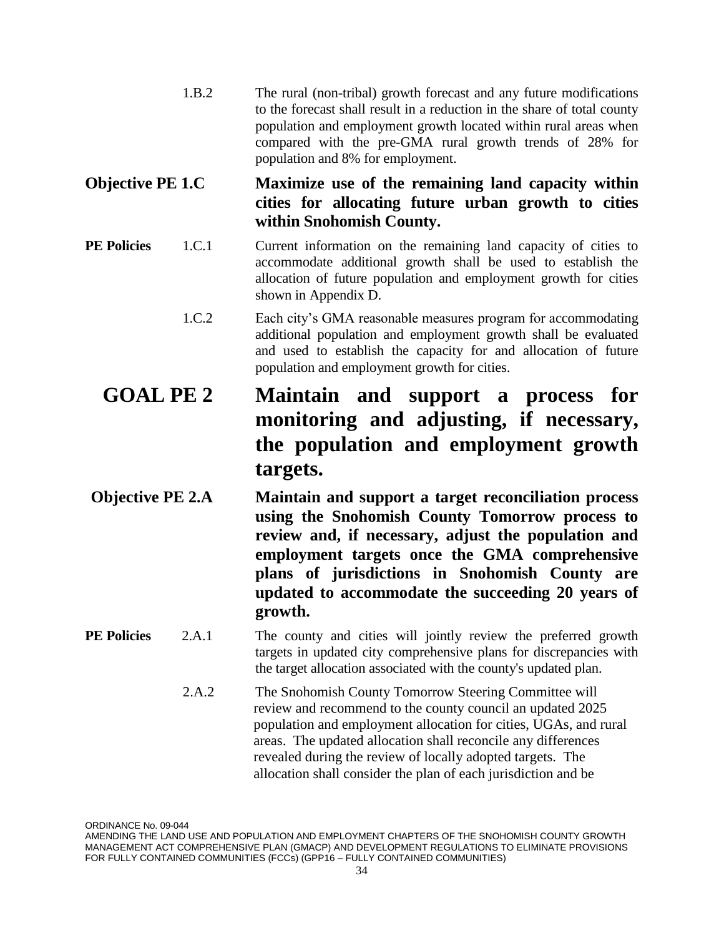| 1.B.2 | The rural (non-tribal) growth forecast and any future modifications      |
|-------|--------------------------------------------------------------------------|
|       | to the forecast shall result in a reduction in the share of total county |
|       | population and employment growth located within rural areas when         |
|       | compared with the pre-GMA rural growth trends of 28% for                 |
|       | population and 8% for employment.                                        |

## **Objective PE 1.C Maximize use of the remaining land capacity within cities for allocating future urban growth to cities within Snohomish County.**

- **PE Policies** 1.C.1 Current information on the remaining land capacity of cities to accommodate additional growth shall be used to establish the allocation of future population and employment growth for cities shown in Appendix D.
	- 1.C.2 Each city's GMA reasonable measures program for accommodating additional population and employment growth shall be evaluated and used to establish the capacity for and allocation of future population and employment growth for cities.
	- **GOAL PE 2 Maintain and support a process for monitoring and adjusting, if necessary, the population and employment growth targets.**
- **Objective PE 2.A Maintain and support a target reconciliation process using the Snohomish County Tomorrow process to review and, if necessary, adjust the population and employment targets once the GMA comprehensive plans of jurisdictions in Snohomish County are updated to accommodate the succeeding 20 years of growth.**
- **PE Policies** 2.A.1 The county and cities will jointly review the preferred growth targets in updated city comprehensive plans for discrepancies with the target allocation associated with the county's updated plan.
	- 2.A.2 The Snohomish County Tomorrow Steering Committee will review and recommend to the county council an updated 2025 population and employment allocation for cities, UGAs, and rural areas. The updated allocation shall reconcile any differences revealed during the review of locally adopted targets. The allocation shall consider the plan of each jurisdiction and be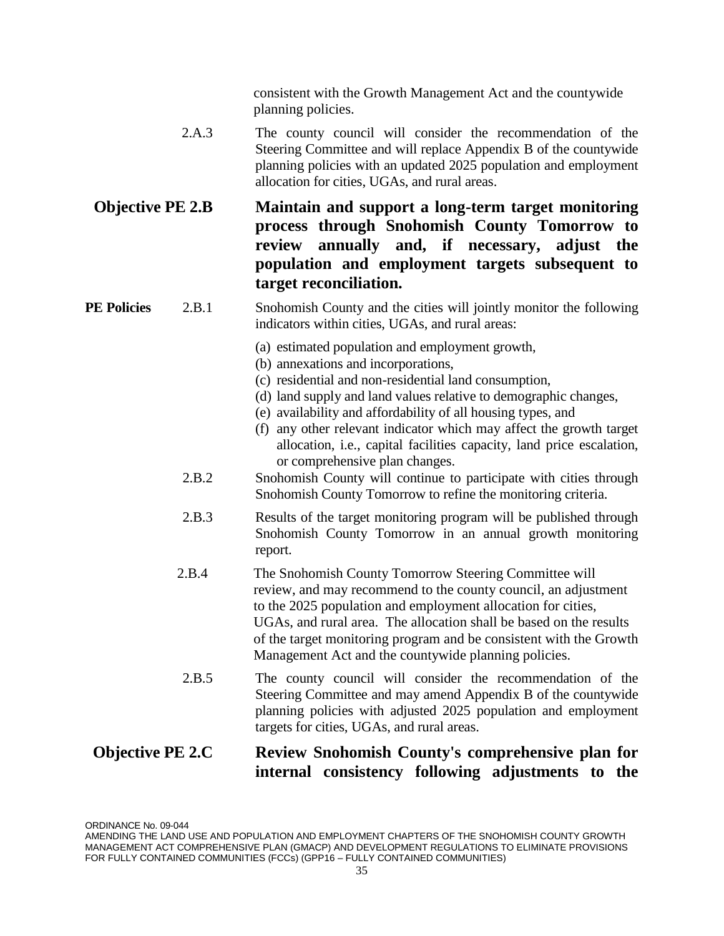consistent with the Growth Management Act and the countywide planning policies.

2.A.3 The county council will consider the recommendation of the Steering Committee and will replace Appendix B of the countywide planning policies with an updated 2025 population and employment allocation for cities, UGAs, and rural areas.

## **Objective PE 2.B Maintain and support a long-term target monitoring process through Snohomish County Tomorrow to review annually and, if necessary, adjust the population and employment targets subsequent to target reconciliation.**

#### **PE Policies** 2.B.1 Snohomish County and the cities will jointly monitor the following indicators within cities, UGAs, and rural areas:

- (a) estimated population and employment growth,
- (b) annexations and incorporations,
- (c) residential and non-residential land consumption,
- (d) land supply and land values relative to demographic changes,
- (e) availability and affordability of all housing types, and
- (f) any other relevant indicator which may affect the growth target allocation, i.e., capital facilities capacity, land price escalation, or comprehensive plan changes.
- 2.B.2 Snohomish County will continue to participate with cities through Snohomish County Tomorrow to refine the monitoring criteria.
- 2.B.3 Results of the target monitoring program will be published through Snohomish County Tomorrow in an annual growth monitoring report.
- 2.B.4 The Snohomish County Tomorrow Steering Committee will review, and may recommend to the county council, an adjustment to the 2025 population and employment allocation for cities, UGAs, and rural area. The allocation shall be based on the results of the target monitoring program and be consistent with the Growth Management Act and the countywide planning policies.
- 2.B.5 The county council will consider the recommendation of the Steering Committee and may amend Appendix B of the countywide planning policies with adjusted 2025 population and employment targets for cities, UGAs, and rural areas.

## **Objective PE 2.C Review Snohomish County's comprehensive plan for internal consistency following adjustments to the**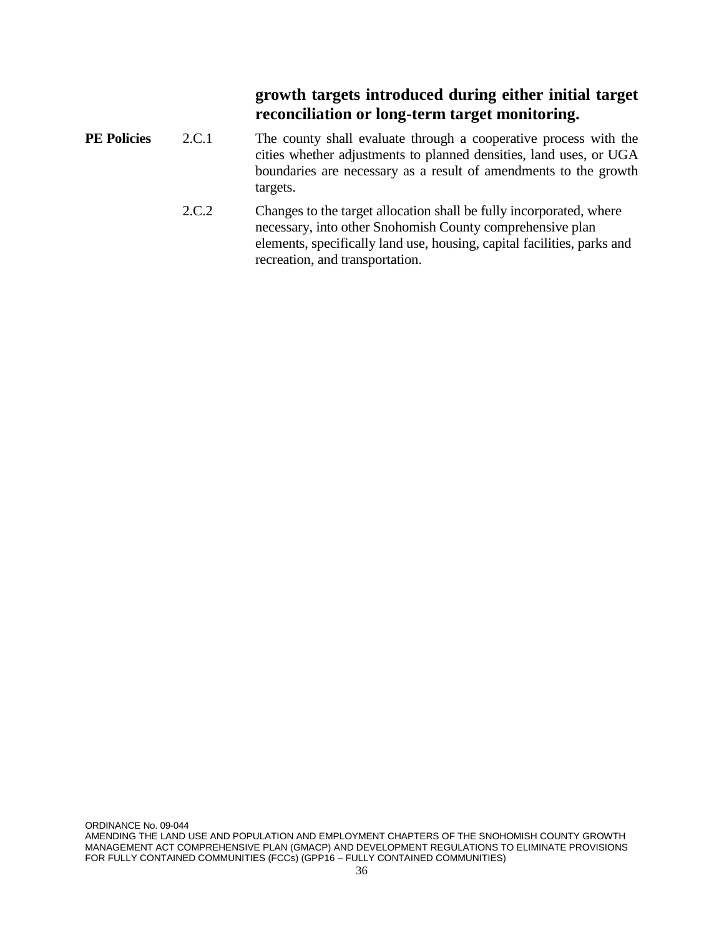### **growth targets introduced during either initial target reconciliation or long-term target monitoring.**

- **PE Policies** 2.C.1 The county shall evaluate through a cooperative process with the cities whether adjustments to planned densities, land uses, or UGA boundaries are necessary as a result of amendments to the growth targets.
	- 2.C.2 Changes to the target allocation shall be fully incorporated, where necessary, into other Snohomish County comprehensive plan elements, specifically land use, housing, capital facilities, parks and recreation, and transportation.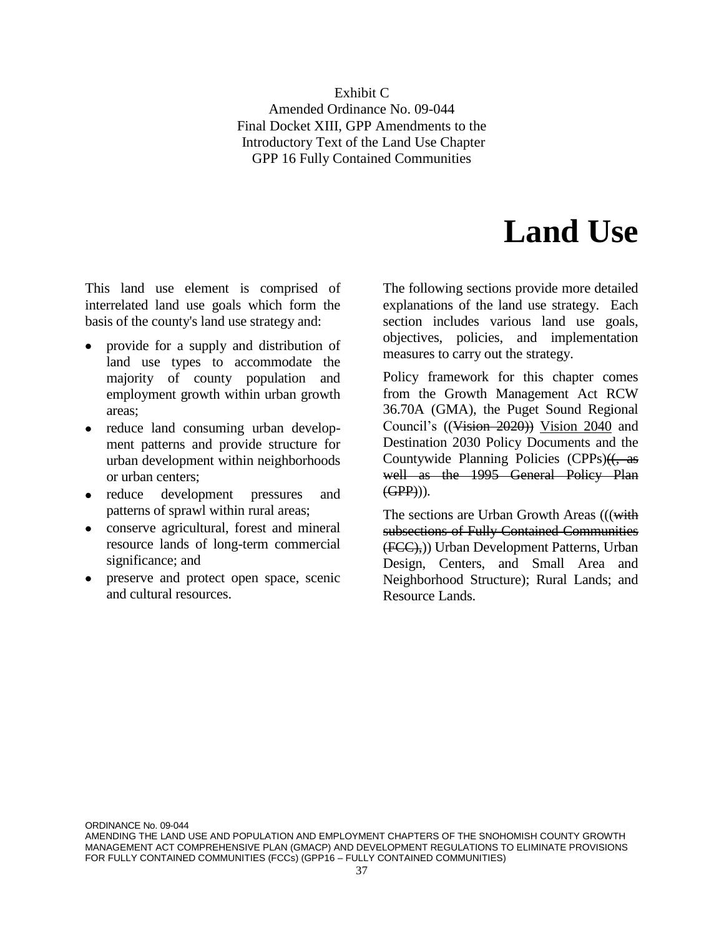Exhibit C Amended Ordinance No. 09-044 Final Docket XIII, GPP Amendments to the Introductory Text of the Land Use Chapter GPP 16 Fully Contained Communities

# **Land Use**

This land use element is comprised of interrelated land use goals which form the basis of the county's land use strategy and:

- provide for a supply and distribution of land use types to accommodate the majority of county population and employment growth within urban growth areas;
- reduce land consuming urban development patterns and provide structure for urban development within neighborhoods or urban centers;
- reduce development pressures and patterns of sprawl within rural areas;
- conserve agricultural, forest and mineral resource lands of long-term commercial significance; and
- preserve and protect open space, scenic and cultural resources.

The following sections provide more detailed explanations of the land use strategy. Each section includes various land use goals, objectives, policies, and implementation measures to carry out the strategy.

Policy framework for this chapter comes from the Growth Management Act RCW 36.70A (GMA), the Puget Sound Regional Council's ((Vision 2020)) Vision 2040 and Destination 2030 Policy Documents and the Countywide Planning Policies  $(CPPs)(\leftarrow as$ well as the 1995 General Policy Plan  $(GPP)$ )).

The sections are Urban Growth Areas (((with subsections of Fully Contained Communities (FCC),)) Urban Development Patterns, Urban Design, Centers, and Small Area and Neighborhood Structure); Rural Lands; and Resource Lands.

ORDINANCE No. 09-044

AMENDING THE LAND USE AND POPULATION AND EMPLOYMENT CHAPTERS OF THE SNOHOMISH COUNTY GROWTH MANAGEMENT ACT COMPREHENSIVE PLAN (GMACP) AND DEVELOPMENT REGULATIONS TO ELIMINATE PROVISIONS FOR FULLY CONTAINED COMMUNITIES (FCCs) (GPP16 – FULLY CONTAINED COMMUNITIES)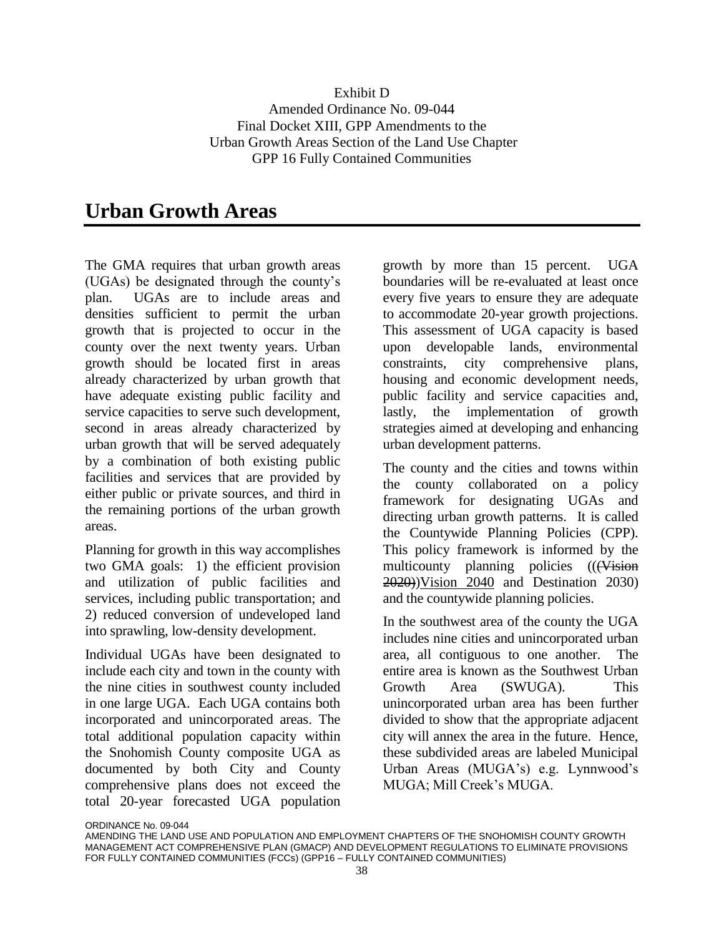## **Urban Growth Areas**

The GMA requires that urban growth areas (UGAs) be designated through the county's plan. UGAs are to include areas and densities sufficient to permit the urban growth that is projected to occur in the county over the next twenty years. Urban growth should be located first in areas already characterized by urban growth that have adequate existing public facility and service capacities to serve such development, second in areas already characterized by urban growth that will be served adequately by a combination of both existing public facilities and services that are provided by either public or private sources, and third in the remaining portions of the urban growth areas.

Planning for growth in this way accomplishes two GMA goals: 1) the efficient provision and utilization of public facilities and services, including public transportation; and 2) reduced conversion of undeveloped land into sprawling, low-density development.

Individual UGAs have been designated to include each city and town in the county with the nine cities in southwest county included in one large UGA. Each UGA contains both incorporated and unincorporated areas. The total additional population capacity within the Snohomish County composite UGA as documented by both City and County comprehensive plans does not exceed the total 20-year forecasted UGA population

growth by more than 15 percent. UGA boundaries will be re-evaluated at least once every five years to ensure they are adequate to accommodate 20-year growth projections. This assessment of UGA capacity is based upon developable lands, environmental constraints, city comprehensive plans, housing and economic development needs, public facility and service capacities and, lastly, the implementation of growth strategies aimed at developing and enhancing urban development patterns.

The county and the cities and towns within the county collaborated on a policy framework for designating UGAs and directing urban growth patterns. It is called the Countywide Planning Policies (CPP). This policy framework is informed by the multicounty planning policies (((Vision 2020))Vision 2040 and Destination 2030) and the countywide planning policies.

In the southwest area of the county the UGA includes nine cities and unincorporated urban area, all contiguous to one another. The entire area is known as the Southwest Urban Growth Area (SWUGA). This unincorporated urban area has been further divided to show that the appropriate adjacent city will annex the area in the future. Hence, these subdivided areas are labeled Municipal Urban Areas (MUGA's) e.g. Lynnwood's MUGA; Mill Creek's MUGA.

AMENDING THE LAND USE AND POPULATION AND EMPLOYMENT CHAPTERS OF THE SNOHOMISH COUNTY GROWTH MANAGEMENT ACT COMPREHENSIVE PLAN (GMACP) AND DEVELOPMENT REGULATIONS TO ELIMINATE PROVISIONS FOR FULLY CONTAINED COMMUNITIES (FCCs) (GPP16 – FULLY CONTAINED COMMUNITIES)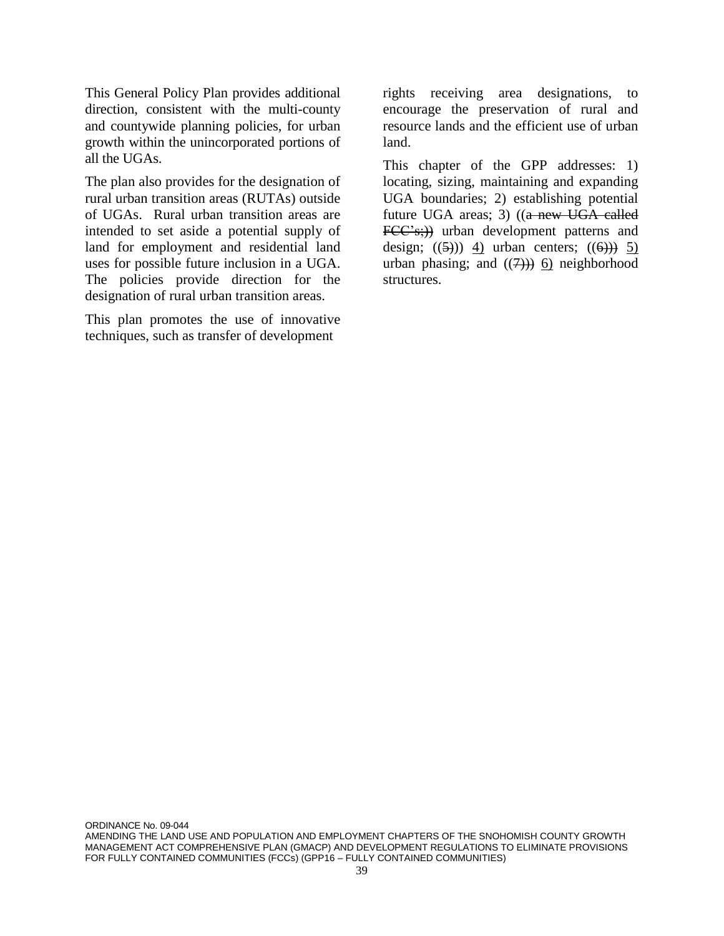This General Policy Plan provides additional direction, consistent with the multi-county and countywide planning policies, for urban growth within the unincorporated portions of all the UGAs.

The plan also provides for the designation of rural urban transition areas (RUTAs) outside of UGAs. Rural urban transition areas are intended to set aside a potential supply of land for employment and residential land uses for possible future inclusion in a UGA. The policies provide direction for the designation of rural urban transition areas.

This plan promotes the use of innovative techniques, such as transfer of development

rights receiving area designations, to encourage the preservation of rural and resource lands and the efficient use of urban land.

This chapter of the GPP addresses: 1) locating, sizing, maintaining and expanding UGA boundaries; 2) establishing potential future UGA areas; 3) ((a new UGA called FCC's;)) urban development patterns and design;  $((5))$  4) urban centers;  $((6))$  5) urban phasing; and  $((7))$  6) neighborhood structures.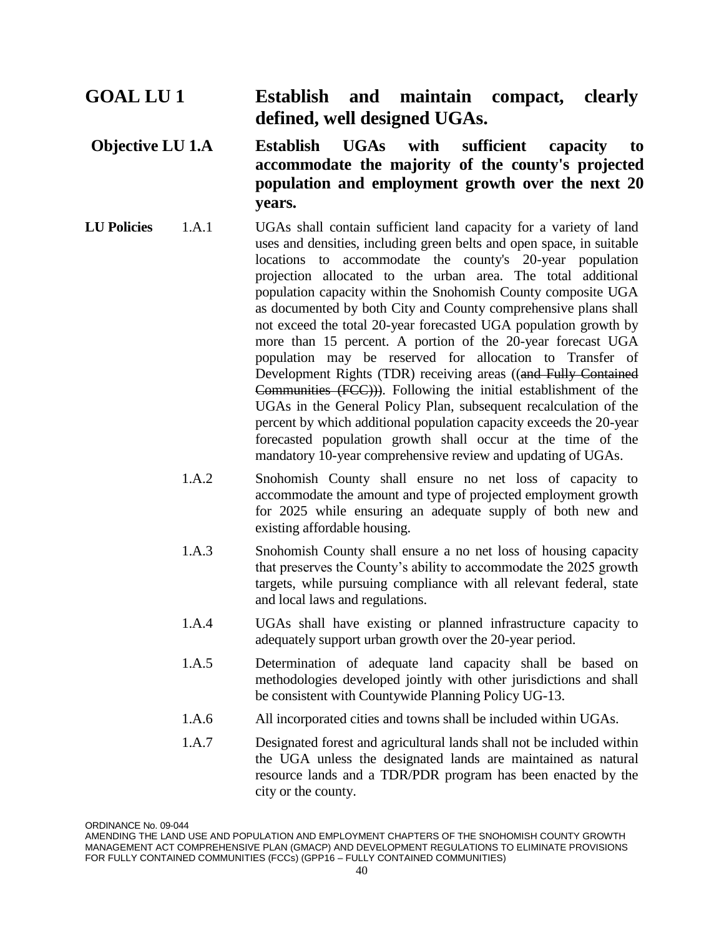## **GOAL LU 1 Establish and maintain compact, clearly defined, well designed UGAs.**

## **Objective LU 1.A Establish UGAs with sufficient capacity to accommodate the majority of the county's projected population and employment growth over the next 20 years.**

- **LU Policies** 1.A.1 UGAs shall contain sufficient land capacity for a variety of land uses and densities, including green belts and open space, in suitable locations to accommodate the county's 20-year population projection allocated to the urban area. The total additional population capacity within the Snohomish County composite UGA as documented by both City and County comprehensive plans shall not exceed the total 20-year forecasted UGA population growth by more than 15 percent. A portion of the 20-year forecast UGA population may be reserved for allocation to Transfer of Development Rights (TDR) receiving areas ((and Fully Contained Communities (FCC))). Following the initial establishment of the UGAs in the General Policy Plan, subsequent recalculation of the percent by which additional population capacity exceeds the 20-year forecasted population growth shall occur at the time of the mandatory 10-year comprehensive review and updating of UGAs.
	- 1.A.2 Snohomish County shall ensure no net loss of capacity to accommodate the amount and type of projected employment growth for 2025 while ensuring an adequate supply of both new and existing affordable housing.
	- 1.A.3 Snohomish County shall ensure a no net loss of housing capacity that preserves the County's ability to accommodate the 2025 growth targets, while pursuing compliance with all relevant federal, state and local laws and regulations.
	- 1.A.4 UGAs shall have existing or planned infrastructure capacity to adequately support urban growth over the 20-year period.
	- 1.A.5 Determination of adequate land capacity shall be based on methodologies developed jointly with other jurisdictions and shall be consistent with Countywide Planning Policy UG-13.
	- 1.A.6 All incorporated cities and towns shall be included within UGAs.
	- 1.A.7 Designated forest and agricultural lands shall not be included within the UGA unless the designated lands are maintained as natural resource lands and a TDR/PDR program has been enacted by the city or the county.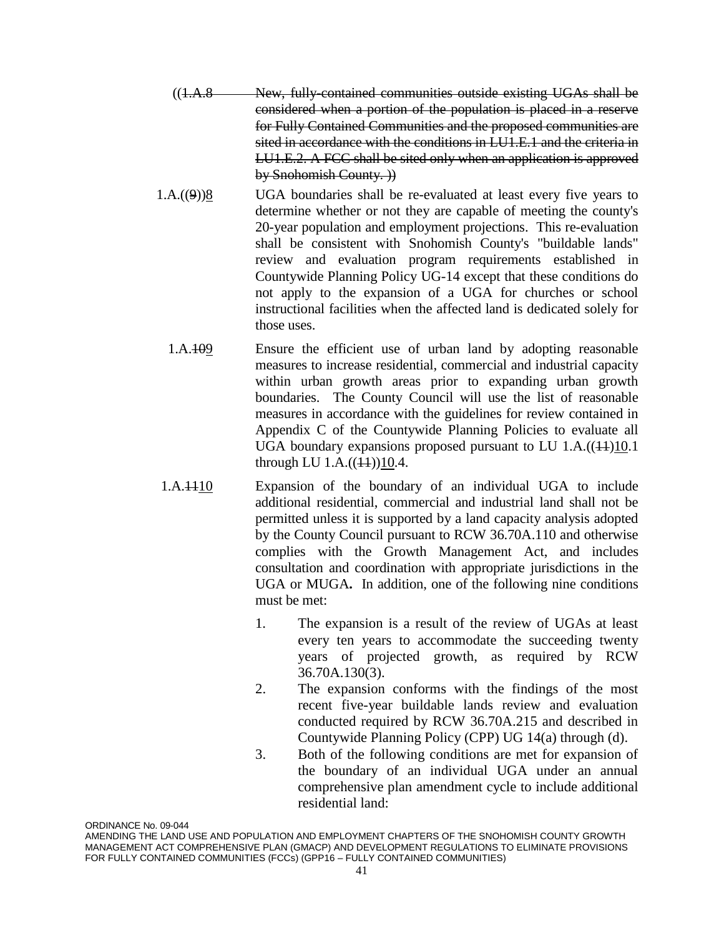- $((1.A.8$  New, fully-contained communities outside existing UGAs shall be considered when a portion of the population is placed in a reserve for Fully Contained Communities and the proposed communities are sited in accordance with the conditions in LU1.E.1 and the criteria in LU1.E.2. A FCC shall be sited only when an application is approved by Snohomish County. ))
- $1.A.((9))8$  UGA boundaries shall be re-evaluated at least every five years to determine whether or not they are capable of meeting the county's 20-year population and employment projections. This re-evaluation shall be consistent with Snohomish County's "buildable lands" review and evaluation program requirements established in Countywide Planning Policy UG-14 except that these conditions do not apply to the expansion of a UGA for churches or school instructional facilities when the affected land is dedicated solely for those uses.
- 1.A.109 Ensure the efficient use of urban land by adopting reasonable measures to increase residential, commercial and industrial capacity within urban growth areas prior to expanding urban growth boundaries. The County Council will use the list of reasonable measures in accordance with the guidelines for review contained in Appendix C of the Countywide Planning Policies to evaluate all UGA boundary expansions proposed pursuant to LU  $1.A.((4+)10.1)$ through LU  $1.A.((44))10.4$ .
- 1.A.1110 Expansion of the boundary of an individual UGA to include additional residential, commercial and industrial land shall not be permitted unless it is supported by a land capacity analysis adopted by the County Council pursuant to RCW 36.70A.110 and otherwise complies with the Growth Management Act, and includes consultation and coordination with appropriate jurisdictions in the UGA or MUGA**.** In addition, one of the following nine conditions must be met:
	- 1. The expansion is a result of the review of UGAs at least every ten years to accommodate the succeeding twenty years of projected growth, as required by RCW 36.70A.130(3).
	- 2. The expansion conforms with the findings of the most recent five-year buildable lands review and evaluation conducted required by RCW 36.70A.215 and described in Countywide Planning Policy (CPP) UG 14(a) through (d).
	- 3. Both of the following conditions are met for expansion of the boundary of an individual UGA under an annual comprehensive plan amendment cycle to include additional residential land: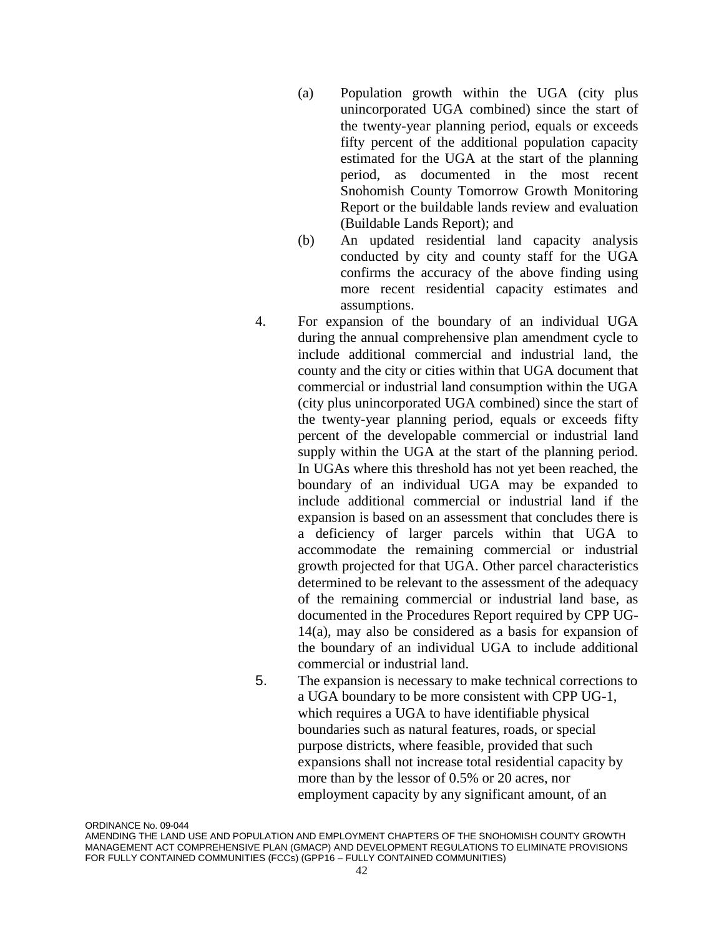- (a) Population growth within the UGA (city plus unincorporated UGA combined) since the start of the twenty-year planning period, equals or exceeds fifty percent of the additional population capacity estimated for the UGA at the start of the planning period, as documented in the most recent Snohomish County Tomorrow Growth Monitoring Report or the buildable lands review and evaluation (Buildable Lands Report); and
- (b) An updated residential land capacity analysis conducted by city and county staff for the UGA confirms the accuracy of the above finding using more recent residential capacity estimates and assumptions.
- 4. For expansion of the boundary of an individual UGA during the annual comprehensive plan amendment cycle to include additional commercial and industrial land, the county and the city or cities within that UGA document that commercial or industrial land consumption within the UGA (city plus unincorporated UGA combined) since the start of the twenty-year planning period, equals or exceeds fifty percent of the developable commercial or industrial land supply within the UGA at the start of the planning period. In UGAs where this threshold has not yet been reached, the boundary of an individual UGA may be expanded to include additional commercial or industrial land if the expansion is based on an assessment that concludes there is a deficiency of larger parcels within that UGA to accommodate the remaining commercial or industrial growth projected for that UGA. Other parcel characteristics determined to be relevant to the assessment of the adequacy of the remaining commercial or industrial land base, as documented in the Procedures Report required by CPP UG-14(a), may also be considered as a basis for expansion of the boundary of an individual UGA to include additional commercial or industrial land.
- 5. The expansion is necessary to make technical corrections to a UGA boundary to be more consistent with CPP UG-1, which requires a UGA to have identifiable physical boundaries such as natural features, roads, or special purpose districts, where feasible, provided that such expansions shall not increase total residential capacity by more than by the lessor of 0.5% or 20 acres, nor employment capacity by any significant amount, of an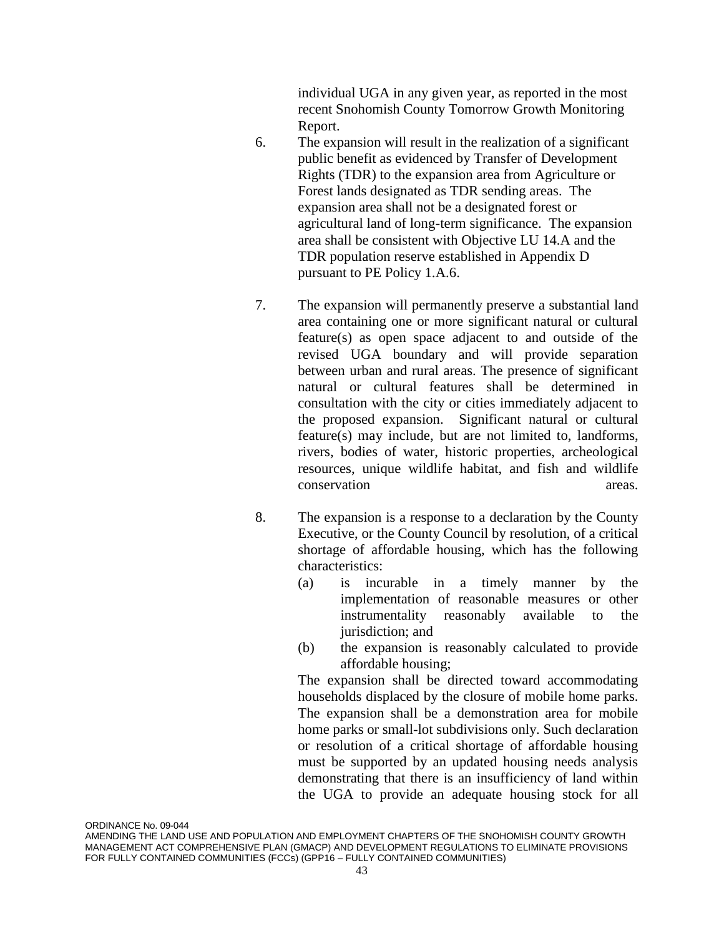individual UGA in any given year, as reported in the most recent Snohomish County Tomorrow Growth Monitoring Report.

- 6. The expansion will result in the realization of a significant public benefit as evidenced by Transfer of Development Rights (TDR) to the expansion area from Agriculture or Forest lands designated as TDR sending areas. The expansion area shall not be a designated forest or agricultural land of long-term significance. The expansion area shall be consistent with Objective LU 14.A and the TDR population reserve established in Appendix D pursuant to PE Policy 1.A.6.
- 7. The expansion will permanently preserve a substantial land area containing one or more significant natural or cultural feature(s) as open space adjacent to and outside of the revised UGA boundary and will provide separation between urban and rural areas. The presence of significant natural or cultural features shall be determined in consultation with the city or cities immediately adjacent to the proposed expansion. Significant natural or cultural feature(s) may include, but are not limited to, landforms, rivers, bodies of water, historic properties, archeological resources, unique wildlife habitat, and fish and wildlife conservation areas.
- 8. The expansion is a response to a declaration by the County Executive, or the County Council by resolution, of a critical shortage of affordable housing, which has the following characteristics:
	- (a) is incurable in a timely manner by the implementation of reasonable measures or other instrumentality reasonably available to the jurisdiction; and
	- (b) the expansion is reasonably calculated to provide affordable housing;

The expansion shall be directed toward accommodating households displaced by the closure of mobile home parks. The expansion shall be a demonstration area for mobile home parks or small-lot subdivisions only. Such declaration or resolution of a critical shortage of affordable housing must be supported by an updated housing needs analysis demonstrating that there is an insufficiency of land within the UGA to provide an adequate housing stock for all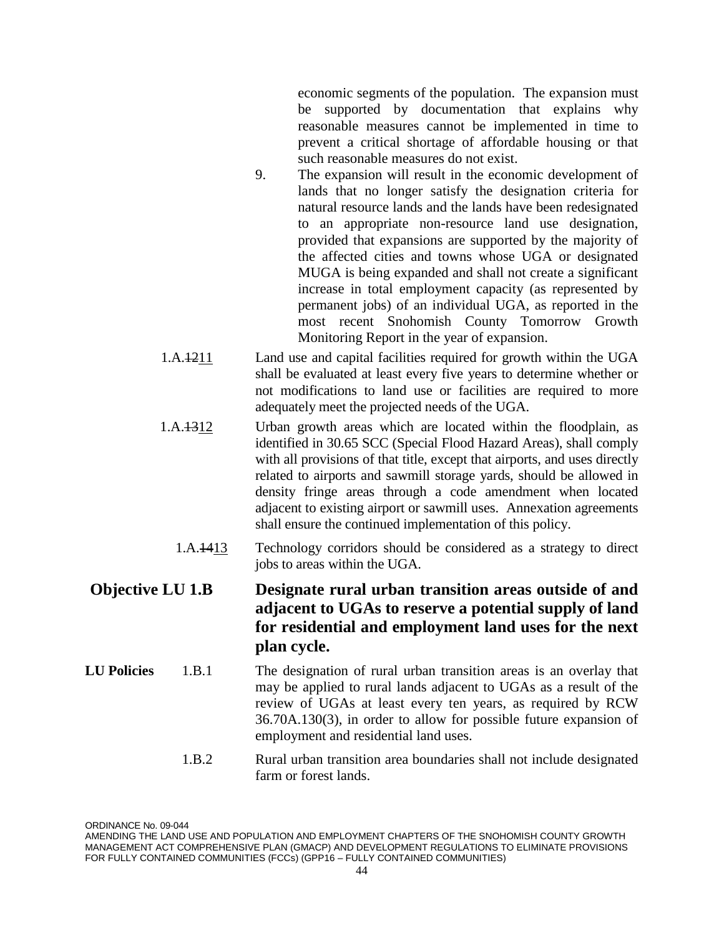economic segments of the population. The expansion must be supported by documentation that explains why reasonable measures cannot be implemented in time to prevent a critical shortage of affordable housing or that such reasonable measures do not exist.

- 9. The expansion will result in the economic development of lands that no longer satisfy the designation criteria for natural resource lands and the lands have been redesignated to an appropriate non-resource land use designation, provided that expansions are supported by the majority of the affected cities and towns whose UGA or designated MUGA is being expanded and shall not create a significant increase in total employment capacity (as represented by permanent jobs) of an individual UGA, as reported in the most recent Snohomish County Tomorrow Growth Monitoring Report in the year of expansion.
- 1.A.1211 Land use and capital facilities required for growth within the UGA shall be evaluated at least every five years to determine whether or not modifications to land use or facilities are required to more adequately meet the projected needs of the UGA.
- 1.A.1312 Urban growth areas which are located within the floodplain, as identified in 30.65 SCC (Special Flood Hazard Areas), shall comply with all provisions of that title, except that airports, and uses directly related to airports and sawmill storage yards, should be allowed in density fringe areas through a code amendment when located adjacent to existing airport or sawmill uses. Annexation agreements shall ensure the continued implementation of this policy.
	- 1.A.1413 Technology corridors should be considered as a strategy to direct jobs to areas within the UGA.

## **Objective LU 1.B Designate rural urban transition areas outside of and adjacent to UGAs to reserve a potential supply of land for residential and employment land uses for the next plan cycle.**

- **LU Policies** 1.B.1 The designation of rural urban transition areas is an overlay that may be applied to rural lands adjacent to UGAs as a result of the review of UGAs at least every ten years, as required by RCW 36.70A.130(3), in order to allow for possible future expansion of employment and residential land uses.
	- 1.B.2 Rural urban transition area boundaries shall not include designated farm or forest lands.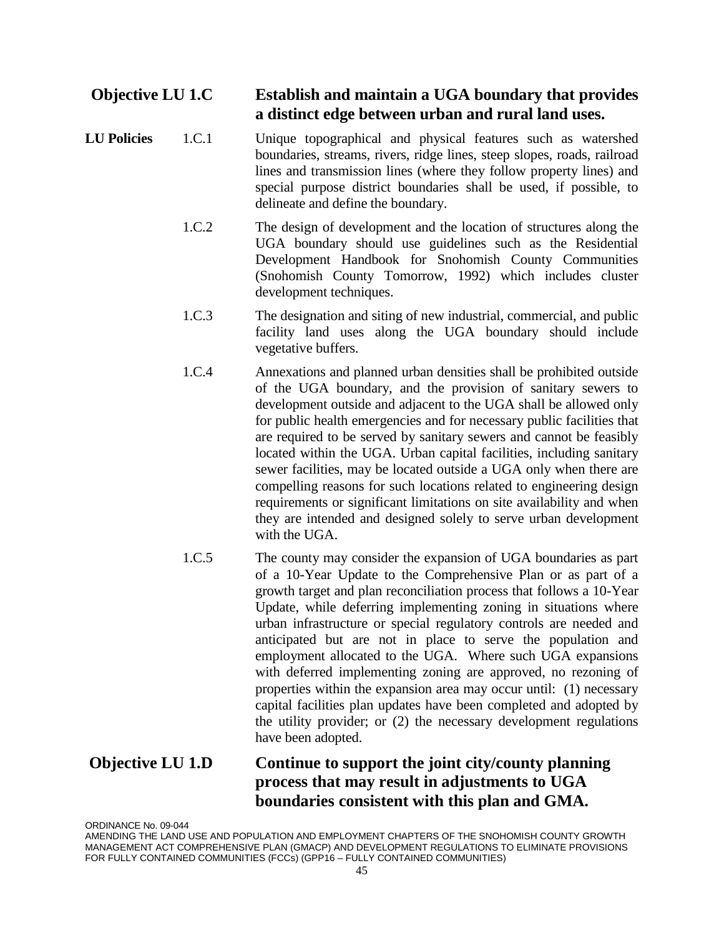## **Objective LU 1.C Establish and maintain a UGA boundary that provides a distinct edge between urban and rural land uses.**

- **LU Policies** 1.C.1 Unique topographical and physical features such as watershed boundaries, streams, rivers, ridge lines, steep slopes, roads, railroad lines and transmission lines (where they follow property lines) and special purpose district boundaries shall be used, if possible, to delineate and define the boundary.
	- 1.C.2 The design of development and the location of structures along the UGA boundary should use guidelines such as the Residential Development Handbook for Snohomish County Communities (Snohomish County Tomorrow, 1992) which includes cluster development techniques.
	- 1.C.3 The designation and siting of new industrial, commercial, and public facility land uses along the UGA boundary should include vegetative buffers.
	- 1.C.4 Annexations and planned urban densities shall be prohibited outside of the UGA boundary, and the provision of sanitary sewers to development outside and adjacent to the UGA shall be allowed only for public health emergencies and for necessary public facilities that are required to be served by sanitary sewers and cannot be feasibly located within the UGA. Urban capital facilities, including sanitary sewer facilities, may be located outside a UGA only when there are compelling reasons for such locations related to engineering design requirements or significant limitations on site availability and when they are intended and designed solely to serve urban development with the UGA.
	- 1.C.5 The county may consider the expansion of UGA boundaries as part of a 10-Year Update to the Comprehensive Plan or as part of a growth target and plan reconciliation process that follows a 10-Year Update, while deferring implementing zoning in situations where urban infrastructure or special regulatory controls are needed and anticipated but are not in place to serve the population and employment allocated to the UGA. Where such UGA expansions with deferred implementing zoning are approved, no rezoning of properties within the expansion area may occur until: (1) necessary capital facilities plan updates have been completed and adopted by the utility provider; or (2) the necessary development regulations have been adopted.

## **Objective LU 1.D Continue to support the joint city/county planning process that may result in adjustments to UGA boundaries consistent with this plan and GMA.**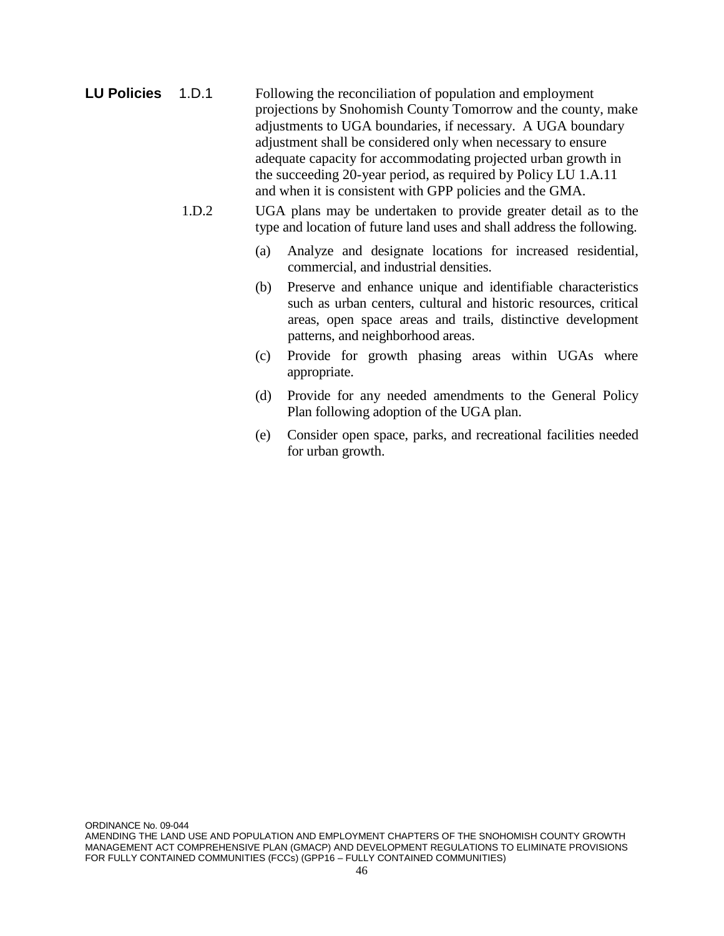- **LU Policies** 1.D.1 Following the reconciliation of population and employment projections by Snohomish County Tomorrow and the county, make adjustments to UGA boundaries, if necessary. A UGA boundary adjustment shall be considered only when necessary to ensure adequate capacity for accommodating projected urban growth in the succeeding 20-year period, as required by Policy LU 1.A.11 and when it is consistent with GPP policies and the GMA.
	- 1.D.2 UGA plans may be undertaken to provide greater detail as to the type and location of future land uses and shall address the following.
		- (a) Analyze and designate locations for increased residential, commercial, and industrial densities.
		- (b) Preserve and enhance unique and identifiable characteristics such as urban centers, cultural and historic resources, critical areas, open space areas and trails, distinctive development patterns, and neighborhood areas.
		- (c) Provide for growth phasing areas within UGAs where appropriate.
		- (d) Provide for any needed amendments to the General Policy Plan following adoption of the UGA plan.
		- (e) Consider open space, parks, and recreational facilities needed for urban growth.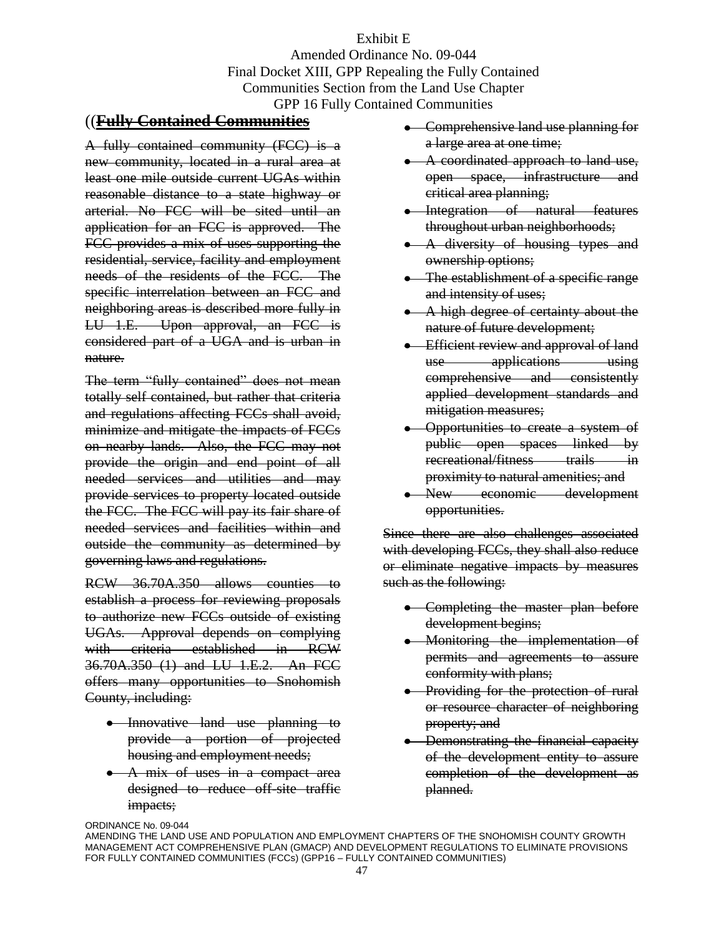Exhibit E Amended Ordinance No. 09-044 Final Docket XIII, GPP Repealing the Fully Contained Communities Section from the Land Use Chapter GPP 16 Fully Contained Communities

#### ((**Fully Contained Communities**

A fully contained community (FCC) is a new community, located in a rural area at least one mile outside current UGAs within reasonable distance to a state highway or arterial. No FCC will be sited until an application for an FCC is approved. The FCC provides a mix of uses supporting the residential, service, facility and employment needs of the residents of the FCC. The specific interrelation between an FCC and neighboring areas is described more fully in LU 1.E. Upon approval, an FCC is considered part of a UGA and is urban in nature.

The term "fully contained" does not mean totally self contained, but rather that criteria and regulations affecting FCCs shall avoid, minimize and mitigate the impacts of FCCs on nearby lands. Also, the FCC may not provide the origin and end point of all needed services and utilities and may provide services to property located outside the FCC. The FCC will pay its fair share of needed services and facilities within and outside the community as determined by governing laws and regulations.

RCW 36.70A.350 allows counties to establish a process for reviewing proposals to authorize new FCCs outside of existing UGAs. Approval depends on complying with criteria established in RCW 36.70A.350 (1) and LU 1.E.2. An FCC offers many opportunities to Snohomish County, including:

- Innovative land use planning to provide a portion of projected housing and employment needs;
- A mix of uses in a compact area designed to reduce off-site traffic impacts;
- Comprehensive land use planning for a large area at one time;
- A coordinated approach to land use, open space, infrastructure and critical area planning;
- Integration of natural features throughout urban neighborhoods;
- A diversity of housing types and ownership options;
- The establishment of a specific range and intensity of uses;
- A high degree of certainty about the nature of future development;
- **Efficient review and approval of land** use applications using comprehensive and consistently applied development standards and mitigation measures;
- Opportunities to create a system of public open spaces linked by recreational/fitness trails in proximity to natural amenities; and
- New economic development opportunities.

Since there are also challenges associated with developing FCCs, they shall also reduce or eliminate negative impacts by measures such as the following:

- Completing the master plan before development begins;
- Monitoring the implementation of permits and agreements to assure conformity with plans;
- Providing for the protection of rural or resource character of neighboring property; and
- Demonstrating the financial capacity of the development entity to assure completion of the development as planned.

AMENDING THE LAND USE AND POPULATION AND EMPLOYMENT CHAPTERS OF THE SNOHOMISH COUNTY GROWTH MANAGEMENT ACT COMPREHENSIVE PLAN (GMACP) AND DEVELOPMENT REGULATIONS TO ELIMINATE PROVISIONS FOR FULLY CONTAINED COMMUNITIES (FCCs) (GPP16 – FULLY CONTAINED COMMUNITIES)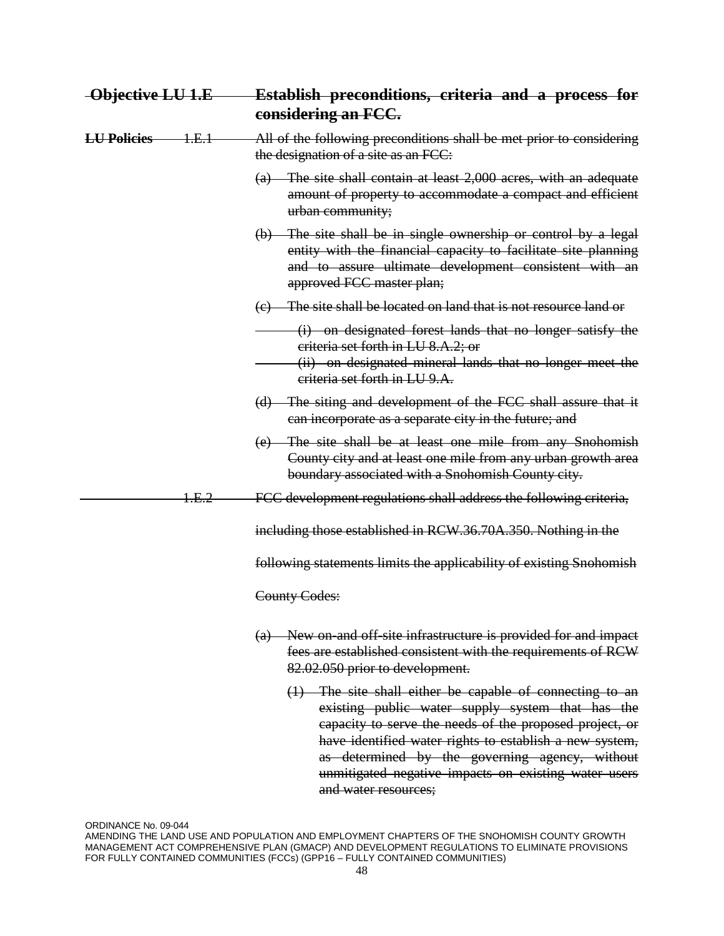| Objective LU 1.E   |                  | Establish preconditions, criteria and a process for<br>considering an FCC.                                                                                                                                                           |  |  |  |
|--------------------|------------------|--------------------------------------------------------------------------------------------------------------------------------------------------------------------------------------------------------------------------------------|--|--|--|
| <b>LU Policies</b> | <del>1.E.1</del> | All of the following preconditions shall be met prior to considering<br>the designation of a site as an FCC:                                                                                                                         |  |  |  |
|                    |                  | (a) The site shall contain at least 2,000 acres, with an adequate<br>amount of property to accommodate a compact and efficient<br>urban community;                                                                                   |  |  |  |
|                    |                  | (b) The site shall be in single ownership or control by a legal<br>entity with the financial capacity to facilitate site planning<br>and to assure ultimate development consistent with an<br>approved FCC master plan;              |  |  |  |
|                    |                  | (e) The site shall be located on land that is not resource land or                                                                                                                                                                   |  |  |  |
|                    |                  | (i) on designated forest lands that no longer satisfy the<br>criteria set forth in LU 8.A.2; or<br>(ii) on designated mineral lands that no longer meet the<br>criteria set forth in LU 9.A.                                         |  |  |  |
|                    |                  | (d) The siting and development of the FCC shall assure that it<br>can incorporate as a separate city in the future; and                                                                                                              |  |  |  |
|                    |                  | (e) The site shall be at least one mile from any Snohomish<br>County city and at least one mile from any urban growth area<br>boundary associated with a Snohomish County city.                                                      |  |  |  |
|                    | 1.E.2            | FCC development regulations shall address the following criteria,                                                                                                                                                                    |  |  |  |
|                    |                  | including those established in RCW.36.70A.350. Nothing in the                                                                                                                                                                        |  |  |  |
|                    |                  | following statements limits the applicability of existing Snohomish                                                                                                                                                                  |  |  |  |
|                    |                  | County Codes:                                                                                                                                                                                                                        |  |  |  |
|                    |                  | (a) New on and off site infrastructure is provided for and impact<br>fees are established consistent with the requirements of RCW<br>82.02.050 prior to development.                                                                 |  |  |  |
|                    |                  | $(1)$ The site shall either be capable of connecting to an<br>existing public water supply system that has the<br>capacity to serve the needs of the proposed project, or<br>have identified water rights to establish a new system, |  |  |  |

ORDINANCE No. 09-044

and water resources;

as determined by the governing agency, without unmitigated negative impacts on existing water users

AMENDING THE LAND USE AND POPULATION AND EMPLOYMENT CHAPTERS OF THE SNOHOMISH COUNTY GROWTH MANAGEMENT ACT COMPREHENSIVE PLAN (GMACP) AND DEVELOPMENT REGULATIONS TO ELIMINATE PROVISIONS FOR FULLY CONTAINED COMMUNITIES (FCCs) (GPP16 – FULLY CONTAINED COMMUNITIES)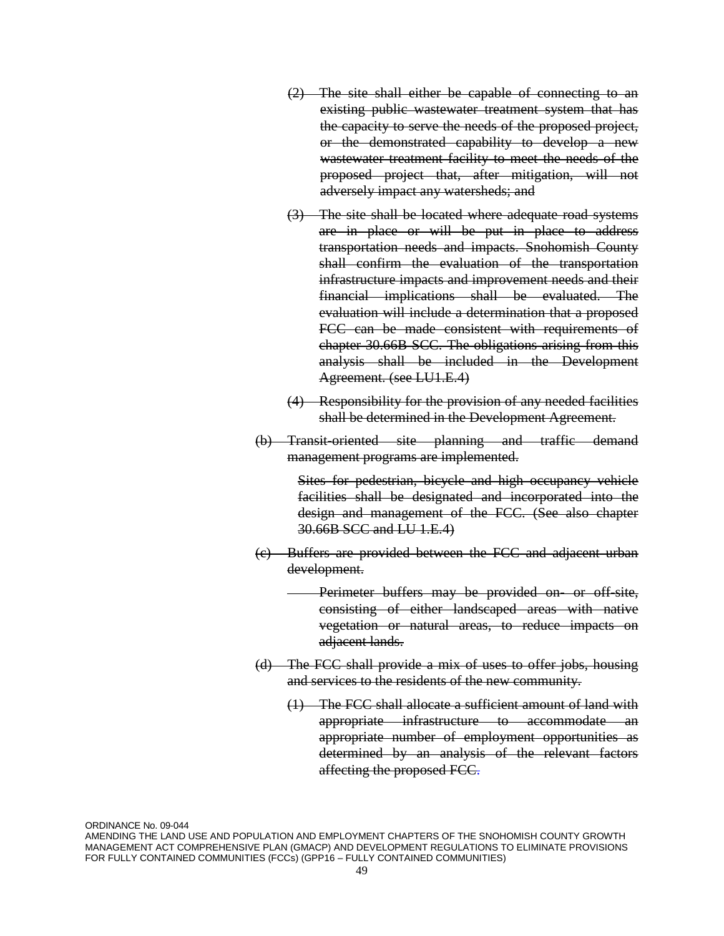- (2) The site shall either be capable of connecting to an existing public wastewater treatment system that has the capacity to serve the needs of the proposed project, or the demonstrated capability to develop a new wastewater treatment facility to meet the needs of the proposed project that, after mitigation, will not adversely impact any watersheds; and
- (3) The site shall be located where adequate road systems are in place or will be put in place to address transportation needs and impacts. Snohomish County shall confirm the evaluation of the transportation infrastructure impacts and improvement needs and their financial implications shall be evaluated. The evaluation will include a determination that a proposed FCC can be made consistent with requirements of chapter 30.66B SCC. The obligations arising from this analysis shall be included in the Development Agreement. (see LU1.E.4)
- (4) Responsibility for the provision of any needed facilities shall be determined in the Development Agreement.
- (b) Transit-oriented site planning and traffic demand management programs are implemented.

Sites for pedestrian, bicycle and high occupancy vehicle facilities shall be designated and incorporated into the design and management of the FCC. (See also chapter 30.66B SCC and LU 1.E.4)

(c) Buffers are provided between the FCC and adjacent urban development.

> Perimeter buffers may be provided on or off-site, consisting of either landscaped areas with native vegetation or natural areas, to reduce impacts on adjacent lands.

- (d) The FCC shall provide a mix of uses to offer jobs, housing and services to the residents of the new community.
	- (1) The FCC shall allocate a sufficient amount of land with appropriate infrastructure to accommodate an appropriate number of employment opportunities as determined by an analysis of the relevant factors affecting the proposed FCC.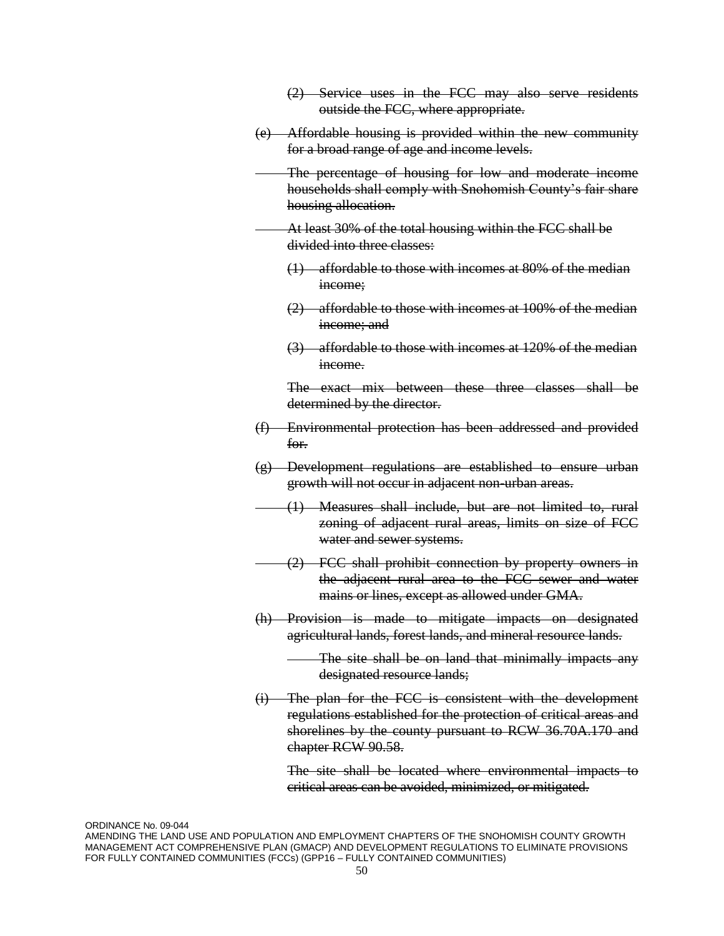| $(2)$ Service uses in the FCC may also serve residents |  |  |  |  |  |
|--------------------------------------------------------|--|--|--|--|--|
|                                                        |  |  |  |  |  |
| outside the FCC, where appropriate.                    |  |  |  |  |  |

- (e) Affordable housing is provided within the new community for a broad range of age and income levels.
	- The percentage of housing for low and moderate income households shall comply with Snohomish County's fair share housing allocation.
- At least 30% of the total housing within the FCC shall be divided into three classes:
	- (1) affordable to those with incomes at 80% of the median income:
	- (2) affordable to those with incomes at 100% of the median income: and
	- (3) affordable to those with incomes at 120% of the median income.

The exact mix between these three classes shall be determined by the director.

- (f) Environmental protection has been addressed and provided for.
- (g) Development regulations are established to ensure urban growth will not occur in adjacent non-urban areas.
- (1) Measures shall include, but are not limited to, rural zoning of adjacent rural areas, limits on size of FCC water and sewer systems.
- (2) FCC shall prohibit connection by property owners in the adjacent rural area to the FCC sewer and water mains or lines, except as allowed under GMA.
- (h) Provision is made to mitigate impacts on designated agricultural lands, forest lands, and mineral resource lands.
	- The site shall be on land that minimally impacts any designated resource lands;
- (i) The plan for the FCC is consistent with the development regulations established for the protection of critical areas and shorelines by the county pursuant to RCW 36.70A.170 and chapter RCW 90.58.

The site shall be located where environmental impacts to critical areas can be avoided, minimized, or mitigated.

AMENDING THE LAND USE AND POPULATION AND EMPLOYMENT CHAPTERS OF THE SNOHOMISH COUNTY GROWTH MANAGEMENT ACT COMPREHENSIVE PLAN (GMACP) AND DEVELOPMENT REGULATIONS TO ELIMINATE PROVISIONS FOR FULLY CONTAINED COMMUNITIES (FCCs) (GPP16 – FULLY CONTAINED COMMUNITIES)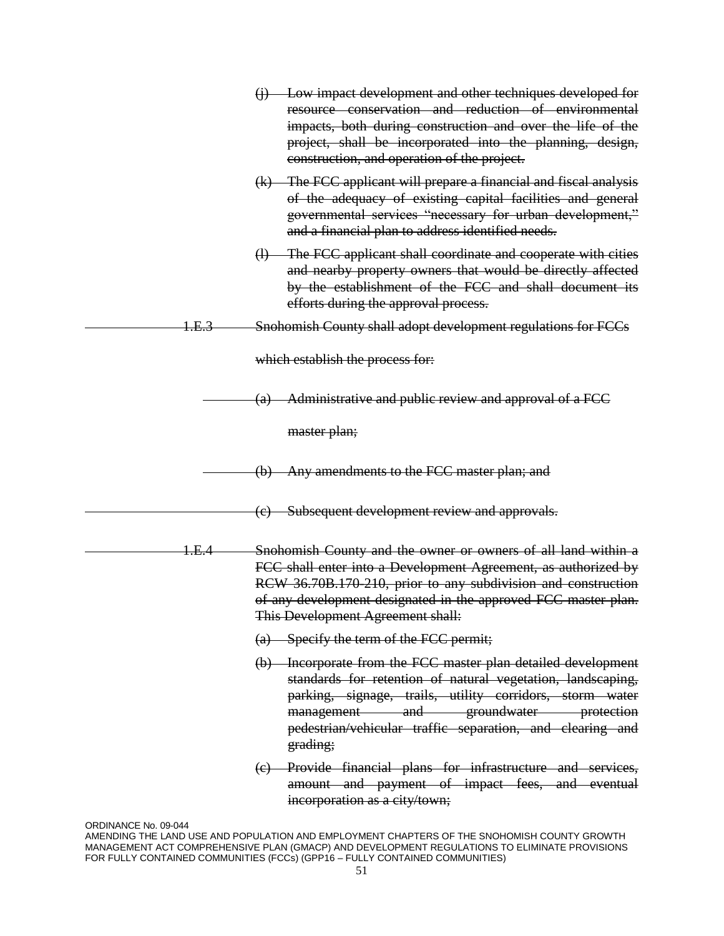|       | Low impact development and other techniques developed for<br>$\bigoplus$<br>resource conservation and reduction of environmental<br>impacts, both during construction and over the life of the<br>project, shall be incorporated into the planning, design,<br>construction, and operation of the project. |
|-------|------------------------------------------------------------------------------------------------------------------------------------------------------------------------------------------------------------------------------------------------------------------------------------------------------------|
|       | (k) The FCC applicant will prepare a financial and fiscal analysis<br>of the adequacy of existing capital facilities and general<br>governmental services "necessary for urban development,"<br>and a financial plan to address identified needs.                                                          |
|       | The FCC applicant shall coordinate and cooperate with cities<br>$\bigoplus$<br>and nearby property owners that would be directly affected<br>by the establishment of the FCC and shall document its<br>efforts during the approval process.                                                                |
| 1.E.3 | Snohomish County shall adopt development regulations for FCCs                                                                                                                                                                                                                                              |
|       | which establish the process for:                                                                                                                                                                                                                                                                           |
|       | Administrative and public review and approval of a FCC<br>(a)                                                                                                                                                                                                                                              |
|       | master plan;                                                                                                                                                                                                                                                                                               |
|       | Any amendments to the FCC master plan; and<br>$\Theta$                                                                                                                                                                                                                                                     |
|       | (c) Subsequent development review and approvals.                                                                                                                                                                                                                                                           |
| 1.E.4 | Snohomish County and the owner or owners of all land within a<br>FCC shall enter into a Development Agreement, as authorized by<br>RCW 36.70B.170-210, prior to any subdivision and construction<br>of any development designated in the approved FCC master plan.<br>This Development Agreement shall:    |
|       | $(a)$ Specify the term of the FCC permit;                                                                                                                                                                                                                                                                  |
|       | (b) Incorporate from the FCC master plan detailed development<br>standards for retention of natural vegetation, landscaping,<br>parking, signage, trails, utility corridors, storm water<br>management and groundwater protection<br>pedestrian/vehicular traffic separation, and clearing and<br>grading; |
|       | (e) Provide financial plans for infrastructure and services,<br>amount and payment of impact fees, and eventual<br>incorporation as a city/town;                                                                                                                                                           |

ORDINANCE No. 09-044

AMENDING THE LAND USE AND POPULATION AND EMPLOYMENT CHAPTERS OF THE SNOHOMISH COUNTY GROWTH MANAGEMENT ACT COMPREHENSIVE PLAN (GMACP) AND DEVELOPMENT REGULATIONS TO ELIMINATE PROVISIONS FOR FULLY CONTAINED COMMUNITIES (FCCs) (GPP16 – FULLY CONTAINED COMMUNITIES)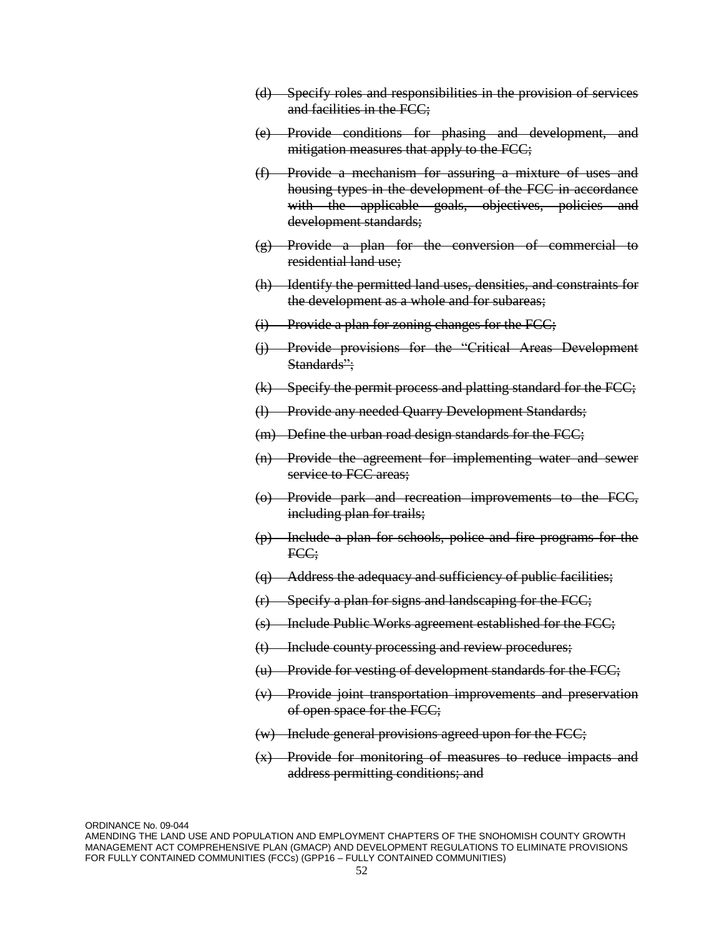- (d) Specify roles and responsibilities in the provision of services and facilities in the FCC;
- (e) Provide conditions for phasing and development, and mitigation measures that apply to the FCC;
- (f) Provide a mechanism for assuring a mixture of uses and housing types in the development of the FCC in accordance with the applicable goals, objectives, policies and development standards;
- (g) Provide a plan for the conversion of commercial to residential land use;
- (h) Identify the permitted land uses, densities, and constraints for the development as a whole and for subareas;
- (i) Provide a plan for zoning changes for the FCC;
- (j) Provide provisions for the "Critical Areas Development Standards":
- (k) Specify the permit process and platting standard for the FCC;
- (l) Provide any needed Quarry Development Standards;
- (m) Define the urban road design standards for the FCC;
- (n) Provide the agreement for implementing water and sewer service to FCC areas;
- (o) Provide park and recreation improvements to the FCC, including plan for trails;
- (p) Include a plan for schools, police and fire programs for the FCC;
- (q) Address the adequacy and sufficiency of public facilities;
- (r) Specify a plan for signs and landscaping for the FCC;
- (s) Include Public Works agreement established for the FCC;
- (t) Include county processing and review procedures;
- (u) Provide for vesting of development standards for the FCC;
- (v) Provide joint transportation improvements and preservation of open space for the FCC;
- (w) Include general provisions agreed upon for the FCC;
- (x) Provide for monitoring of measures to reduce impacts and address permitting conditions; and

ORDINANCE No. 09-044

AMENDING THE LAND USE AND POPULATION AND EMPLOYMENT CHAPTERS OF THE SNOHOMISH COUNTY GROWTH MANAGEMENT ACT COMPREHENSIVE PLAN (GMACP) AND DEVELOPMENT REGULATIONS TO ELIMINATE PROVISIONS FOR FULLY CONTAINED COMMUNITIES (FCCs) (GPP16 – FULLY CONTAINED COMMUNITIES)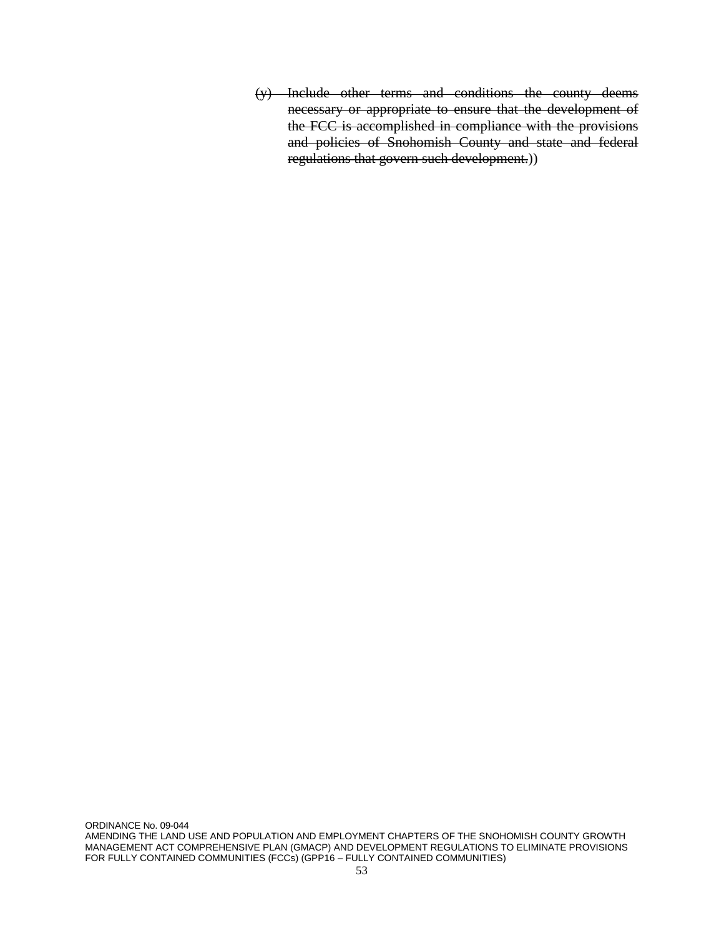(y) Include other terms and conditions the county deems necessary or appropriate to ensure that the development of the FCC is accomplished in compliance with the provisions and policies of Snohomish County and state and federal regulations that govern such development.))